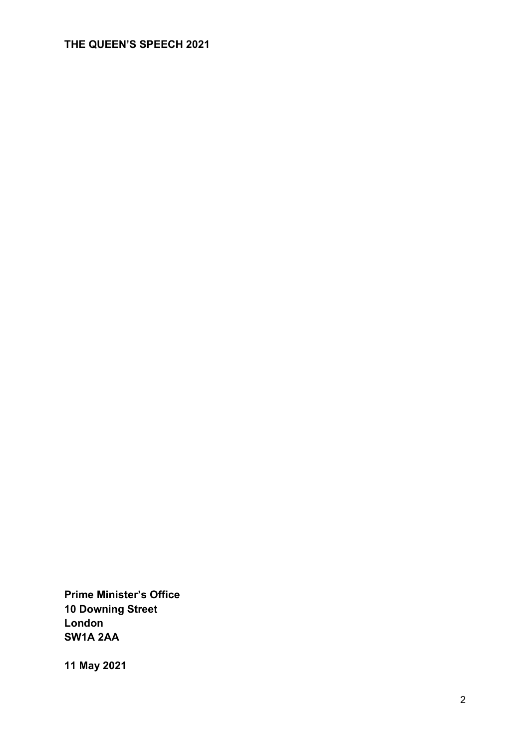### **THE QUEEN'S SPEECH 2021**

**Prime Minister's Office 10 Downing Street London SW1A 2AA**

**11 May 2021**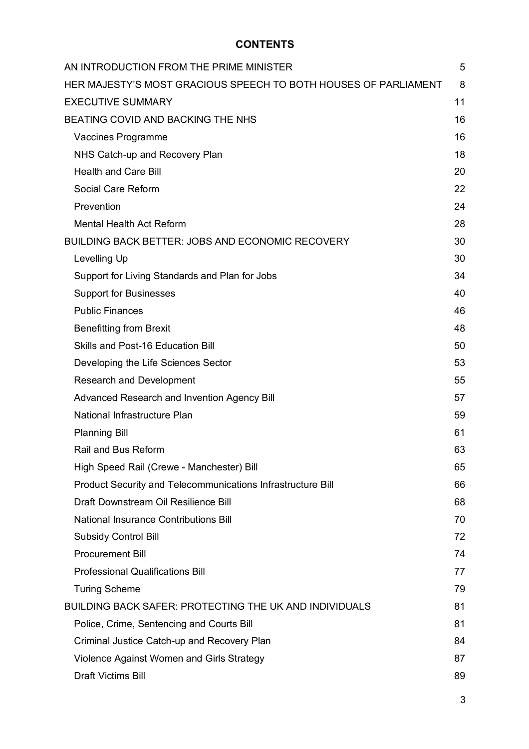### **CONTENTS**

| AN INTRODUCTION FROM THE PRIME MINISTER                         | 5  |
|-----------------------------------------------------------------|----|
| HER MAJESTY'S MOST GRACIOUS SPEECH TO BOTH HOUSES OF PARLIAMENT | 8  |
| <b>EXECUTIVE SUMMARY</b>                                        | 11 |
| BEATING COVID AND BACKING THE NHS                               | 16 |
| Vaccines Programme                                              | 16 |
| NHS Catch-up and Recovery Plan                                  | 18 |
| <b>Health and Care Bill</b>                                     | 20 |
| Social Care Reform                                              | 22 |
| Prevention                                                      | 24 |
| <b>Mental Health Act Reform</b>                                 | 28 |
| <b>BUILDING BACK BETTER: JOBS AND ECONOMIC RECOVERY</b>         | 30 |
| Levelling Up                                                    | 30 |
| Support for Living Standards and Plan for Jobs                  | 34 |
| <b>Support for Businesses</b>                                   | 40 |
| <b>Public Finances</b>                                          | 46 |
| <b>Benefitting from Brexit</b>                                  | 48 |
| Skills and Post-16 Education Bill                               | 50 |
| Developing the Life Sciences Sector                             | 53 |
| <b>Research and Development</b>                                 | 55 |
| Advanced Research and Invention Agency Bill                     | 57 |
| National Infrastructure Plan                                    | 59 |
| <b>Planning Bill</b>                                            | 61 |
| Rail and Bus Reform                                             | 63 |
| High Speed Rail (Crewe - Manchester) Bill                       | 65 |
| Product Security and Telecommunications Infrastructure Bill     | 66 |
| Draft Downstream Oil Resilience Bill                            | 68 |
| <b>National Insurance Contributions Bill</b>                    | 70 |
| <b>Subsidy Control Bill</b>                                     | 72 |
| <b>Procurement Bill</b>                                         | 74 |
| <b>Professional Qualifications Bill</b>                         | 77 |
| <b>Turing Scheme</b>                                            | 79 |
| <b>BUILDING BACK SAFER: PROTECTING THE UK AND INDIVIDUALS</b>   | 81 |
| Police, Crime, Sentencing and Courts Bill                       | 81 |
| Criminal Justice Catch-up and Recovery Plan                     | 84 |
| Violence Against Women and Girls Strategy                       | 87 |
| Draft Victims Bill                                              | 89 |

3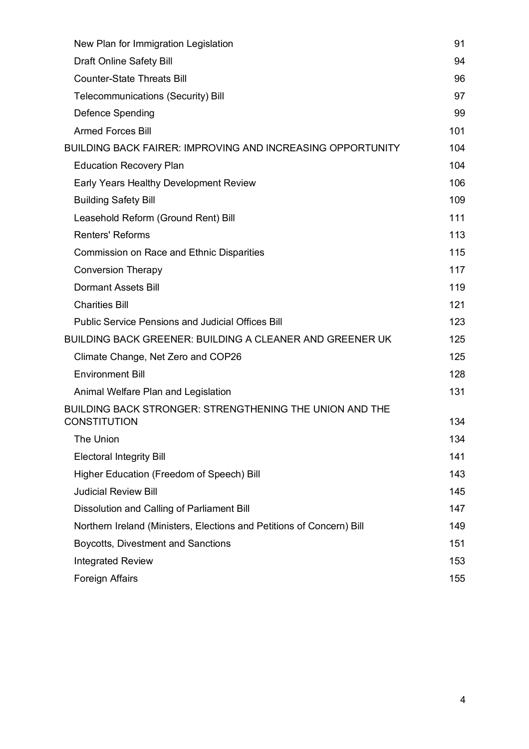| New Plan for Immigration Legislation                                                  | 91  |
|---------------------------------------------------------------------------------------|-----|
| <b>Draft Online Safety Bill</b>                                                       | 94  |
| <b>Counter-State Threats Bill</b>                                                     | 96  |
| <b>Telecommunications (Security) Bill</b>                                             | 97  |
| Defence Spending                                                                      | 99  |
| <b>Armed Forces Bill</b>                                                              | 101 |
| <b>BUILDING BACK FAIRER: IMPROVING AND INCREASING OPPORTUNITY</b>                     | 104 |
| <b>Education Recovery Plan</b>                                                        | 104 |
| Early Years Healthy Development Review                                                | 106 |
| <b>Building Safety Bill</b>                                                           | 109 |
| Leasehold Reform (Ground Rent) Bill                                                   | 111 |
| <b>Renters' Reforms</b>                                                               | 113 |
| <b>Commission on Race and Ethnic Disparities</b>                                      | 115 |
| <b>Conversion Therapy</b>                                                             | 117 |
| <b>Dormant Assets Bill</b>                                                            | 119 |
| <b>Charities Bill</b>                                                                 | 121 |
| <b>Public Service Pensions and Judicial Offices Bill</b>                              | 123 |
| <b>BUILDING BACK GREENER: BUILDING A CLEANER AND GREENER UK</b>                       | 125 |
| Climate Change, Net Zero and COP26                                                    | 125 |
| <b>Environment Bill</b>                                                               | 128 |
| Animal Welfare Plan and Legislation                                                   | 131 |
| <b>BUILDING BACK STRONGER: STRENGTHENING THE UNION AND THE</b><br><b>CONSTITUTION</b> | 134 |
| The Union                                                                             | 134 |
| <b>Electoral Integrity Bill</b>                                                       | 141 |
| Higher Education (Freedom of Speech) Bill                                             | 143 |
| <b>Judicial Review Bill</b>                                                           | 145 |
| Dissolution and Calling of Parliament Bill                                            | 147 |
| Northern Ireland (Ministers, Elections and Petitions of Concern) Bill                 | 149 |
| Boycotts, Divestment and Sanctions                                                    | 151 |
| <b>Integrated Review</b>                                                              | 153 |
| <b>Foreign Affairs</b>                                                                | 155 |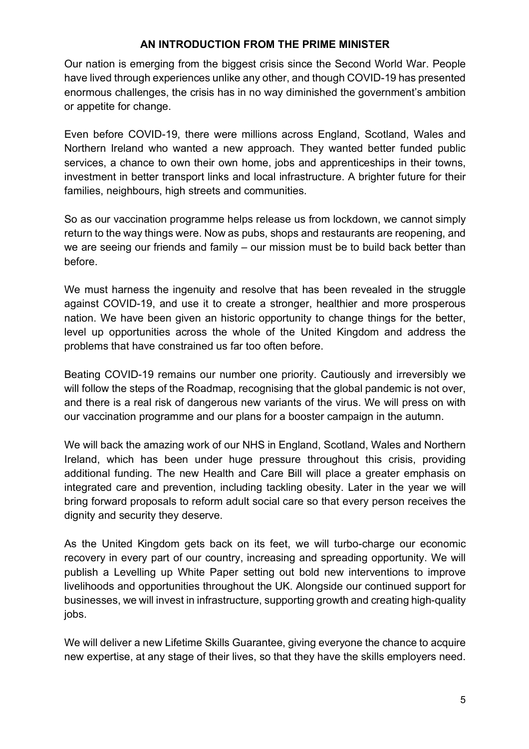#### **AN INTRODUCTION FROM THE PRIME MINISTER**

Our nation is emerging from the biggest crisis since the Second World War. People have lived through experiences unlike any other, and though COVID-19 has presented enormous challenges, the crisis has in no way diminished the government's ambition or appetite for change.

Even before COVID-19, there were millions across England, Scotland, Wales and Northern Ireland who wanted a new approach. They wanted better funded public services, a chance to own their own home, jobs and apprenticeships in their towns, investment in better transport links and local infrastructure. A brighter future for their families, neighbours, high streets and communities.

So as our vaccination programme helps release us from lockdown, we cannot simply return to the way things were. Now as pubs, shops and restaurants are reopening, and we are seeing our friends and family – our mission must be to build back better than before.

We must harness the ingenuity and resolve that has been revealed in the struggle against COVID-19, and use it to create a stronger, healthier and more prosperous nation. We have been given an historic opportunity to change things for the better, level up opportunities across the whole of the United Kingdom and address the problems that have constrained us far too often before.

Beating COVID-19 remains our number one priority. Cautiously and irreversibly we will follow the steps of the Roadmap, recognising that the global pandemic is not over, and there is a real risk of dangerous new variants of the virus. We will press on with our vaccination programme and our plans for a booster campaign in the autumn.

We will back the amazing work of our NHS in England, Scotland, Wales and Northern Ireland, which has been under huge pressure throughout this crisis, providing additional funding. The new Health and Care Bill will place a greater emphasis on integrated care and prevention, including tackling obesity. Later in the year we will bring forward proposals to reform adult social care so that every person receives the dignity and security they deserve.

As the United Kingdom gets back on its feet, we will turbo-charge our economic recovery in every part of our country, increasing and spreading opportunity. We will publish a Levelling up White Paper setting out bold new interventions to improve livelihoods and opportunities throughout the UK. Alongside our continued support for businesses, we will invest in infrastructure, supporting growth and creating high-quality jobs.

We will deliver a new Lifetime Skills Guarantee, giving everyone the chance to acquire new expertise, at any stage of their lives, so that they have the skills employers need.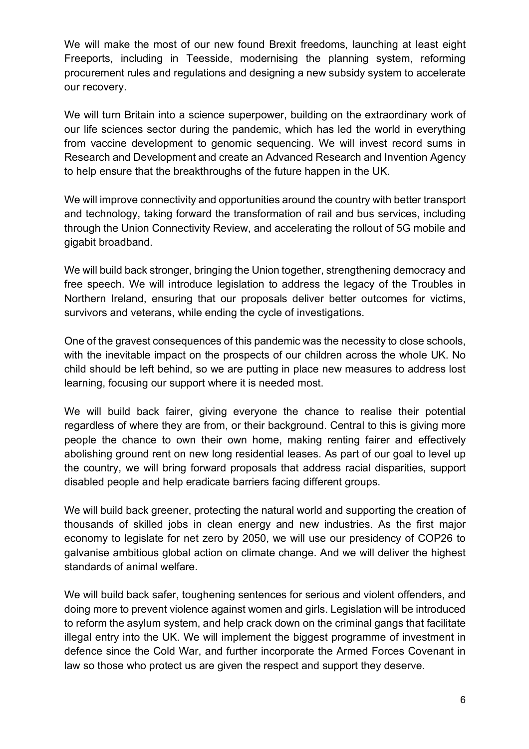We will make the most of our new found Brexit freedoms, launching at least eight Freeports, including in Teesside, modernising the planning system, reforming procurement rules and regulations and designing a new subsidy system to accelerate our recovery.

We will turn Britain into a science superpower, building on the extraordinary work of our life sciences sector during the pandemic, which has led the world in everything from vaccine development to genomic sequencing. We will invest record sums in Research and Development and create an Advanced Research and Invention Agency to help ensure that the breakthroughs of the future happen in the UK.

We will improve connectivity and opportunities around the country with better transport and technology, taking forward the transformation of rail and bus services, including through the Union Connectivity Review, and accelerating the rollout of 5G mobile and gigabit broadband.

We will build back stronger, bringing the Union together, strengthening democracy and free speech. We will introduce legislation to address the legacy of the Troubles in Northern Ireland, ensuring that our proposals deliver better outcomes for victims, survivors and veterans, while ending the cycle of investigations.

One of the gravest consequences of this pandemic was the necessity to close schools, with the inevitable impact on the prospects of our children across the whole UK. No child should be left behind, so we are putting in place new measures to address lost learning, focusing our support where it is needed most.

We will build back fairer, giving everyone the chance to realise their potential regardless of where they are from, or their background. Central to this is giving more people the chance to own their own home, making renting fairer and effectively abolishing ground rent on new long residential leases. As part of our goal to level up the country, we will bring forward proposals that address racial disparities, support disabled people and help eradicate barriers facing different groups.

We will build back greener, protecting the natural world and supporting the creation of thousands of skilled jobs in clean energy and new industries. As the first major economy to legislate for net zero by 2050, we will use our presidency of COP26 to galvanise ambitious global action on climate change. And we will deliver the highest standards of animal welfare.

We will build back safer, toughening sentences for serious and violent offenders, and doing more to prevent violence against women and girls. Legislation will be introduced to reform the asylum system, and help crack down on the criminal gangs that facilitate illegal entry into the UK. We will implement the biggest programme of investment in defence since the Cold War, and further incorporate the Armed Forces Covenant in law so those who protect us are given the respect and support they deserve.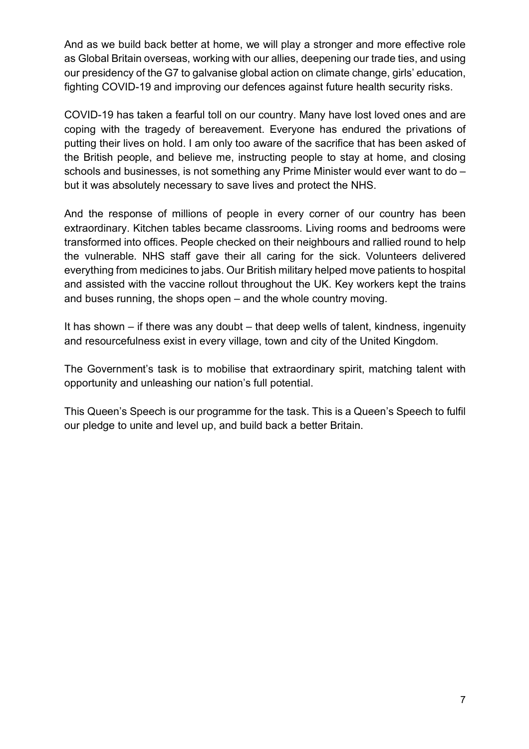And as we build back better at home, we will play a stronger and more effective role as Global Britain overseas, working with our allies, deepening our trade ties, and using our presidency of the G7 to galvanise global action on climate change, girls' education, fighting COVID-19 and improving our defences against future health security risks.

COVID-19 has taken a fearful toll on our country. Many have lost loved ones and are coping with the tragedy of bereavement. Everyone has endured the privations of putting their lives on hold. I am only too aware of the sacrifice that has been asked of the British people, and believe me, instructing people to stay at home, and closing schools and businesses, is not something any Prime Minister would ever want to do – but it was absolutely necessary to save lives and protect the NHS.

And the response of millions of people in every corner of our country has been extraordinary. Kitchen tables became classrooms. Living rooms and bedrooms were transformed into offices. People checked on their neighbours and rallied round to help the vulnerable. NHS staff gave their all caring for the sick. Volunteers delivered everything from medicines to jabs. Our British military helped move patients to hospital and assisted with the vaccine rollout throughout the UK. Key workers kept the trains and buses running, the shops open – and the whole country moving.

It has shown – if there was any doubt – that deep wells of talent, kindness, ingenuity and resourcefulness exist in every village, town and city of the United Kingdom.

The Government's task is to mobilise that extraordinary spirit, matching talent with opportunity and unleashing our nation's full potential.

This Queen's Speech is our programme for the task. This is a Queen's Speech to fulfil our pledge to unite and level up, and build back a better Britain.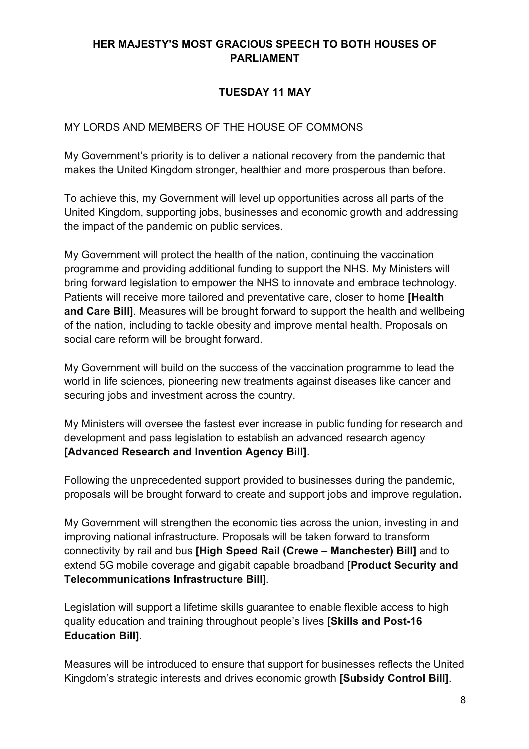### **HER MAJESTY'S MOST GRACIOUS SPEECH TO BOTH HOUSES OF PARLIAMENT**

## **TUESDAY 11 MAY**

## MY LORDS AND MEMBERS OF THE HOUSE OF COMMONS

My Government's priority is to deliver a national recovery from the pandemic that makes the United Kingdom stronger, healthier and more prosperous than before.

To achieve this, my Government will level up opportunities across all parts of the United Kingdom, supporting jobs, businesses and economic growth and addressing the impact of the pandemic on public services.

My Government will protect the health of the nation, continuing the vaccination programme and providing additional funding to support the NHS. My Ministers will bring forward legislation to empower the NHS to innovate and embrace technology. Patients will receive more tailored and preventative care, closer to home **[Health and Care Bill]**. Measures will be brought forward to support the health and wellbeing of the nation, including to tackle obesity and improve mental health. Proposals on social care reform will be brought forward.

My Government will build on the success of the vaccination programme to lead the world in life sciences, pioneering new treatments against diseases like cancer and securing jobs and investment across the country.

My Ministers will oversee the fastest ever increase in public funding for research and development and pass legislation to establish an advanced research agency **[Advanced Research and Invention Agency Bill]**.

Following the unprecedented support provided to businesses during the pandemic, proposals will be brought forward to create and support jobs and improve regulation**.**

My Government will strengthen the economic ties across the union, investing in and improving national infrastructure. Proposals will be taken forward to transform connectivity by rail and bus **[High Speed Rail (Crewe – Manchester) Bill]** and to extend 5G mobile coverage and gigabit capable broadband **[Product Security and Telecommunications Infrastructure Bill]**.

Legislation will support a lifetime skills guarantee to enable flexible access to high quality education and training throughout people's lives **[Skills and Post-16 Education Bill]**.

Measures will be introduced to ensure that support for businesses reflects the United Kingdom's strategic interests and drives economic growth **[Subsidy Control Bill]**.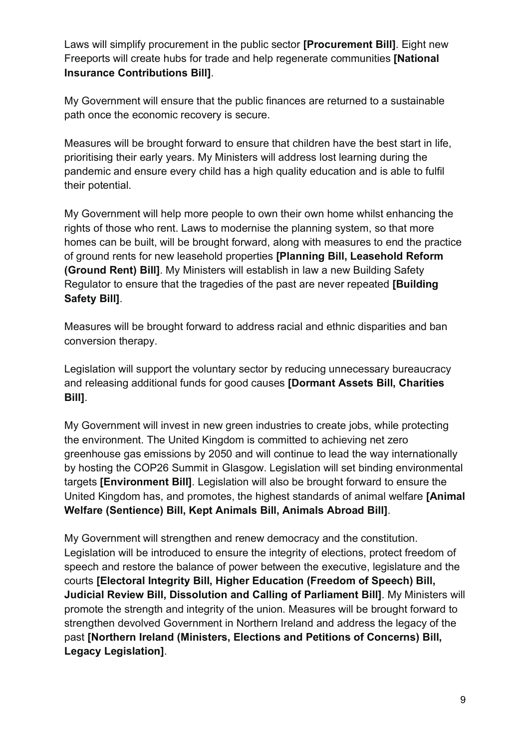Laws will simplify procurement in the public sector **[Procurement Bill]**. Eight new Freeports will create hubs for trade and help regenerate communities **[National Insurance Contributions Bill]**.

My Government will ensure that the public finances are returned to a sustainable path once the economic recovery is secure.

Measures will be brought forward to ensure that children have the best start in life, prioritising their early years. My Ministers will address lost learning during the pandemic and ensure every child has a high quality education and is able to fulfil their potential.

My Government will help more people to own their own home whilst enhancing the rights of those who rent. Laws to modernise the planning system, so that more homes can be built, will be brought forward, along with measures to end the practice of ground rents for new leasehold properties **[Planning Bill, Leasehold Reform (Ground Rent) Bill]**. My Ministers will establish in law a new Building Safety Regulator to ensure that the tragedies of the past are never repeated **[Building Safety Bill]**.

Measures will be brought forward to address racial and ethnic disparities and ban conversion therapy.

Legislation will support the voluntary sector by reducing unnecessary bureaucracy and releasing additional funds for good causes **[Dormant Assets Bill, Charities Bill]**.

My Government will invest in new green industries to create jobs, while protecting the environment. The United Kingdom is committed to achieving net zero greenhouse gas emissions by 2050 and will continue to lead the way internationally by hosting the COP26 Summit in Glasgow. Legislation will set binding environmental targets **[Environment Bill]**. Legislation will also be brought forward to ensure the United Kingdom has, and promotes, the highest standards of animal welfare **[Animal Welfare (Sentience) Bill, Kept Animals Bill, Animals Abroad Bill]**.

My Government will strengthen and renew democracy and the constitution. Legislation will be introduced to ensure the integrity of elections, protect freedom of speech and restore the balance of power between the executive, legislature and the courts **[Electoral Integrity Bill, Higher Education (Freedom of Speech) Bill, Judicial Review Bill, Dissolution and Calling of Parliament Bill]**. My Ministers will promote the strength and integrity of the union. Measures will be brought forward to strengthen devolved Government in Northern Ireland and address the legacy of the past **[Northern Ireland (Ministers, Elections and Petitions of Concerns) Bill, Legacy Legislation]**.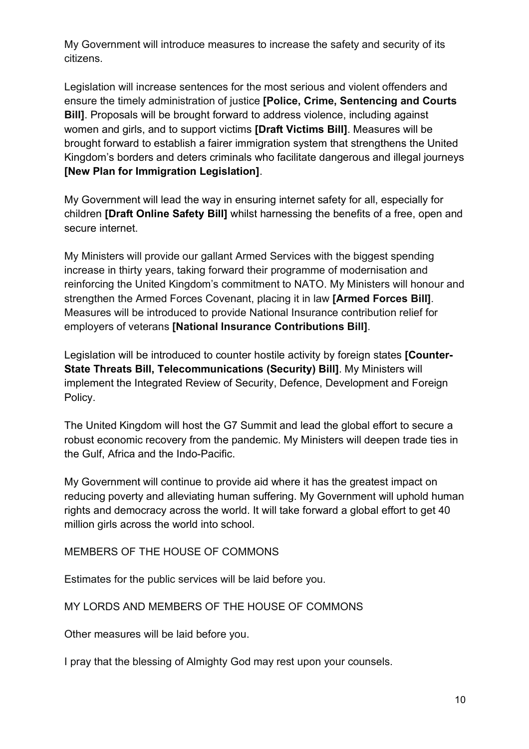My Government will introduce measures to increase the safety and security of its citizens.

Legislation will increase sentences for the most serious and violent offenders and ensure the timely administration of justice **[Police, Crime, Sentencing and Courts Bill]**. Proposals will be brought forward to address violence, including against women and girls, and to support victims **[Draft Victims Bill]**. Measures will be brought forward to establish a fairer immigration system that strengthens the United Kingdom's borders and deters criminals who facilitate dangerous and illegal journeys **[New Plan for Immigration Legislation]**.

My Government will lead the way in ensuring internet safety for all, especially for children **[Draft Online Safety Bill]** whilst harnessing the benefits of a free, open and secure internet.

My Ministers will provide our gallant Armed Services with the biggest spending increase in thirty years, taking forward their programme of modernisation and reinforcing the United Kingdom's commitment to NATO. My Ministers will honour and strengthen the Armed Forces Covenant, placing it in law **[Armed Forces Bill]**. Measures will be introduced to provide National Insurance contribution relief for employers of veterans **[National Insurance Contributions Bill]**.

Legislation will be introduced to counter hostile activity by foreign states **[Counter-State Threats Bill, Telecommunications (Security) Bill]**. My Ministers will implement the Integrated Review of Security, Defence, Development and Foreign Policy.

The United Kingdom will host the G7 Summit and lead the global effort to secure a robust economic recovery from the pandemic. My Ministers will deepen trade ties in the Gulf, Africa and the Indo-Pacific.

My Government will continue to provide aid where it has the greatest impact on reducing poverty and alleviating human suffering. My Government will uphold human rights and democracy across the world. It will take forward a global effort to get 40 million girls across the world into school.

MEMBERS OF THE HOUSE OF COMMONS

Estimates for the public services will be laid before you.

#### MY LORDS AND MEMBERS OF THE HOUSE OF COMMONS

Other measures will be laid before you.

I pray that the blessing of Almighty God may rest upon your counsels.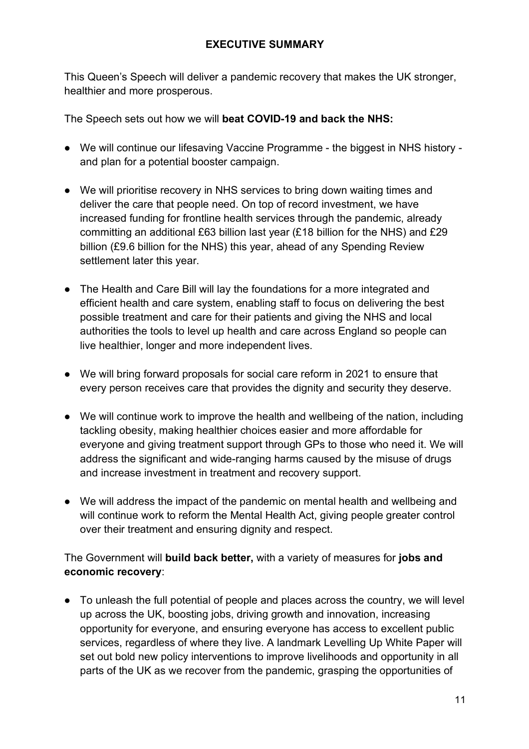This Queen's Speech will deliver a pandemic recovery that makes the UK stronger, healthier and more prosperous.

The Speech sets out how we will **beat COVID-19 and back the NHS:**

- We will continue our lifesaving Vaccine Programme the biggest in NHS history and plan for a potential booster campaign.
- We will prioritise recovery in NHS services to bring down waiting times and deliver the care that people need. On top of record investment, we have increased funding for frontline health services through the pandemic, already committing an additional £63 billion last year (£18 billion for the NHS) and £29 billion (£9.6 billion for the NHS) this year, ahead of any Spending Review settlement later this year.
- The Health and Care Bill will lay the foundations for a more integrated and efficient health and care system, enabling staff to focus on delivering the best possible treatment and care for their patients and giving the NHS and local authorities the tools to level up health and care across England so people can live healthier, longer and more independent lives.
- We will bring forward proposals for social care reform in 2021 to ensure that every person receives care that provides the dignity and security they deserve.
- We will continue work to improve the health and wellbeing of the nation, including tackling obesity, making healthier choices easier and more affordable for everyone and giving treatment support through GPs to those who need it. We will address the significant and wide-ranging harms caused by the misuse of drugs and increase investment in treatment and recovery support.
- We will address the impact of the pandemic on mental health and wellbeing and will continue work to reform the Mental Health Act, giving people greater control over their treatment and ensuring dignity and respect.

The Government will **build back better,** with a variety of measures for **jobs and economic recovery**:

• To unleash the full potential of people and places across the country, we will level up across the UK, boosting jobs, driving growth and innovation, increasing opportunity for everyone, and ensuring everyone has access to excellent public services, regardless of where they live. A landmark Levelling Up White Paper will set out bold new policy interventions to improve livelihoods and opportunity in all parts of the UK as we recover from the pandemic, grasping the opportunities of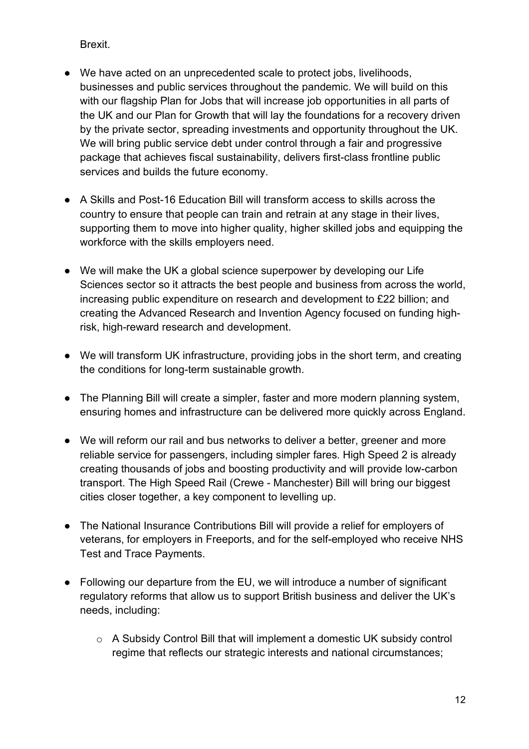Brexit.

- We have acted on an unprecedented scale to protect jobs, livelihoods, businesses and public services throughout the pandemic. We will build on this with our flagship Plan for Jobs that will increase job opportunities in all parts of the UK and our Plan for Growth that will lay the foundations for a recovery driven by the private sector, spreading investments and opportunity throughout the UK. We will bring public service debt under control through a fair and progressive package that achieves fiscal sustainability, delivers first-class frontline public services and builds the future economy.
- A Skills and Post-16 Education Bill will transform access to skills across the country to ensure that people can train and retrain at any stage in their lives, supporting them to move into higher quality, higher skilled jobs and equipping the workforce with the skills employers need.
- We will make the UK a global science superpower by developing our Life Sciences sector so it attracts the best people and business from across the world, increasing public expenditure on research and development to £22 billion; and creating the Advanced Research and Invention Agency focused on funding highrisk, high-reward research and development.
- We will transform UK infrastructure, providing jobs in the short term, and creating the conditions for long-term sustainable growth.
- The Planning Bill will create a simpler, faster and more modern planning system, ensuring homes and infrastructure can be delivered more quickly across England.
- We will reform our rail and bus networks to deliver a better, greener and more reliable service for passengers, including simpler fares. High Speed 2 is already creating thousands of jobs and boosting productivity and will provide low-carbon transport. The High Speed Rail (Crewe - Manchester) Bill will bring our biggest cities closer together, a key component to levelling up.
- The National Insurance Contributions Bill will provide a relief for employers of veterans, for employers in Freeports, and for the self-employed who receive NHS Test and Trace Payments.
- Following our departure from the EU, we will introduce a number of significant regulatory reforms that allow us to support British business and deliver the UK's needs, including:
	- o A Subsidy Control Bill that will implement a domestic UK subsidy control regime that reflects our strategic interests and national circumstances;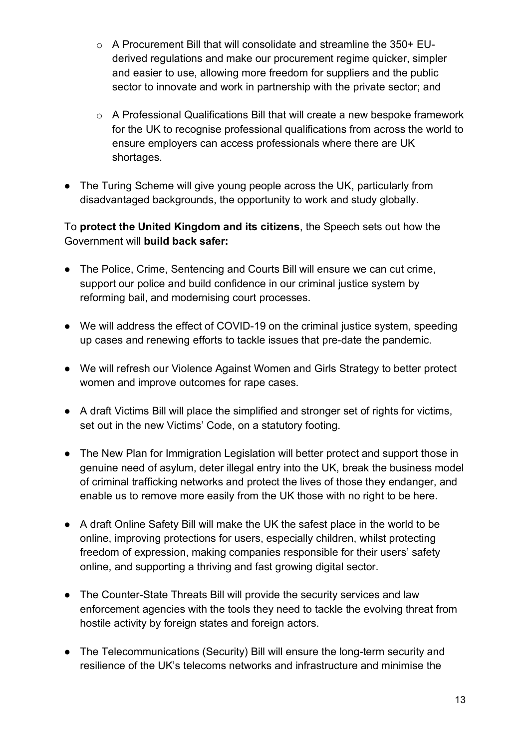- o A Procurement Bill that will consolidate and streamline the 350+ EUderived regulations and make our procurement regime quicker, simpler and easier to use, allowing more freedom for suppliers and the public sector to innovate and work in partnership with the private sector; and
- o A Professional Qualifications Bill that will create a new bespoke framework for the UK to recognise professional qualifications from across the world to ensure employers can access professionals where there are UK shortages.
- The Turing Scheme will give young people across the UK, particularly from disadvantaged backgrounds, the opportunity to work and study globally.

### To **protect the United Kingdom and its citizens**, the Speech sets out how the Government will **build back safer:**

- The Police, Crime, Sentencing and Courts Bill will ensure we can cut crime, support our police and build confidence in our criminal justice system by reforming bail, and modernising court processes.
- We will address the effect of COVID-19 on the criminal justice system, speeding up cases and renewing efforts to tackle issues that pre-date the pandemic.
- We will refresh our Violence Against Women and Girls Strategy to better protect women and improve outcomes for rape cases.
- A draft Victims Bill will place the simplified and stronger set of rights for victims, set out in the new Victims' Code, on a statutory footing.
- The New Plan for Immigration Legislation will better protect and support those in genuine need of asylum, deter illegal entry into the UK, break the business model of criminal trafficking networks and protect the lives of those they endanger, and enable us to remove more easily from the UK those with no right to be here.
- A draft Online Safety Bill will make the UK the safest place in the world to be online, improving protections for users, especially children, whilst protecting freedom of expression, making companies responsible for their users' safety online, and supporting a thriving and fast growing digital sector.
- The Counter-State Threats Bill will provide the security services and law enforcement agencies with the tools they need to tackle the evolving threat from hostile activity by foreign states and foreign actors.
- The Telecommunications (Security) Bill will ensure the long-term security and resilience of the UK's telecoms networks and infrastructure and minimise the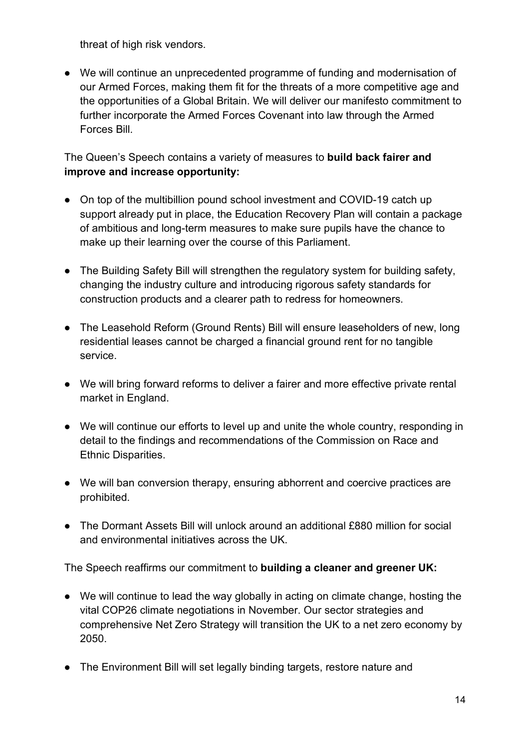threat of high risk vendors.

● We will continue an unprecedented programme of funding and modernisation of our Armed Forces, making them fit for the threats of a more competitive age and the opportunities of a Global Britain. We will deliver our manifesto commitment to further incorporate the Armed Forces Covenant into law through the Armed Forces Bill.

### The Queen's Speech contains a variety of measures to **build back fairer and improve and increase opportunity:**

- On top of the multibillion pound school investment and COVID-19 catch up support already put in place, the Education Recovery Plan will contain a package of ambitious and long-term measures to make sure pupils have the chance to make up their learning over the course of this Parliament.
- The Building Safety Bill will strengthen the regulatory system for building safety, changing the industry culture and introducing rigorous safety standards for construction products and a clearer path to redress for homeowners.
- The Leasehold Reform (Ground Rents) Bill will ensure leaseholders of new, long residential leases cannot be charged a financial ground rent for no tangible service.
- We will bring forward reforms to deliver a fairer and more effective private rental market in England.
- We will continue our efforts to level up and unite the whole country, responding in detail to the findings and recommendations of the Commission on Race and Ethnic Disparities.
- We will ban conversion therapy, ensuring abhorrent and coercive practices are prohibited.
- The Dormant Assets Bill will unlock around an additional £880 million for social and environmental initiatives across the UK.

The Speech reaffirms our commitment to **building a cleaner and greener UK:**

- We will continue to lead the way globally in acting on climate change, hosting the vital COP26 climate negotiations in November. Our sector strategies and comprehensive Net Zero Strategy will transition the UK to a net zero economy by 2050.
- The Environment Bill will set legally binding targets, restore nature and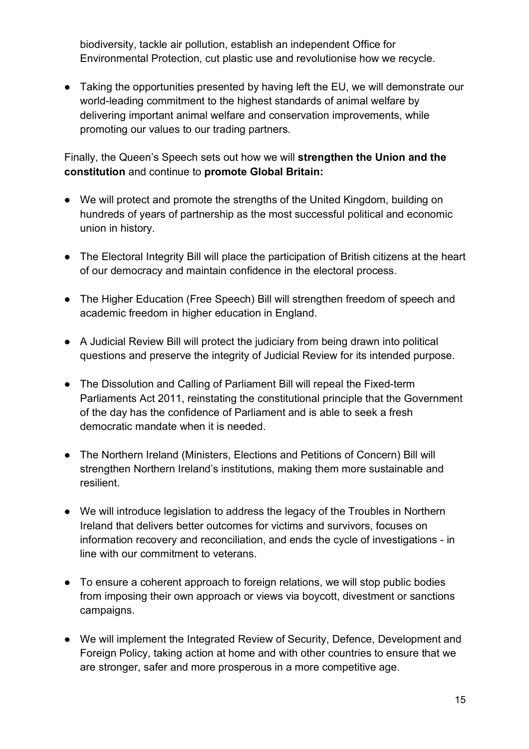biodiversity, tackle air pollution, establish an independent Office for Environmental Protection, cut plastic use and revolutionise how we recycle.

● Taking the opportunities presented by having left the EU, we will demonstrate our world-leading commitment to the highest standards of animal welfare by delivering important animal welfare and conservation improvements, while promoting our values to our trading partners.

Finally, the Queen's Speech sets out how we will **strengthen the Union and the constitution** and continue to **promote Global Britain:**

- We will protect and promote the strengths of the United Kingdom, building on hundreds of years of partnership as the most successful political and economic union in history.
- The Electoral Integrity Bill will place the participation of British citizens at the heart of our democracy and maintain confidence in the electoral process.
- The Higher Education (Free Speech) Bill will strengthen freedom of speech and academic freedom in higher education in England.
- A Judicial Review Bill will protect the judiciary from being drawn into political questions and preserve the integrity of Judicial Review for its intended purpose.
- The Dissolution and Calling of Parliament Bill will repeal the Fixed-term Parliaments Act 2011, reinstating the constitutional principle that the Government of the day has the confidence of Parliament and is able to seek a fresh democratic mandate when it is needed.
- The Northern Ireland (Ministers, Elections and Petitions of Concern) Bill will strengthen Northern Ireland's institutions, making them more sustainable and resilient.
- We will introduce legislation to address the legacy of the Troubles in Northern Ireland that delivers better outcomes for victims and survivors, focuses on information recovery and reconciliation, and ends the cycle of investigations - in line with our commitment to veterans.
- To ensure a coherent approach to foreign relations, we will stop public bodies from imposing their own approach or views via boycott, divestment or sanctions campaigns.
- We will implement the Integrated Review of Security, Defence, Development and Foreign Policy, taking action at home and with other countries to ensure that we are stronger, safer and more prosperous in a more competitive age.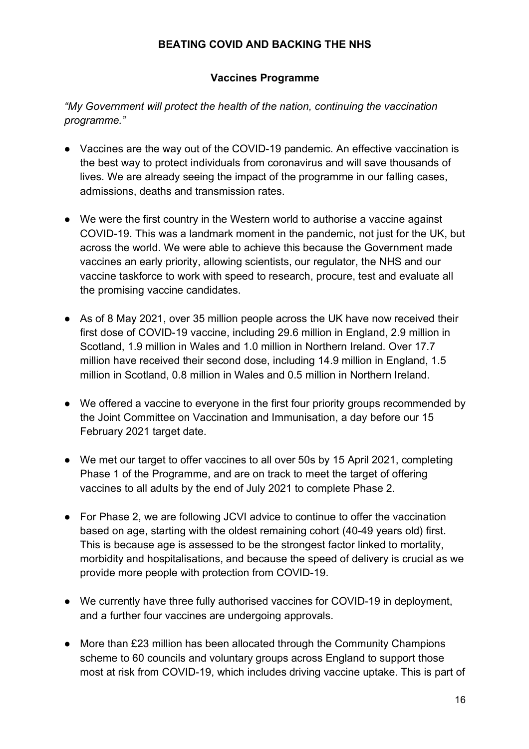#### **BEATING COVID AND BACKING THE NHS**

#### **Vaccines Programme**

*"My Government will protect the health of the nation, continuing the vaccination programme."*

- Vaccines are the way out of the COVID-19 pandemic. An effective vaccination is the best way to protect individuals from coronavirus and will save thousands of lives. We are already seeing the impact of the programme in our falling cases, admissions, deaths and transmission rates.
- We were the first country in the Western world to authorise a vaccine against COVID-19. This was a landmark moment in the pandemic, not just for the UK, but across the world. We were able to achieve this because the Government made vaccines an early priority, allowing scientists, our regulator, the NHS and our vaccine taskforce to work with speed to research, procure, test and evaluate all the promising vaccine candidates.
- As of 8 May 2021, over 35 million people across the UK have now received their first dose of COVID-19 vaccine, including 29.6 million in England, 2.9 million in Scotland, 1.9 million in Wales and 1.0 million in Northern Ireland. Over 17.7 million have received their second dose, including 14.9 million in England, 1.5 million in Scotland, 0.8 million in Wales and 0.5 million in Northern Ireland.
- We offered a vaccine to everyone in the first four priority groups recommended by the Joint Committee on Vaccination and Immunisation, a day before our 15 February 2021 target date.
- We met our target to offer vaccines to all over 50s by 15 April 2021, completing Phase 1 of the Programme, and are on track to meet the target of offering vaccines to all adults by the end of July 2021 to complete Phase 2.
- For Phase 2, we are following JCVI advice to continue to offer the vaccination based on age, starting with the oldest remaining cohort (40-49 years old) first. This is because age is assessed to be the strongest factor linked to mortality, morbidity and hospitalisations, and because the speed of delivery is crucial as we provide more people with protection from COVID-19.
- We currently have three fully authorised vaccines for COVID-19 in deployment, and a further four vaccines are undergoing approvals.
- More than £23 million has been allocated through the Community Champions scheme to 60 councils and voluntary groups across England to support those most at risk from COVID-19, which includes driving vaccine uptake. This is part of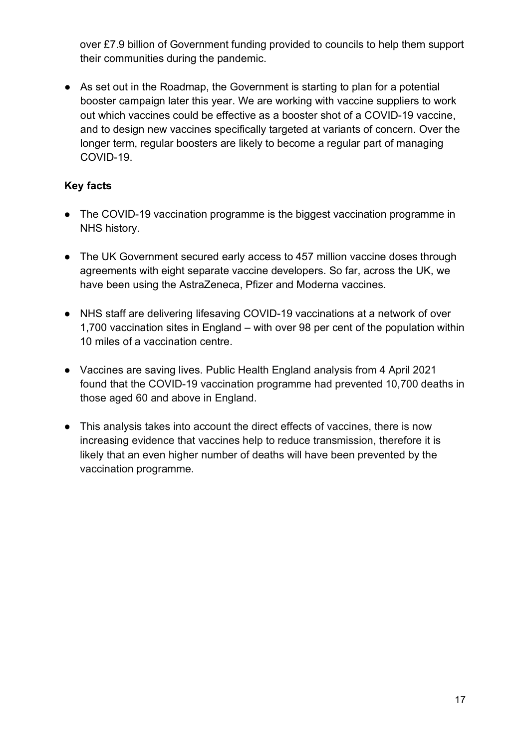over £7.9 billion of Government funding provided to councils to help them support their communities during the pandemic.

● As set out in the Roadmap, the Government is starting to plan for a potential booster campaign later this year. We are working with vaccine suppliers to work out which vaccines could be effective as a booster shot of a COVID-19 vaccine, and to design new vaccines specifically targeted at variants of concern. Over the longer term, regular boosters are likely to become a regular part of managing COVID-19.

- The COVID-19 vaccination programme is the biggest vaccination programme in NHS history.
- The UK Government secured early access to 457 million vaccine doses through agreements with eight separate vaccine developers. So far, across the UK, we have been using the AstraZeneca, Pfizer and Moderna vaccines.
- NHS staff are delivering lifesaving COVID-19 vaccinations at a network of over 1,700 vaccination sites in England – with over 98 per cent of the population within 10 miles of a vaccination centre.
- Vaccines are saving lives. Public Health England analysis from 4 April 2021 found that the COVID-19 vaccination programme had prevented 10,700 deaths in those aged 60 and above in England.
- This analysis takes into account the direct effects of vaccines, there is now increasing evidence that vaccines help to reduce transmission, therefore it is likely that an even higher number of deaths will have been prevented by the vaccination programme.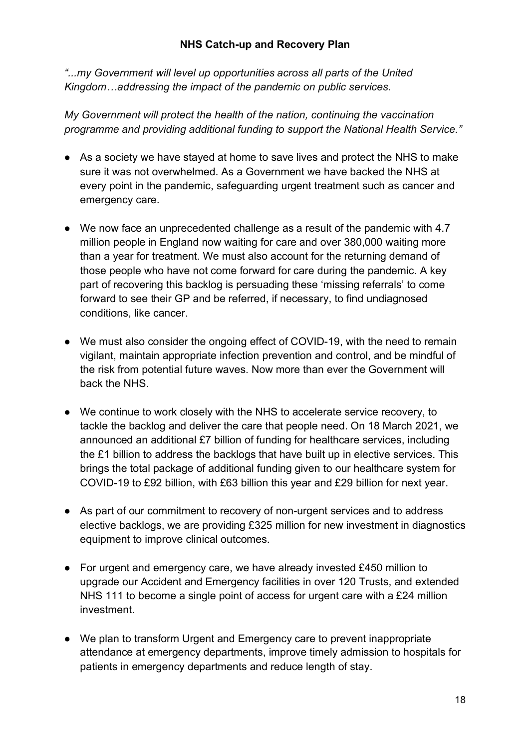*"...my Government will level up opportunities across all parts of the United Kingdom…addressing the impact of the pandemic on public services.* 

*My Government will protect the health of the nation, continuing the vaccination programme and providing additional funding to support the National Health Service."*

- As a society we have stayed at home to save lives and protect the NHS to make sure it was not overwhelmed. As a Government we have backed the NHS at every point in the pandemic, safeguarding urgent treatment such as cancer and emergency care.
- We now face an unprecedented challenge as a result of the pandemic with 4.7 million people in England now waiting for care and over 380,000 waiting more than a year for treatment. We must also account for the returning demand of those people who have not come forward for care during the pandemic. A key part of recovering this backlog is persuading these 'missing referrals' to come forward to see their GP and be referred, if necessary, to find undiagnosed conditions, like cancer.
- We must also consider the ongoing effect of COVID-19, with the need to remain vigilant, maintain appropriate infection prevention and control, and be mindful of the risk from potential future waves. Now more than ever the Government will back the NHS.
- We continue to work closely with the NHS to accelerate service recovery, to tackle the backlog and deliver the care that people need. On 18 March 2021, we announced an additional £7 billion of funding for healthcare services, including the £1 billion to address the backlogs that have built up in elective services. This brings the total package of additional funding given to our healthcare system for COVID-19 to £92 billion, with £63 billion this year and £29 billion for next year.
- As part of our commitment to recovery of non-urgent services and to address elective backlogs, we are providing £325 million for new investment in diagnostics equipment to improve clinical outcomes.
- For urgent and emergency care, we have already invested £450 million to upgrade our Accident and Emergency facilities in over 120 Trusts, and extended NHS 111 to become a single point of access for urgent care with a £24 million investment.
- We plan to transform Urgent and Emergency care to prevent inappropriate attendance at emergency departments, improve timely admission to hospitals for patients in emergency departments and reduce length of stay.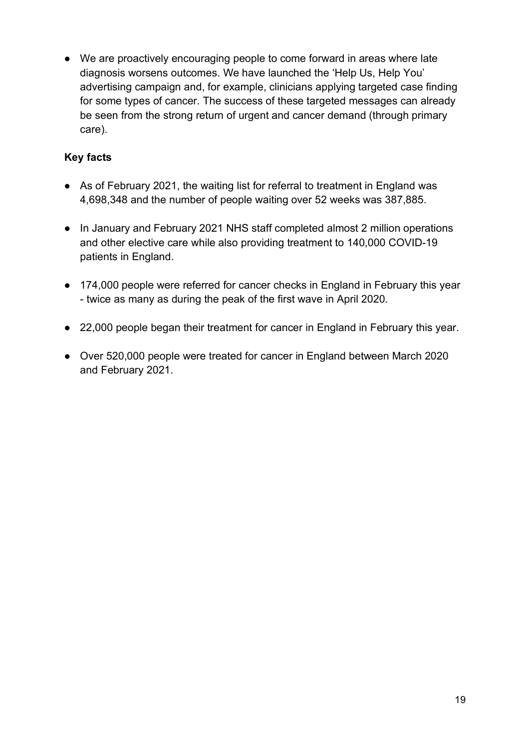● We are proactively encouraging people to come forward in areas where late diagnosis worsens outcomes. We have launched the 'Help Us, Help You' advertising campaign and, for example, clinicians applying targeted case finding for some types of cancer. The success of these targeted messages can already be seen from the strong return of urgent and cancer demand (through primary care).

- As of February 2021, the waiting list for referral to treatment in England was 4,698,348 and the number of people waiting over 52 weeks was 387,885.
- In January and February 2021 NHS staff completed almost 2 million operations and other elective care while also providing treatment to 140,000 COVID-19 patients in England.
- 174,000 people were referred for cancer checks in England in February this year - twice as many as during the peak of the first wave in April 2020.
- 22,000 people began their treatment for cancer in England in February this year.
- Over 520,000 people were treated for cancer in England between March 2020 and February 2021.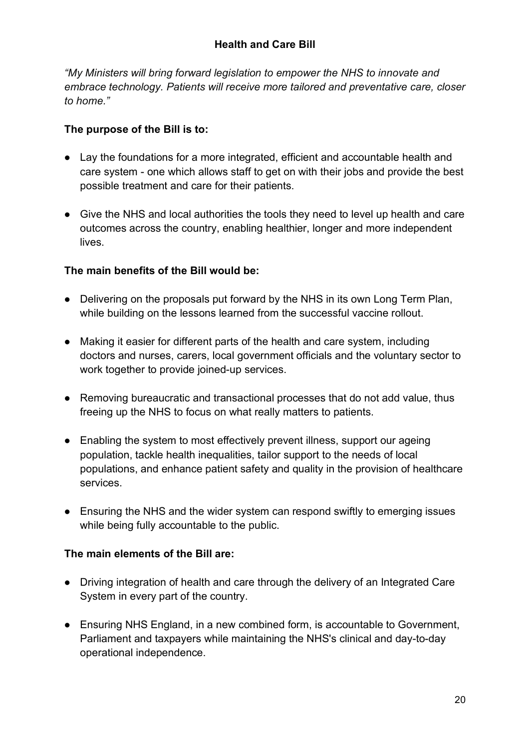*"My Ministers will bring forward legislation to empower the NHS to innovate and embrace technology. Patients will receive more tailored and preventative care, closer to home."*

### **The purpose of the Bill is to:**

- Lay the foundations for a more integrated, efficient and accountable health and care system - one which allows staff to get on with their jobs and provide the best possible treatment and care for their patients.
- Give the NHS and local authorities the tools they need to level up health and care outcomes across the country, enabling healthier, longer and more independent lives.

### **The main benefits of the Bill would be:**

- Delivering on the proposals put forward by the NHS in its own Long Term Plan, while building on the lessons learned from the successful vaccine rollout.
- Making it easier for different parts of the health and care system, including doctors and nurses, carers, local government officials and the voluntary sector to work together to provide joined-up services.
- Removing bureaucratic and transactional processes that do not add value, thus freeing up the NHS to focus on what really matters to patients.
- Enabling the system to most effectively prevent illness, support our ageing population, tackle health inequalities, tailor support to the needs of local populations, and enhance patient safety and quality in the provision of healthcare services.
- Ensuring the NHS and the wider system can respond swiftly to emerging issues while being fully accountable to the public.

## **The main elements of the Bill are:**

- Driving integration of health and care through the delivery of an Integrated Care System in every part of the country.
- Ensuring NHS England, in a new combined form, is accountable to Government, Parliament and taxpayers while maintaining the NHS's clinical and day-to-day operational independence.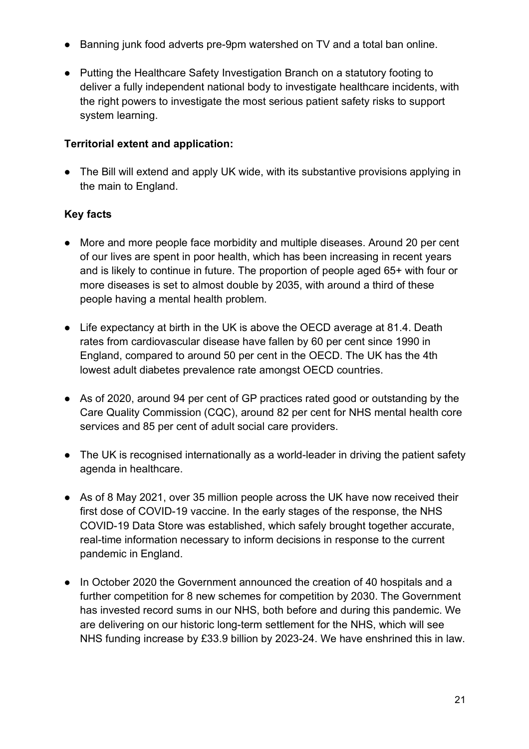- Banning junk food adverts pre-9pm watershed on TV and a total ban online.
- Putting the Healthcare Safety Investigation Branch on a statutory footing to deliver a fully independent national body to investigate healthcare incidents, with the right powers to investigate the most serious patient safety risks to support system learning.

### **Territorial extent and application:**

• The Bill will extend and apply UK wide, with its substantive provisions applying in the main to England.

- More and more people face morbidity and multiple diseases. Around 20 per cent of our lives are spent in poor health, which has been increasing in recent years and is likely to continue in future. The proportion of people aged 65+ with four or more diseases is set to almost double by 2035, with around a third of these people having a mental health problem.
- Life expectancy at birth in the UK is above the OECD average at 81.4. Death rates from cardiovascular disease have fallen by 60 per cent since 1990 in England, compared to around 50 per cent in the OECD. The UK has the 4th lowest adult diabetes prevalence rate amongst OECD countries.
- As of 2020, around 94 per cent of GP practices rated good or outstanding by the Care Quality Commission (CQC), around 82 per cent for NHS mental health core services and 85 per cent of adult social care providers.
- The UK is recognised internationally as a world-leader in driving the patient safety agenda in healthcare.
- As of 8 May 2021, over 35 million people across the UK have now received their first dose of COVID-19 vaccine. In the early stages of the response, the NHS COVID-19 Data Store was established, which safely brought together accurate, real-time information necessary to inform decisions in response to the current pandemic in England.
- In October 2020 the Government announced the creation of 40 hospitals and a further competition for 8 new schemes for competition by 2030. The Government has invested record sums in our NHS, both before and during this pandemic. We are delivering on our historic long-term settlement for the NHS, which will see NHS funding increase by £33.9 billion by 2023-24. We have enshrined this in law.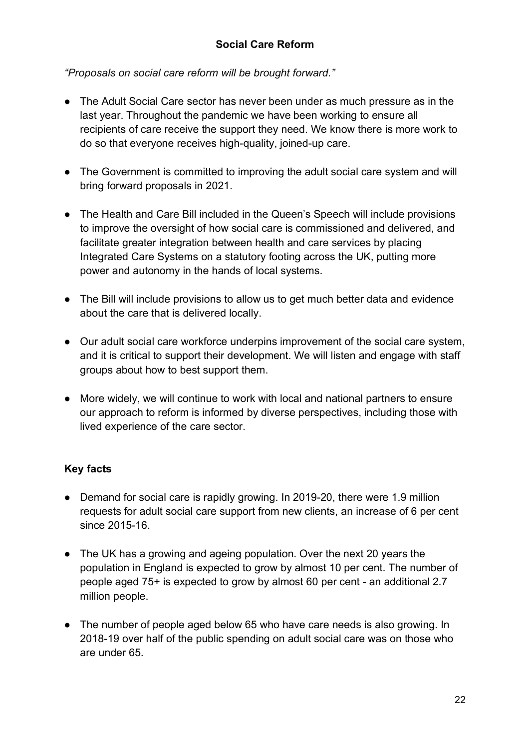#### **Social Care Reform**

*"Proposals on social care reform will be brought forward."*

- The Adult Social Care sector has never been under as much pressure as in the last year. Throughout the pandemic we have been working to ensure all recipients of care receive the support they need. We know there is more work to do so that everyone receives high-quality, joined-up care.
- The Government is committed to improving the adult social care system and will bring forward proposals in 2021.
- The Health and Care Bill included in the Queen's Speech will include provisions to improve the oversight of how social care is commissioned and delivered, and facilitate greater integration between health and care services by placing Integrated Care Systems on a statutory footing across the UK, putting more power and autonomy in the hands of local systems.
- The Bill will include provisions to allow us to get much better data and evidence about the care that is delivered locally.
- Our adult social care workforce underpins improvement of the social care system, and it is critical to support their development. We will listen and engage with staff groups about how to best support them.
- More widely, we will continue to work with local and national partners to ensure our approach to reform is informed by diverse perspectives, including those with lived experience of the care sector.

- Demand for social care is rapidly growing. In 2019-20, there were 1.9 million requests for adult social care support from new clients, an increase of 6 per cent since 2015-16.
- The UK has a growing and ageing population. Over the next 20 years the population in England is expected to grow by almost 10 per cent. The number of people aged 75+ is expected to grow by almost 60 per cent - an additional 2.7 million people.
- The number of people aged below 65 who have care needs is also growing. In 2018-19 over half of the public spending on adult social care was on those who are under 65.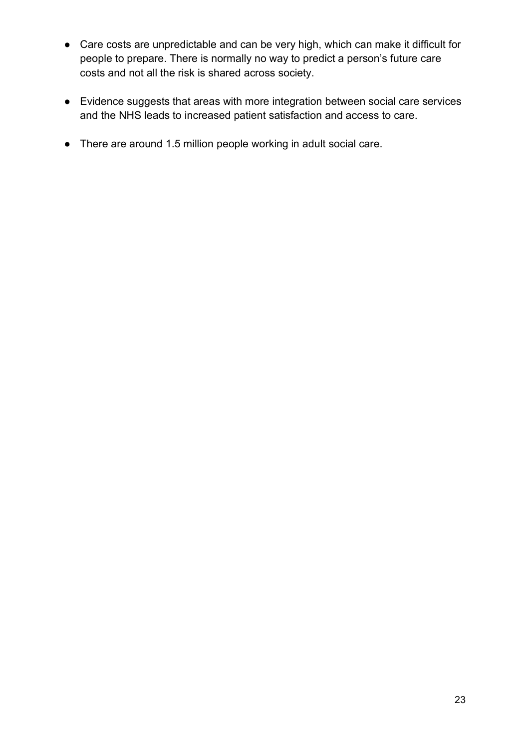- Care costs are unpredictable and can be very high, which can make it difficult for people to prepare. There is normally no way to predict a person's future care costs and not all the risk is shared across society.
- Evidence suggests that areas with more integration between social care services and the NHS leads to increased patient satisfaction and access to care.
- There are around 1.5 million people working in adult social care.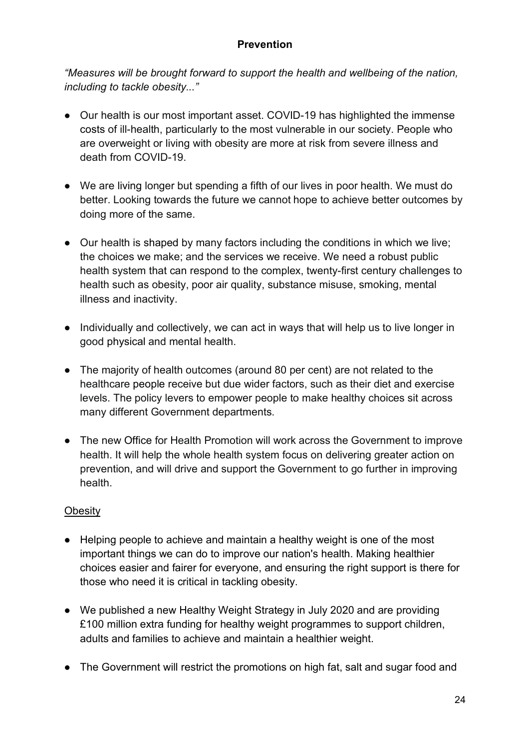#### **Prevention**

*"Measures will be brought forward to support the health and wellbeing of the nation, including to tackle obesity..."*

- Our health is our most important asset. COVID-19 has highlighted the immense costs of ill-health, particularly to the most vulnerable in our society. People who are overweight or living with obesity are more at risk from severe illness and death from COVID-19.
- We are living longer but spending a fifth of our lives in poor health. We must do better. Looking towards the future we cannot hope to achieve better outcomes by doing more of the same.
- Our health is shaped by many factors including the conditions in which we live; the choices we make; and the services we receive. We need a robust public health system that can respond to the complex, twenty-first century challenges to health such as obesity, poor air quality, substance misuse, smoking, mental illness and inactivity.
- Individually and collectively, we can act in ways that will help us to live longer in good physical and mental health.
- The majority of health outcomes (around 80 per cent) are not related to the healthcare people receive but due wider factors, such as their diet and exercise levels. The policy levers to empower people to make healthy choices sit across many different Government departments.
- The new Office for Health Promotion will work across the Government to improve health. It will help the whole health system focus on delivering greater action on prevention, and will drive and support the Government to go further in improving health.

## **Obesity**

- Helping people to achieve and maintain a healthy weight is one of the most important things we can do to improve our nation's health. Making healthier choices easier and fairer for everyone, and ensuring the right support is there for those who need it is critical in tackling obesity.
- We published a new Healthy Weight Strategy in July 2020 and are providing £100 million extra funding for healthy weight programmes to support children, adults and families to achieve and maintain a healthier weight.
- The Government will restrict the promotions on high fat, salt and sugar food and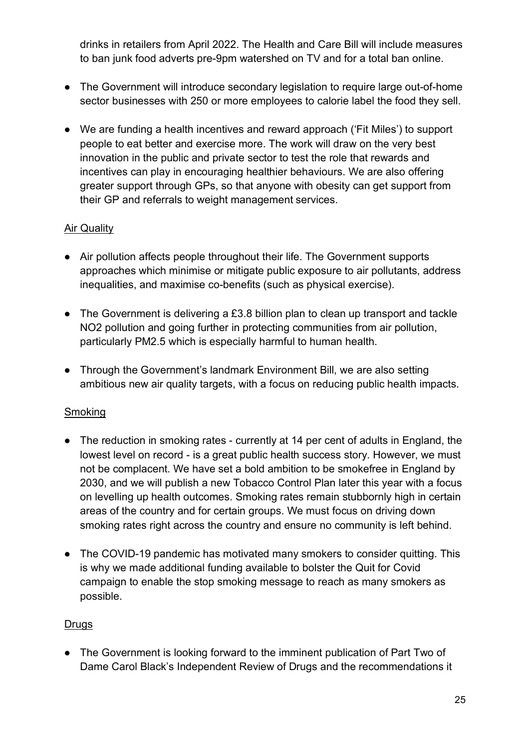drinks in retailers from April 2022. The Health and Care Bill will include measures to ban junk food adverts pre-9pm watershed on TV and for a total ban online.

- The Government will introduce secondary legislation to require large out-of-home sector businesses with 250 or more employees to calorie label the food they sell.
- We are funding a health incentives and reward approach ('Fit Miles') to support people to eat better and exercise more. The work will draw on the very best innovation in the public and private sector to test the role that rewards and incentives can play in encouraging healthier behaviours. We are also offering greater support through GPs, so that anyone with obesity can get support from their GP and referrals to weight management services.

### **Air Quality**

- Air pollution affects people throughout their life. The Government supports approaches which minimise or mitigate public exposure to air pollutants, address inequalities, and maximise co-benefits (such as physical exercise).
- The Government is delivering a £3.8 billion plan to clean up transport and tackle NO2 pollution and going further in protecting communities from air pollution, particularly PM2.5 which is especially harmful to human health.
- Through the Government's landmark Environment Bill, we are also setting ambitious new air quality targets, with a focus on reducing public health impacts.

## **Smoking**

- The reduction in smoking rates currently at 14 per cent of adults in England, the lowest level on record - is a great public health success story. However, we must not be complacent. We have set a bold ambition to be smokefree in England by 2030, and we will publish a new Tobacco Control Plan later this year with a focus on levelling up health outcomes. Smoking rates remain stubbornly high in certain areas of the country and for certain groups. We must focus on driving down smoking rates right across the country and ensure no community is left behind.
- The COVID-19 pandemic has motivated many smokers to consider quitting. This is why we made additional funding available to bolster the Quit for Covid campaign to enable the stop smoking message to reach as many smokers as possible.

#### **Drugs**

● The Government is looking forward to the imminent publication of Part Two of Dame Carol Black's Independent Review of Drugs and the recommendations it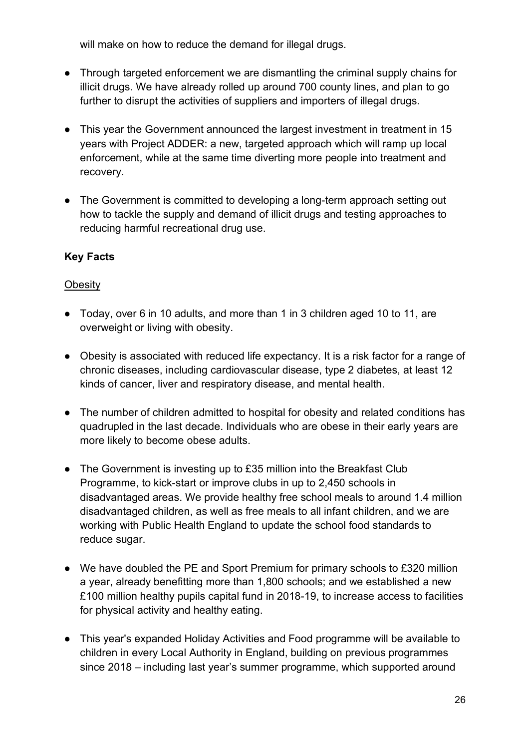will make on how to reduce the demand for illegal drugs.

- Through targeted enforcement we are dismantling the criminal supply chains for illicit drugs. We have already rolled up around 700 county lines, and plan to go further to disrupt the activities of suppliers and importers of illegal drugs.
- This year the Government announced the largest investment in treatment in 15 years with Project ADDER: a new, targeted approach which will ramp up local enforcement, while at the same time diverting more people into treatment and recovery.
- The Government is committed to developing a long-term approach setting out how to tackle the supply and demand of illicit drugs and testing approaches to reducing harmful recreational drug use.

## **Key Facts**

#### **Obesity**

- Today, over 6 in 10 adults, and more than 1 in 3 children aged 10 to 11, are overweight or living with obesity.
- Obesity is associated with reduced life expectancy. It is a risk factor for a range of chronic diseases, including cardiovascular disease, type 2 diabetes, at least 12 kinds of cancer, liver and respiratory disease, and mental health.
- The number of children admitted to hospital for obesity and related conditions has quadrupled in the last decade. Individuals who are obese in their early years are more likely to become obese adults.
- The Government is investing up to £35 million into the Breakfast Club Programme, to kick-start or improve clubs in up to 2,450 schools in disadvantaged areas. We provide healthy free school meals to around 1.4 million disadvantaged children, as well as free meals to all infant children, and we are working with Public Health England to update the school food standards to reduce sugar.
- We have doubled the PE and Sport Premium for primary schools to £320 million a year, already benefitting more than 1,800 schools; and we established a new £100 million healthy pupils capital fund in 2018-19, to increase access to facilities for physical activity and healthy eating.
- This year's expanded Holiday Activities and Food programme will be available to children in every Local Authority in England, building on previous programmes since 2018 – including last year's summer programme, which supported around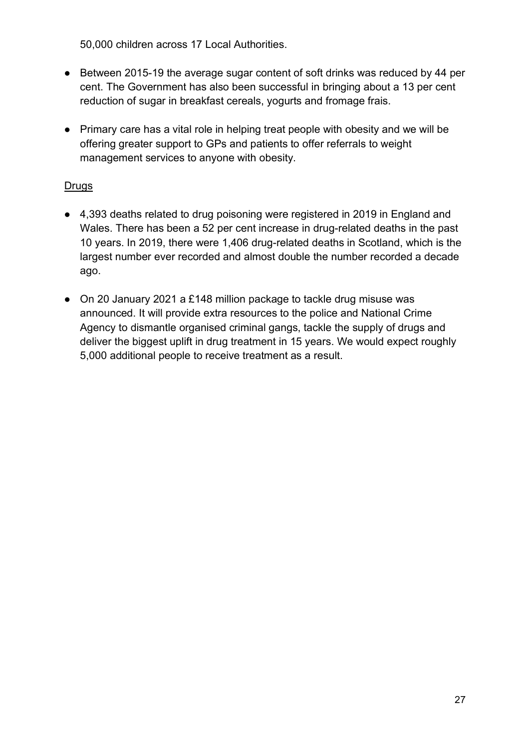50,000 children across 17 Local Authorities.

- Between 2015-19 the average sugar content of soft drinks was reduced by 44 per cent. The Government has also been successful in bringing about a 13 per cent reduction of sugar in breakfast cereals, yogurts and fromage frais.
- Primary care has a vital role in helping treat people with obesity and we will be offering greater support to GPs and patients to offer referrals to weight management services to anyone with obesity.

### **Drugs**

- 4,393 deaths related to drug poisoning were registered in 2019 in England and Wales. There has been a 52 per cent increase in drug-related deaths in the past 10 years. In 2019, there were 1,406 drug-related deaths in Scotland, which is the largest number ever recorded and almost double the number recorded a decade ago.
- On 20 January 2021 a £148 million package to tackle drug misuse was announced. It will provide extra resources to the police and National Crime Agency to dismantle organised criminal gangs, tackle the supply of drugs and deliver the biggest uplift in drug treatment in 15 years. We would expect roughly 5,000 additional people to receive treatment as a result.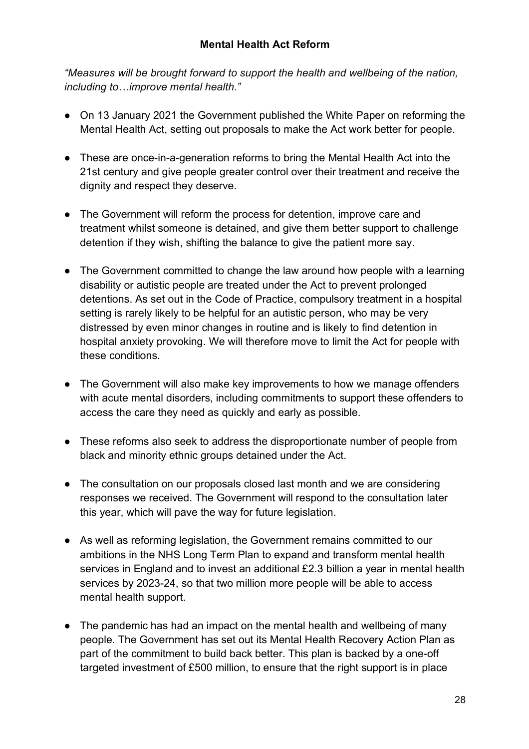*"Measures will be brought forward to support the health and wellbeing of the nation, including to…improve mental health."*

- On 13 January 2021 the Government published the White Paper on reforming the Mental Health Act, setting out proposals to make the Act work better for people.
- These are once-in-a-generation reforms to bring the Mental Health Act into the 21st century and give people greater control over their treatment and receive the dignity and respect they deserve.
- The Government will reform the process for detention, improve care and treatment whilst someone is detained, and give them better support to challenge detention if they wish, shifting the balance to give the patient more say.
- The Government committed to change the law around how people with a learning disability or autistic people are treated under the Act to prevent prolonged detentions. As set out in the Code of Practice, compulsory treatment in a hospital setting is rarely likely to be helpful for an autistic person, who may be very distressed by even minor changes in routine and is likely to find detention in hospital anxiety provoking. We will therefore move to limit the Act for people with these conditions.
- The Government will also make key improvements to how we manage offenders with acute mental disorders, including commitments to support these offenders to access the care they need as quickly and early as possible.
- These reforms also seek to address the disproportionate number of people from black and minority ethnic groups detained under the Act.
- The consultation on our proposals closed last month and we are considering responses we received. The Government will respond to the consultation later this year, which will pave the way for future legislation.
- As well as reforming legislation, the Government remains committed to our ambitions in the NHS Long Term Plan to expand and transform mental health services in England and to invest an additional £2.3 billion a year in mental health services by 2023-24, so that two million more people will be able to access mental health support.
- The pandemic has had an impact on the mental health and wellbeing of many people. The Government has set out its Mental Health Recovery Action Plan as part of the commitment to build back better. This plan is backed by a one-off targeted investment of £500 million, to ensure that the right support is in place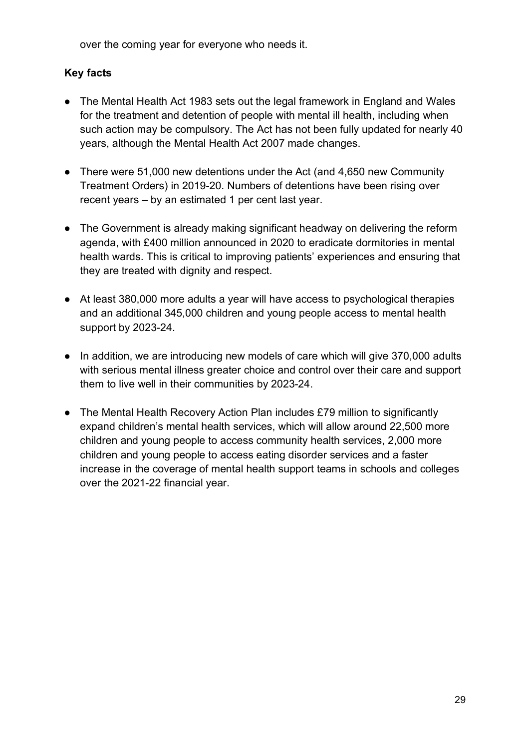over the coming year for everyone who needs it.

- The Mental Health Act 1983 sets out the legal framework in England and Wales for the treatment and detention of people with mental ill health, including when such action may be compulsory. The Act has not been fully updated for nearly 40 years, although the Mental Health Act 2007 made changes.
- There were 51,000 new detentions under the Act (and 4,650 new Community Treatment Orders) in 2019-20. Numbers of detentions have been rising over recent years – by an estimated 1 per cent last year.
- The Government is already making significant headway on delivering the reform agenda, with £400 million announced in 2020 to eradicate dormitories in mental health wards. This is critical to improving patients' experiences and ensuring that they are treated with dignity and respect.
- At least 380,000 more adults a vear will have access to psychological therapies and an additional 345,000 children and young people access to mental health support by 2023-24.
- In addition, we are introducing new models of care which will give 370,000 adults with serious mental illness greater choice and control over their care and support them to live well in their communities by 2023-24.
- The Mental Health Recovery Action Plan includes £79 million to significantly expand children's mental health services, which will allow around 22,500 more children and young people to access community health services, 2,000 more children and young people to access eating disorder services and a faster increase in the coverage of mental health support teams in schools and colleges over the 2021-22 financial year.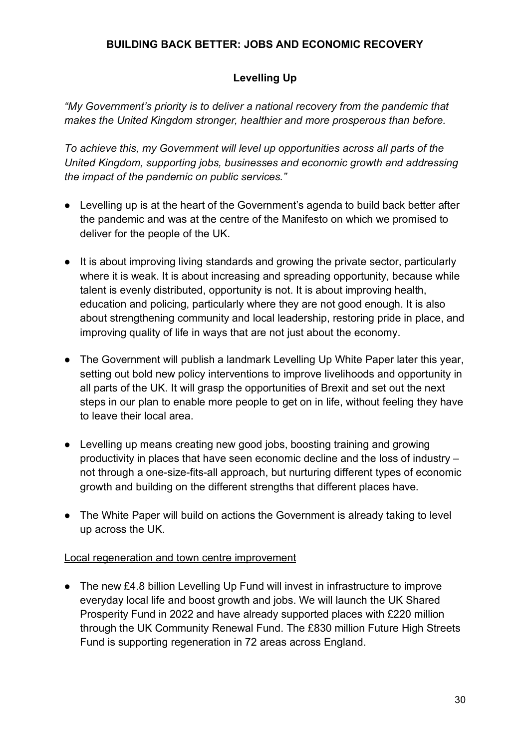### **BUILDING BACK BETTER: JOBS AND ECONOMIC RECOVERY**

# **Levelling Up**

*"My Government's priority is to deliver a national recovery from the pandemic that makes the United Kingdom stronger, healthier and more prosperous than before.* 

*To achieve this, my Government will level up opportunities across all parts of the United Kingdom, supporting jobs, businesses and economic growth and addressing the impact of the pandemic on public services."*

- Levelling up is at the heart of the Government's agenda to build back better after the pandemic and was at the centre of the Manifesto on which we promised to deliver for the people of the UK.
- It is about improving living standards and growing the private sector, particularly where it is weak. It is about increasing and spreading opportunity, because while talent is evenly distributed, opportunity is not. It is about improving health, education and policing, particularly where they are not good enough. It is also about strengthening community and local leadership, restoring pride in place, and improving quality of life in ways that are not just about the economy.
- The Government will publish a landmark Levelling Up White Paper later this year, setting out bold new policy interventions to improve livelihoods and opportunity in all parts of the UK. It will grasp the opportunities of Brexit and set out the next steps in our plan to enable more people to get on in life, without feeling they have to leave their local area.
- Levelling up means creating new good jobs, boosting training and growing productivity in places that have seen economic decline and the loss of industry – not through a one-size-fits-all approach, but nurturing different types of economic growth and building on the different strengths that different places have.
- The White Paper will build on actions the Government is already taking to level up across the UK.

#### Local regeneration and town centre improvement

● The new £4.8 billion Levelling Up Fund will invest in infrastructure to improve everyday local life and boost growth and jobs. We will launch the UK Shared Prosperity Fund in 2022 and have already supported places with £220 million through the UK Community Renewal Fund. The £830 million Future High Streets Fund is supporting regeneration in 72 areas across England.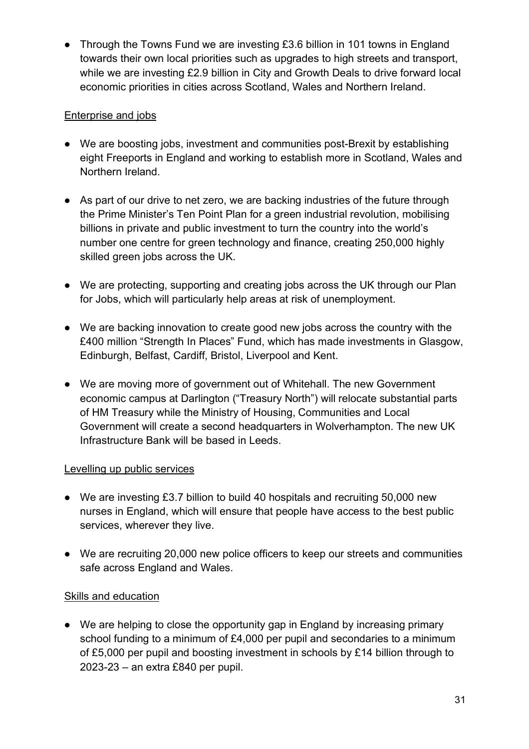• Through the Towns Fund we are investing £3.6 billion in 101 towns in England towards their own local priorities such as upgrades to high streets and transport, while we are investing £2.9 billion in City and Growth Deals to drive forward local economic priorities in cities across Scotland, Wales and Northern Ireland.

### Enterprise and jobs

- We are boosting jobs, investment and communities post-Brexit by establishing eight Freeports in England and working to establish more in Scotland, Wales and Northern Ireland.
- As part of our drive to net zero, we are backing industries of the future through the Prime Minister's Ten Point Plan for a green industrial revolution, mobilising billions in private and public investment to turn the country into the world's number one centre for green technology and finance, creating 250,000 highly skilled green jobs across the UK.
- We are protecting, supporting and creating jobs across the UK through our Plan for Jobs, which will particularly help areas at risk of unemployment.
- We are backing innovation to create good new jobs across the country with the £400 million "Strength In Places" Fund, which has made investments in Glasgow, Edinburgh, Belfast, Cardiff, Bristol, Liverpool and Kent.
- We are moving more of government out of Whitehall. The new Government economic campus at Darlington ("Treasury North") will relocate substantial parts of HM Treasury while the Ministry of Housing, Communities and Local Government will create a second headquarters in Wolverhampton. The new UK Infrastructure Bank will be based in Leeds.

#### Levelling up public services

- We are investing £3.7 billion to build 40 hospitals and recruiting 50,000 new nurses in England, which will ensure that people have access to the best public services, wherever they live.
- We are recruiting 20,000 new police officers to keep our streets and communities safe across England and Wales.

#### Skills and education

● We are helping to close the opportunity gap in England by increasing primary school funding to a minimum of £4,000 per pupil and secondaries to a minimum of £5,000 per pupil and boosting investment in schools by £14 billion through to 2023-23 – an extra £840 per pupil.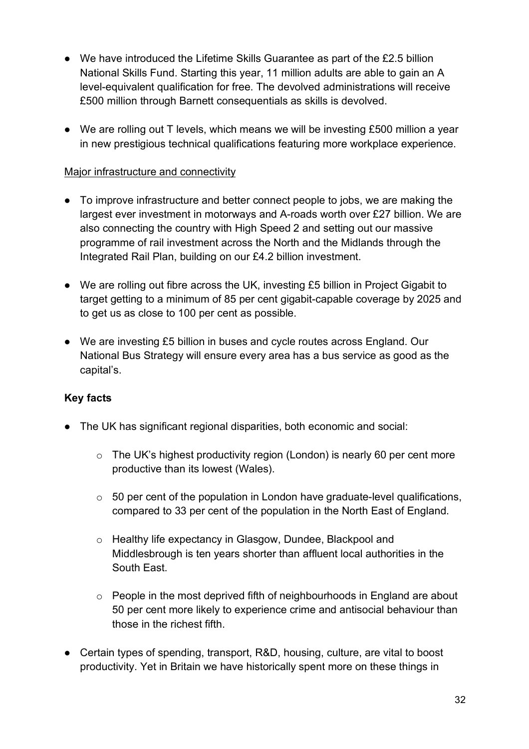- We have introduced the Lifetime Skills Guarantee as part of the £2.5 billion National Skills Fund. Starting this year, 11 million adults are able to gain an A level-equivalent qualification for free. The devolved administrations will receive £500 million through Barnett consequentials as skills is devolved.
- We are rolling out T levels, which means we will be investing £500 million a year in new prestigious technical qualifications featuring more workplace experience.

#### Major infrastructure and connectivity

- To improve infrastructure and better connect people to jobs, we are making the largest ever investment in motorways and A-roads worth over £27 billion. We are also connecting the country with High Speed 2 and setting out our massive programme of rail investment across the North and the Midlands through the Integrated Rail Plan, building on our £4.2 billion investment.
- We are rolling out fibre across the UK, investing £5 billion in Project Gigabit to target getting to a minimum of 85 per cent gigabit-capable coverage by 2025 and to get us as close to 100 per cent as possible.
- We are investing £5 billion in buses and cycle routes across England. Our National Bus Strategy will ensure every area has a bus service as good as the capital's.

- The UK has significant regional disparities, both economic and social:
	- o The UK's highest productivity region (London) is nearly 60 per cent more productive than its lowest (Wales).
	- $\circ$  50 per cent of the population in London have graduate-level qualifications, compared to 33 per cent of the population in the North East of England.
	- o Healthy life expectancy in Glasgow, Dundee, Blackpool and Middlesbrough is ten years shorter than affluent local authorities in the South East.
	- $\circ$  People in the most deprived fifth of neighbourhoods in England are about 50 per cent more likely to experience crime and antisocial behaviour than those in the richest fifth.
- Certain types of spending, transport, R&D, housing, culture, are vital to boost productivity. Yet in Britain we have historically spent more on these things in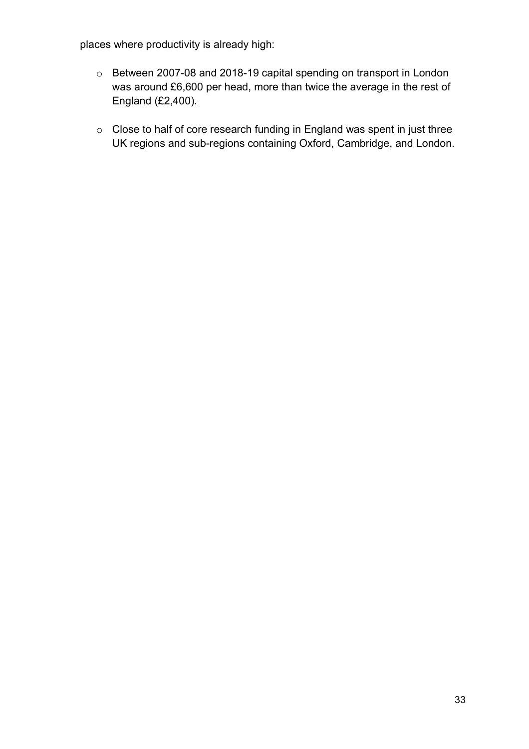places where productivity is already high:

- o Between 2007-08 and 2018-19 capital spending on transport in London was around £6,600 per head, more than twice the average in the rest of England (£2,400).
- o Close to half of core research funding in England was spent in just three UK regions and sub-regions containing Oxford, Cambridge, and London.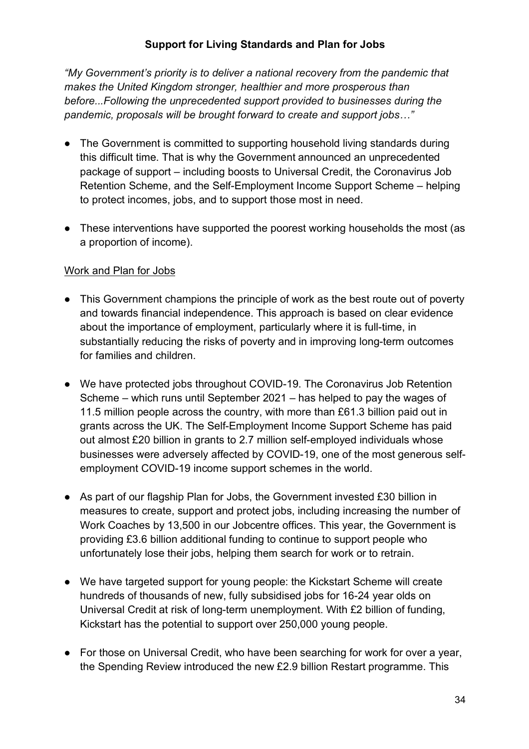#### **Support for Living Standards and Plan for Jobs**

*"My Government's priority is to deliver a national recovery from the pandemic that makes the United Kingdom stronger, healthier and more prosperous than before...Following the unprecedented support provided to businesses during the pandemic, proposals will be brought forward to create and support jobs…"*

- The Government is committed to supporting household living standards during this difficult time. That is why the Government announced an unprecedented package of support – including boosts to Universal Credit, the Coronavirus Job Retention Scheme, and the Self-Employment Income Support Scheme – helping to protect incomes, jobs, and to support those most in need.
- These interventions have supported the poorest working households the most (as a proportion of income).

#### Work and Plan for Jobs

- This Government champions the principle of work as the best route out of poverty and towards financial independence. This approach is based on clear evidence about the importance of employment, particularly where it is full-time, in substantially reducing the risks of poverty and in improving long-term outcomes for families and children.
- We have protected jobs throughout COVID-19. The Coronavirus Job Retention Scheme – which runs until September 2021 – has helped to pay the wages of 11.5 million people across the country, with more than £61.3 billion paid out in grants across the UK. The Self-Employment Income Support Scheme has paid out almost £20 billion in grants to 2.7 million self-employed individuals whose businesses were adversely affected by COVID-19, one of the most generous selfemployment COVID-19 income support schemes in the world.
- $\bullet$  As part of our flagship Plan for Jobs, the Government invested £30 billion in measures to create, support and protect jobs, including increasing the number of Work Coaches by 13,500 in our Jobcentre offices. This year, the Government is providing £3.6 billion additional funding to continue to support people who unfortunately lose their jobs, helping them search for work or to retrain.
- We have targeted support for young people: the Kickstart Scheme will create hundreds of thousands of new, fully subsidised jobs for 16-24 year olds on Universal Credit at risk of long-term unemployment. With £2 billion of funding, Kickstart has the potential to support over 250,000 young people.
- For those on Universal Credit, who have been searching for work for over a year, the Spending Review introduced the new £2.9 billion Restart programme. This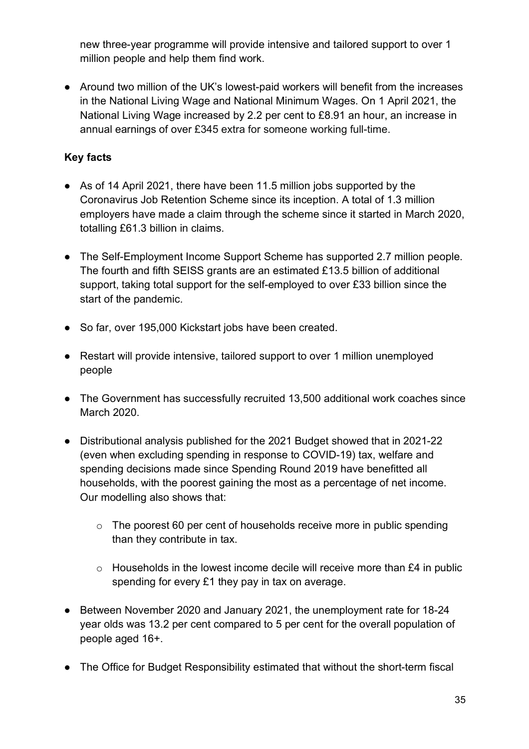new three-year programme will provide intensive and tailored support to over 1 million people and help them find work.

● Around two million of the UK's lowest-paid workers will benefit from the increases in the National Living Wage and National Minimum Wages. On 1 April 2021, the National Living Wage increased by 2.2 per cent to £8.91 an hour, an increase in annual earnings of over £345 extra for someone working full-time.

- As of 14 April 2021, there have been 11.5 million jobs supported by the Coronavirus Job Retention Scheme since its inception. A total of 1.3 million employers have made a claim through the scheme since it started in March 2020, totalling £61.3 billion in claims.
- The Self-Employment Income Support Scheme has supported 2.7 million people. The fourth and fifth SEISS grants are an estimated £13.5 billion of additional support, taking total support for the self-employed to over £33 billion since the start of the pandemic.
- So far, over 195,000 Kickstart jobs have been created.
- Restart will provide intensive, tailored support to over 1 million unemployed people
- The Government has successfully recruited 13,500 additional work coaches since March 2020.
- Distributional analysis published for the 2021 Budget showed that in 2021-22 (even when excluding spending in response to COVID-19) tax, welfare and spending decisions made since Spending Round 2019 have benefitted all households, with the poorest gaining the most as a percentage of net income. Our modelling also shows that:
	- o The poorest 60 per cent of households receive more in public spending than they contribute in tax.
	- o Households in the lowest income decile will receive more than £4 in public spending for every £1 they pay in tax on average.
- Between November 2020 and January 2021, the unemployment rate for 18-24 year olds was 13.2 per cent compared to 5 per cent for the overall population of people aged 16+.
- The Office for Budget Responsibility estimated that without the short-term fiscal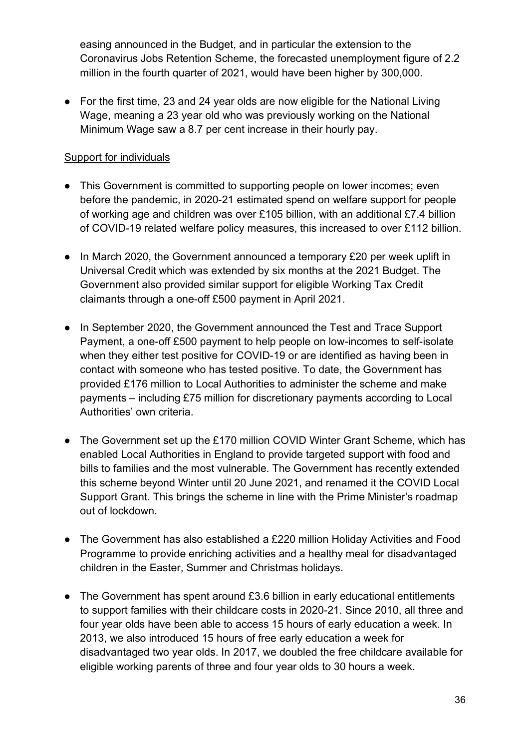easing announced in the Budget, and in particular the extension to the Coronavirus Jobs Retention Scheme, the forecasted unemployment figure of 2.2 million in the fourth quarter of 2021, would have been higher by 300,000.

● For the first time, 23 and 24 year olds are now eligible for the National Living Wage, meaning a 23 year old who was previously working on the National Minimum Wage saw a 8.7 per cent increase in their hourly pay.

#### Support for individuals

- This Government is committed to supporting people on lower incomes; even before the pandemic, in 2020-21 estimated spend on welfare support for people of working age and children was over £105 billion, with an additional £7.4 billion of COVID-19 related welfare policy measures, this increased to over £112 billion.
- In March 2020, the Government announced a temporary £20 per week uplift in Universal Credit which was extended by six months at the 2021 Budget. The Government also provided similar support for eligible Working Tax Credit claimants through a one-off £500 payment in April 2021.
- In September 2020, the Government announced the Test and Trace Support Payment, a one-off £500 payment to help people on low-incomes to self-isolate when they either test positive for COVID-19 or are identified as having been in contact with someone who has tested positive. To date, the Government has provided £176 million to Local Authorities to administer the scheme and make payments – including £75 million for discretionary payments according to Local Authorities' own criteria.
- The Government set up the £170 million COVID Winter Grant Scheme, which has enabled Local Authorities in England to provide targeted support with food and bills to families and the most vulnerable. The Government has recently extended this scheme beyond Winter until 20 June 2021, and renamed it the COVID Local Support Grant. This brings the scheme in line with the Prime Minister's roadmap out of lockdown.
- The Government has also established a £220 million Holiday Activities and Food Programme to provide enriching activities and a healthy meal for disadvantaged children in the Easter, Summer and Christmas holidays.
- The Government has spent around £3.6 billion in early educational entitlements to support families with their childcare costs in 2020-21. Since 2010, all three and four year olds have been able to access 15 hours of early education a week. In 2013, we also introduced 15 hours of free early education a week for disadvantaged two year olds. In 2017, we doubled the free childcare available for eligible working parents of three and four year olds to 30 hours a week.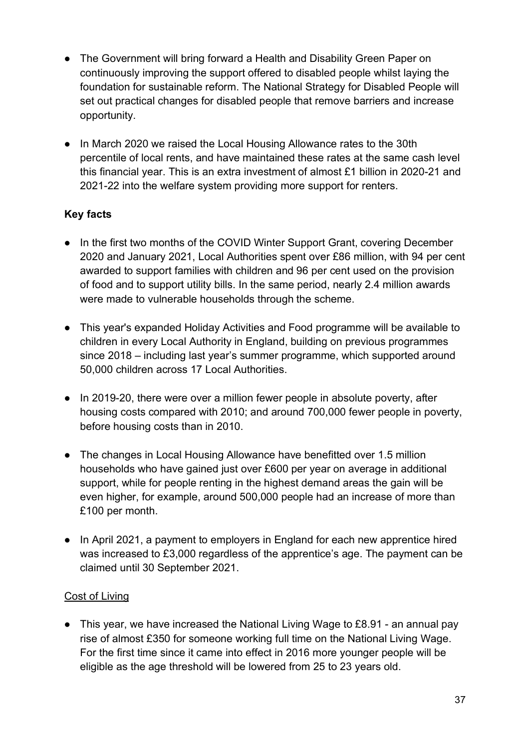- The Government will bring forward a Health and Disability Green Paper on continuously improving the support offered to disabled people whilst laying the foundation for sustainable reform. The National Strategy for Disabled People will set out practical changes for disabled people that remove barriers and increase opportunity.
- In March 2020 we raised the Local Housing Allowance rates to the 30th percentile of local rents, and have maintained these rates at the same cash level this financial year. This is an extra investment of almost £1 billion in 2020-21 and 2021-22 into the welfare system providing more support for renters.

## **Key facts**

- In the first two months of the COVID Winter Support Grant, covering December 2020 and January 2021, Local Authorities spent over £86 million, with 94 per cent awarded to support families with children and 96 per cent used on the provision of food and to support utility bills. In the same period, nearly 2.4 million awards were made to vulnerable households through the scheme.
- This year's expanded Holiday Activities and Food programme will be available to children in every Local Authority in England, building on previous programmes since 2018 – including last year's summer programme, which supported around 50,000 children across 17 Local Authorities.
- In 2019-20, there were over a million fewer people in absolute poverty, after housing costs compared with 2010; and around 700,000 fewer people in poverty, before housing costs than in 2010.
- The changes in Local Housing Allowance have benefitted over 1.5 million households who have gained just over £600 per year on average in additional support, while for people renting in the highest demand areas the gain will be even higher, for example, around 500,000 people had an increase of more than £100 per month.
- In April 2021, a payment to employers in England for each new apprentice hired was increased to £3,000 regardless of the apprentice's age. The payment can be claimed until 30 September 2021.

## Cost of Living

● This year, we have increased the National Living Wage to £8.91 - an annual pay rise of almost £350 for someone working full time on the National Living Wage. For the first time since it came into effect in 2016 more younger people will be eligible as the age threshold will be lowered from 25 to 23 years old.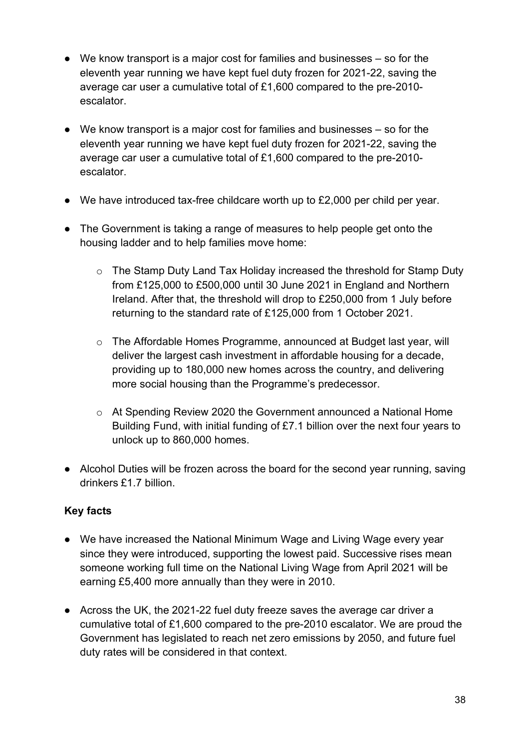- We know transport is a major cost for families and businesses so for the eleventh year running we have kept fuel duty frozen for 2021-22, saving the average car user a cumulative total of £1,600 compared to the pre-2010 escalator.
- We know transport is a major cost for families and businesses so for the eleventh year running we have kept fuel duty frozen for 2021-22, saving the average car user a cumulative total of £1,600 compared to the pre-2010 escalator.
- We have introduced tax-free childcare worth up to £2,000 per child per year.
- The Government is taking a range of measures to help people get onto the housing ladder and to help families move home:
	- o The Stamp Duty Land Tax Holiday increased the threshold for Stamp Duty from £125,000 to £500,000 until 30 June 2021 in England and Northern Ireland. After that, the threshold will drop to £250,000 from 1 July before returning to the standard rate of £125,000 from 1 October 2021.
	- $\circ$  The Affordable Homes Programme, announced at Budget last year, will deliver the largest cash investment in affordable housing for a decade, providing up to 180,000 new homes across the country, and delivering more social housing than the Programme's predecessor.
	- o At Spending Review 2020 the Government announced a National Home Building Fund, with initial funding of £7.1 billion over the next four years to unlock up to 860,000 homes.
- Alcohol Duties will be frozen across the board for the second year running, saving drinkers £1.7 billion.

- We have increased the National Minimum Wage and Living Wage every year since they were introduced, supporting the lowest paid. Successive rises mean someone working full time on the National Living Wage from April 2021 will be earning £5,400 more annually than they were in 2010.
- Across the UK, the 2021-22 fuel duty freeze saves the average car driver a cumulative total of £1,600 compared to the pre-2010 escalator. We are proud the Government has legislated to reach net zero emissions by 2050, and future fuel duty rates will be considered in that context.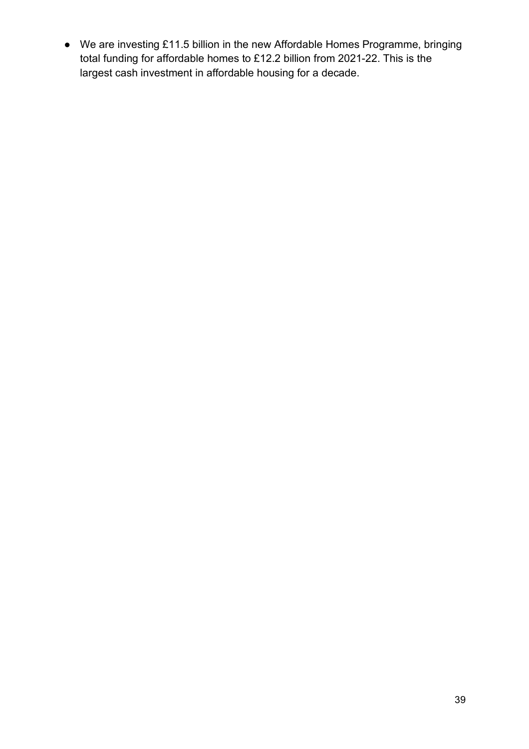● We are investing £11.5 billion in the new Affordable Homes Programme, bringing total funding for affordable homes to £12.2 billion from 2021-22. This is the largest cash investment in affordable housing for a decade.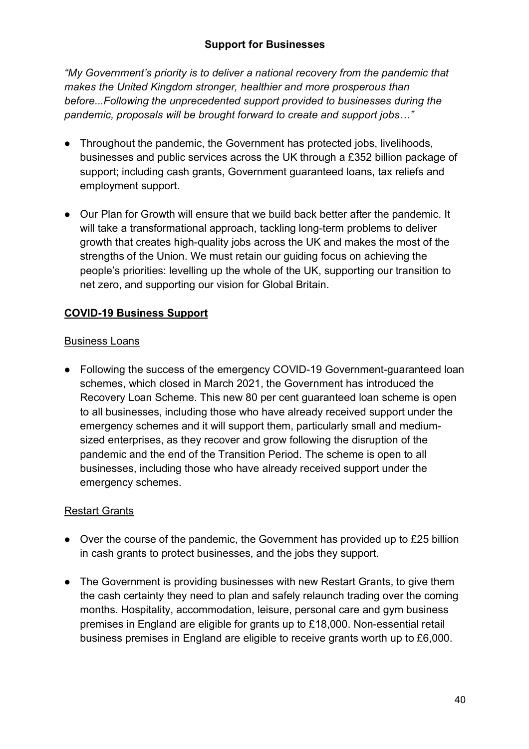*"My Government's priority is to deliver a national recovery from the pandemic that makes the United Kingdom stronger, healthier and more prosperous than before...Following the unprecedented support provided to businesses during the pandemic, proposals will be brought forward to create and support jobs…"*

- Throughout the pandemic, the Government has protected jobs, livelihoods, businesses and public services across the UK through a £352 billion package of support; including cash grants, Government guaranteed loans, tax reliefs and employment support.
- Our Plan for Growth will ensure that we build back better after the pandemic. It will take a transformational approach, tackling long-term problems to deliver growth that creates high-quality jobs across the UK and makes the most of the strengths of the Union. We must retain our guiding focus on achieving the people's priorities: levelling up the whole of the UK, supporting our transition to net zero, and supporting our vision for Global Britain.

# **COVID-19 Business Support**

### Business Loans

• Following the success of the emergency COVID-19 Government-guaranteed loan schemes, which closed in March 2021, the Government has introduced the Recovery Loan Scheme. This new 80 per cent guaranteed loan scheme is open to all businesses, including those who have already received support under the emergency schemes and it will support them, particularly small and mediumsized enterprises, as they recover and grow following the disruption of the pandemic and the end of the Transition Period. The scheme is open to all businesses, including those who have already received support under the emergency schemes.

# Restart Grants

- Over the course of the pandemic, the Government has provided up to £25 billion in cash grants to protect businesses, and the jobs they support.
- The Government is providing businesses with new Restart Grants, to give them the cash certainty they need to plan and safely relaunch trading over the coming months. Hospitality, accommodation, leisure, personal care and gym business premises in England are eligible for grants up to £18,000. Non-essential retail business premises in England are eligible to receive grants worth up to £6,000.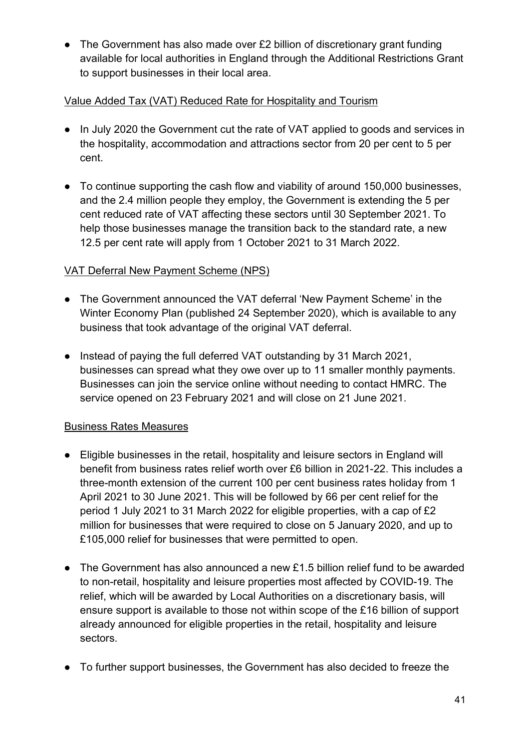• The Government has also made over £2 billion of discretionary grant funding available for local authorities in England through the Additional Restrictions Grant to support businesses in their local area.

## Value Added Tax (VAT) Reduced Rate for Hospitality and Tourism

- In July 2020 the Government cut the rate of VAT applied to goods and services in the hospitality, accommodation and attractions sector from 20 per cent to 5 per cent.
- To continue supporting the cash flow and viability of around 150,000 businesses, and the 2.4 million people they employ, the Government is extending the 5 per cent reduced rate of VAT affecting these sectors until 30 September 2021. To help those businesses manage the transition back to the standard rate, a new 12.5 per cent rate will apply from 1 October 2021 to 31 March 2022.

## VAT Deferral New Payment Scheme (NPS)

- The Government announced the VAT deferral 'New Payment Scheme' in the Winter Economy Plan (published 24 September 2020), which is available to any business that took advantage of the original VAT deferral.
- Instead of paying the full deferred VAT outstanding by 31 March 2021, businesses can spread what they owe over up to 11 smaller monthly payments. Businesses can join the service online without needing to contact HMRC. The service opened on 23 February 2021 and will close on 21 June 2021.

### Business Rates Measures

- Eligible businesses in the retail, hospitality and leisure sectors in England will benefit from business rates relief worth over £6 billion in 2021-22. This includes a three-month extension of the current 100 per cent business rates holiday from 1 April 2021 to 30 June 2021. This will be followed by 66 per cent relief for the period 1 July 2021 to 31 March 2022 for eligible properties, with a cap of £2 million for businesses that were required to close on 5 January 2020, and up to £105,000 relief for businesses that were permitted to open.
- The Government has also announced a new £1.5 billion relief fund to be awarded to non-retail, hospitality and leisure properties most affected by COVID-19. The relief, which will be awarded by Local Authorities on a discretionary basis, will ensure support is available to those not within scope of the £16 billion of support already announced for eligible properties in the retail, hospitality and leisure sectors.
- To further support businesses, the Government has also decided to freeze the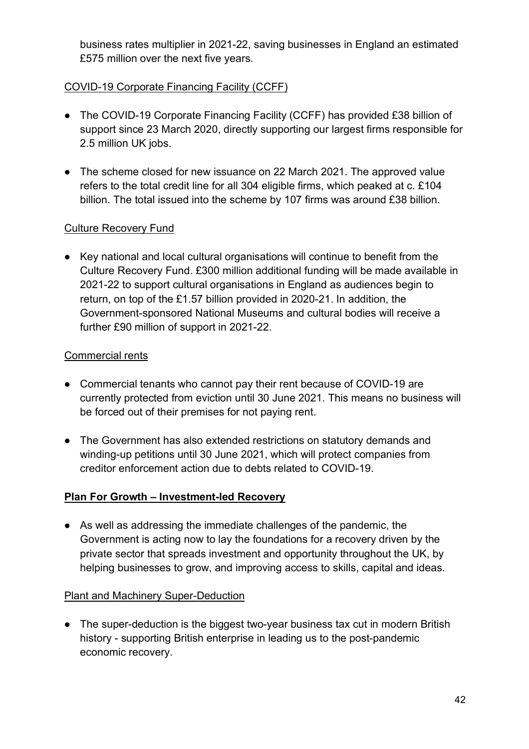business rates multiplier in 2021-22, saving businesses in England an estimated £575 million over the next five years.

## COVID-19 Corporate Financing Facility (CCFF)

- The COVID-19 Corporate Financing Facility (CCFF) has provided £38 billion of support since 23 March 2020, directly supporting our largest firms responsible for 2.5 million UK jobs.
- The scheme closed for new issuance on 22 March 2021. The approved value refers to the total credit line for all 304 eligible firms, which peaked at c. £104 billion. The total issued into the scheme by 107 firms was around £38 billion.

### Culture Recovery Fund

● Key national and local cultural organisations will continue to benefit from the Culture Recovery Fund. £300 million additional funding will be made available in 2021-22 to support cultural organisations in England as audiences begin to return, on top of the £1.57 billion provided in 2020-21. In addition, the Government-sponsored National Museums and cultural bodies will receive a further £90 million of support in 2021-22.

#### Commercial rents

- Commercial tenants who cannot pay their rent because of COVID-19 are currently protected from eviction until 30 June 2021. This means no business will be forced out of their premises for not paying rent.
- The Government has also extended restrictions on statutory demands and winding-up petitions until 30 June 2021, which will protect companies from creditor enforcement action due to debts related to COVID-19.

### **Plan For Growth – Investment-led Recovery**

● As well as addressing the immediate challenges of the pandemic, the Government is acting now to lay the foundations for a recovery driven by the private sector that spreads investment and opportunity throughout the UK, by helping businesses to grow, and improving access to skills, capital and ideas.

#### Plant and Machinery Super-Deduction

• The super-deduction is the biggest two-year business tax cut in modern British history - supporting British enterprise in leading us to the post-pandemic economic recovery.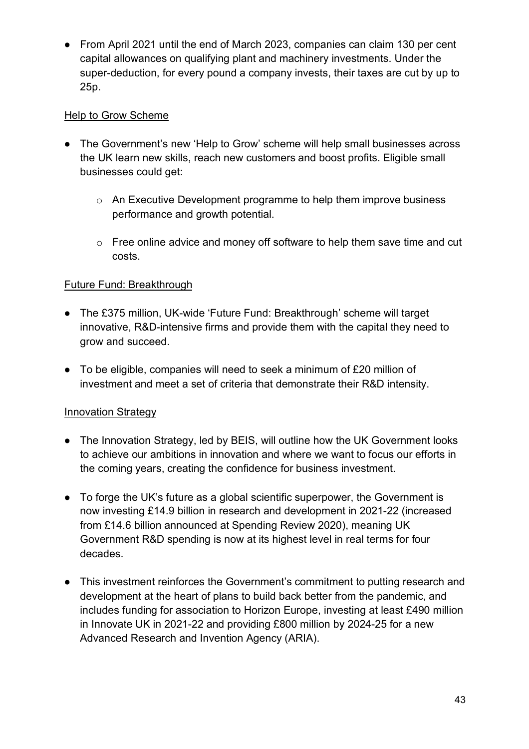● From April 2021 until the end of March 2023, companies can claim 130 per cent capital allowances on qualifying plant and machinery investments. Under the super-deduction, for every pound a company invests, their taxes are cut by up to 25p.

## Help to Grow Scheme

- The Government's new 'Help to Grow' scheme will help small businesses across the UK learn new skills, reach new customers and boost profits. Eligible small businesses could get:
	- o An Executive Development programme to help them improve business performance and growth potential.
	- o Free online advice and money off software to help them save time and cut costs.

## Future Fund: Breakthrough

- The £375 million, UK-wide 'Future Fund: Breakthrough' scheme will target innovative, R&D-intensive firms and provide them with the capital they need to grow and succeed.
- To be eligible, companies will need to seek a minimum of £20 million of investment and meet a set of criteria that demonstrate their R&D intensity.

### Innovation Strategy

- The Innovation Strategy, led by BEIS, will outline how the UK Government looks to achieve our ambitions in innovation and where we want to focus our efforts in the coming years, creating the confidence for business investment.
- To forge the UK's future as a global scientific superpower, the Government is now investing £14.9 billion in research and development in 2021-22 (increased from £14.6 billion announced at Spending Review 2020), meaning UK Government R&D spending is now at its highest level in real terms for four decades.
- This investment reinforces the Government's commitment to putting research and development at the heart of plans to build back better from the pandemic, and includes funding for association to Horizon Europe, investing at least £490 million in Innovate UK in 2021-22 and providing £800 million by 2024-25 for a new Advanced Research and Invention Agency (ARIA).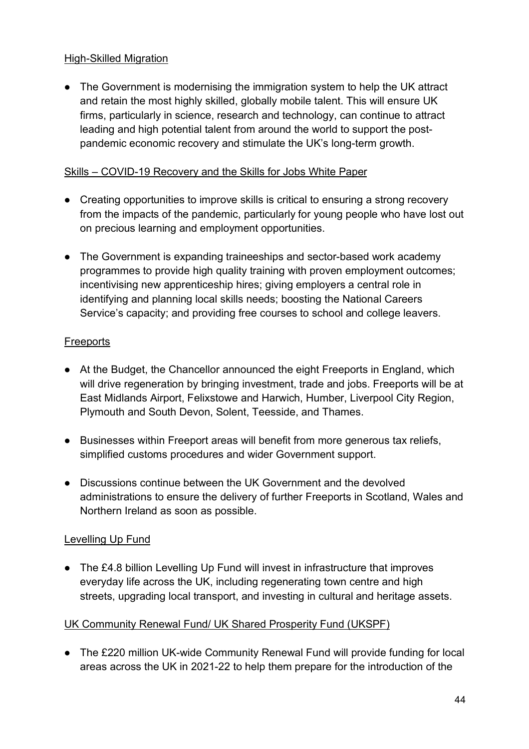### High-Skilled Migration

• The Government is modernising the immigration system to help the UK attract and retain the most highly skilled, globally mobile talent. This will ensure UK firms, particularly in science, research and technology, can continue to attract leading and high potential talent from around the world to support the postpandemic economic recovery and stimulate the UK's long-term growth.

## Skills – COVID-19 Recovery and the Skills for Jobs White Paper

- Creating opportunities to improve skills is critical to ensuring a strong recovery from the impacts of the pandemic, particularly for young people who have lost out on precious learning and employment opportunities.
- The Government is expanding traineeships and sector-based work academy programmes to provide high quality training with proven employment outcomes; incentivising new apprenticeship hires; giving employers a central role in identifying and planning local skills needs; boosting the National Careers Service's capacity; and providing free courses to school and college leavers.

## **Freeports**

- At the Budget, the Chancellor announced the eight Freeports in England, which will drive regeneration by bringing investment, trade and jobs. Freeports will be at East Midlands Airport, Felixstowe and Harwich, Humber, Liverpool City Region, Plymouth and South Devon, Solent, Teesside, and Thames.
- Businesses within Freeport areas will benefit from more generous tax reliefs, simplified customs procedures and wider Government support.
- Discussions continue between the UK Government and the devolved administrations to ensure the delivery of further Freeports in Scotland, Wales and Northern Ireland as soon as possible.

### Levelling Up Fund

● The £4.8 billion Levelling Up Fund will invest in infrastructure that improves everyday life across the UK, including regenerating town centre and high streets, upgrading local transport, and investing in cultural and heritage assets.

# UK Community Renewal Fund/ UK Shared Prosperity Fund (UKSPF)

● The £220 million UK-wide Community Renewal Fund will provide funding for local areas across the UK in 2021-22 to help them prepare for the introduction of the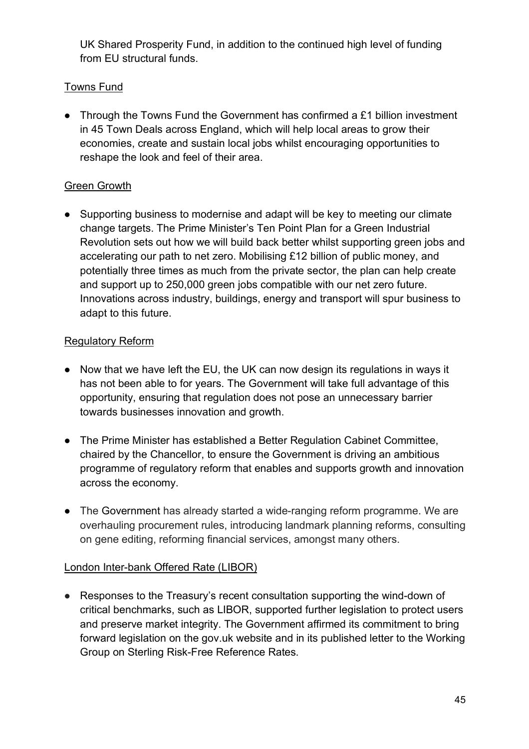UK Shared Prosperity Fund, in addition to the continued high level of funding from EU structural funds.

### Towns Fund

● Through the Towns Fund the Government has confirmed a £1 billion investment in 45 Town Deals across England, which will help local areas to grow their economies, create and sustain local jobs whilst encouraging opportunities to reshape the look and feel of their area.

### Green Growth

● Supporting business to modernise and adapt will be key to meeting our climate change targets. The Prime Minister's Ten Point Plan for a Green Industrial Revolution sets out how we will build back better whilst supporting green jobs and accelerating our path to net zero. Mobilising £12 billion of public money, and potentially three times as much from the private sector, the plan can help create and support up to 250,000 green jobs compatible with our net zero future. Innovations across industry, buildings, energy and transport will spur business to adapt to this future.

### Regulatory Reform

- Now that we have left the EU, the UK can now design its regulations in ways it has not been able to for years. The Government will take full advantage of this opportunity, ensuring that regulation does not pose an unnecessary barrier towards businesses innovation and growth.
- The Prime Minister has established a Better Regulation Cabinet Committee, chaired by the Chancellor, to ensure the Government is driving an ambitious programme of regulatory reform that enables and supports growth and innovation across the economy.
- The Government has already started a wide-ranging reform programme. We are overhauling procurement rules, introducing landmark planning reforms, consulting on gene editing, reforming financial services, amongst many others.

### London Inter-bank Offered Rate (LIBOR)

● Responses to the Treasury's recent consultation supporting the wind-down of critical benchmarks, such as LIBOR, supported further legislation to protect users and preserve market integrity. The Government affirmed its commitment to bring forward legislation on the gov.uk website and in its published letter to the Working Group on Sterling Risk-Free Reference Rates.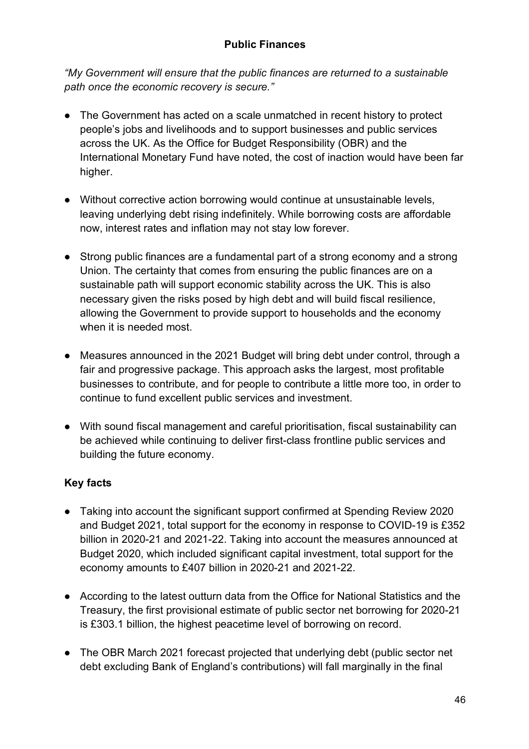### **Public Finances**

*"My Government will ensure that the public finances are returned to a sustainable path once the economic recovery is secure."*

- The Government has acted on a scale unmatched in recent history to protect people's jobs and livelihoods and to support businesses and public services across the UK. As the Office for Budget Responsibility (OBR) and the International Monetary Fund have noted, the cost of inaction would have been far higher.
- Without corrective action borrowing would continue at unsustainable levels, leaving underlying debt rising indefinitely. While borrowing costs are affordable now, interest rates and inflation may not stay low forever.
- Strong public finances are a fundamental part of a strong economy and a strong Union. The certainty that comes from ensuring the public finances are on a sustainable path will support economic stability across the UK. This is also necessary given the risks posed by high debt and will build fiscal resilience, allowing the Government to provide support to households and the economy when it is needed most.
- Measures announced in the 2021 Budget will bring debt under control, through a fair and progressive package. This approach asks the largest, most profitable businesses to contribute, and for people to contribute a little more too, in order to continue to fund excellent public services and investment.
- With sound fiscal management and careful prioritisation, fiscal sustainability can be achieved while continuing to deliver first-class frontline public services and building the future economy.

- Taking into account the significant support confirmed at Spending Review 2020 and Budget 2021, total support for the economy in response to COVID-19 is £352 billion in 2020-21 and 2021-22. Taking into account the measures announced at Budget 2020, which included significant capital investment, total support for the economy amounts to £407 billion in 2020-21 and 2021-22.
- According to the latest outturn data from the Office for National Statistics and the Treasury, the first provisional estimate of public sector net borrowing for 2020-21 is £303.1 billion, the highest peacetime level of borrowing on record.
- The OBR March 2021 forecast projected that underlying debt (public sector net debt excluding Bank of England's contributions) will fall marginally in the final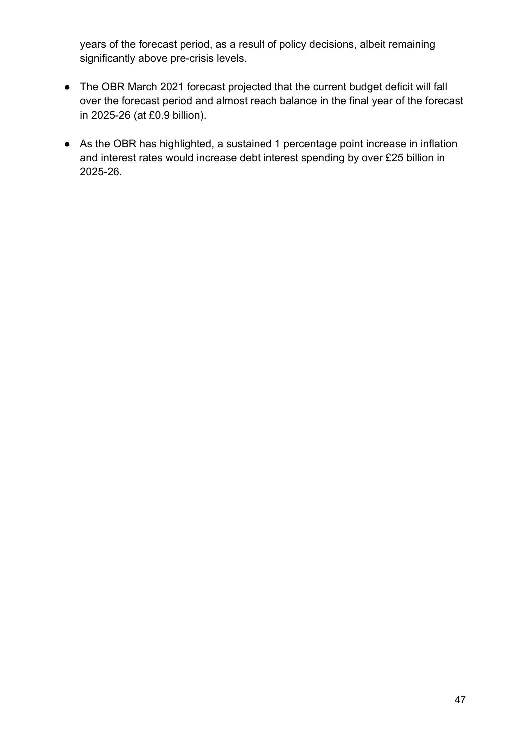years of the forecast period, as a result of policy decisions, albeit remaining significantly above pre-crisis levels.

- The OBR March 2021 forecast projected that the current budget deficit will fall over the forecast period and almost reach balance in the final year of the forecast in 2025-26 (at £0.9 billion).
- As the OBR has highlighted, a sustained 1 percentage point increase in inflation and interest rates would increase debt interest spending by over £25 billion in 2025-26.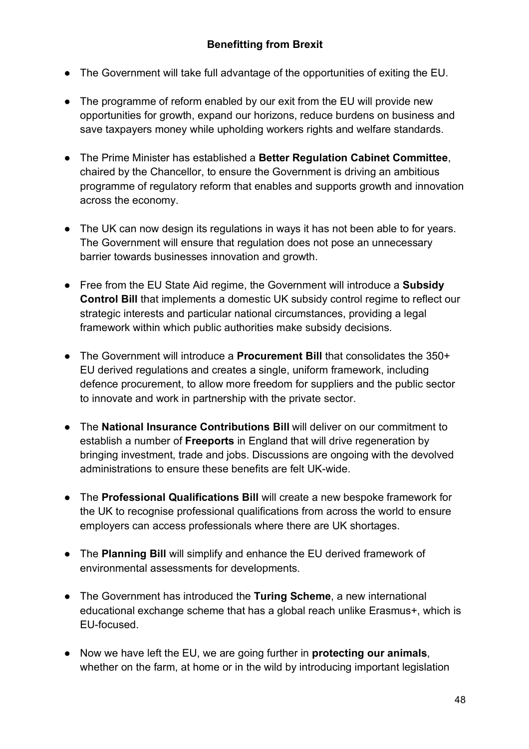- The Government will take full advantage of the opportunities of exiting the EU.
- The programme of reform enabled by our exit from the EU will provide new opportunities for growth, expand our horizons, reduce burdens on business and save taxpayers money while upholding workers rights and welfare standards.
- The Prime Minister has established a **Better Regulation Cabinet Committee**, chaired by the Chancellor, to ensure the Government is driving an ambitious programme of regulatory reform that enables and supports growth and innovation across the economy.
- The UK can now design its regulations in ways it has not been able to for years. The Government will ensure that regulation does not pose an unnecessary barrier towards businesses innovation and growth.
- Free from the EU State Aid regime, the Government will introduce a **Subsidy Control Bill** that implements a domestic UK subsidy control regime to reflect our strategic interests and particular national circumstances, providing a legal framework within which public authorities make subsidy decisions.
- The Government will introduce a **Procurement Bill** that consolidates the 350+ EU derived regulations and creates a single, uniform framework, including defence procurement, to allow more freedom for suppliers and the public sector to innovate and work in partnership with the private sector.
- The **National Insurance Contributions Bill** will deliver on our commitment to establish a number of **Freeports** in England that will drive regeneration by bringing investment, trade and jobs. Discussions are ongoing with the devolved administrations to ensure these benefits are felt UK-wide.
- The **Professional Qualifications Bill** will create a new bespoke framework for the UK to recognise professional qualifications from across the world to ensure employers can access professionals where there are UK shortages.
- The **Planning Bill** will simplify and enhance the EU derived framework of environmental assessments for developments.
- The Government has introduced the **Turing Scheme**, a new international educational exchange scheme that has a global reach unlike Erasmus+, which is EU-focused.
- Now we have left the EU, we are going further in **protecting our animals**, whether on the farm, at home or in the wild by introducing important legislation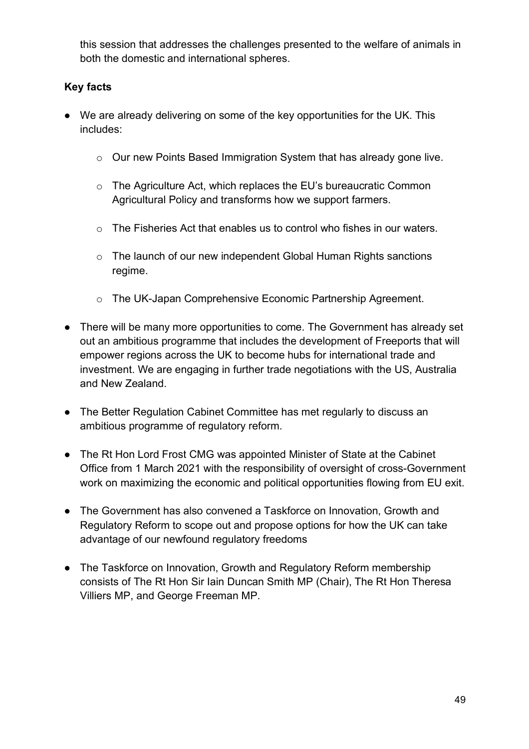this session that addresses the challenges presented to the welfare of animals in both the domestic and international spheres.

- We are already delivering on some of the key opportunities for the UK. This includes:
	- o Our new Points Based Immigration System that has already gone live.
	- o The Agriculture Act, which replaces the EU's bureaucratic Common Agricultural Policy and transforms how we support farmers.
	- o The Fisheries Act that enables us to control who fishes in our waters.
	- o The launch of our new independent Global Human Rights sanctions regime.
	- o The UK-Japan Comprehensive Economic Partnership Agreement.
- There will be many more opportunities to come. The Government has already set out an ambitious programme that includes the development of Freeports that will empower regions across the UK to become hubs for international trade and investment. We are engaging in further trade negotiations with the US, Australia and New Zealand.
- The Better Regulation Cabinet Committee has met regularly to discuss an ambitious programme of regulatory reform.
- The Rt Hon Lord Frost CMG was appointed Minister of State at the Cabinet Office from 1 March 2021 with the responsibility of oversight of cross-Government work on maximizing the economic and political opportunities flowing from EU exit.
- The Government has also convened a Taskforce on Innovation, Growth and Regulatory Reform to scope out and propose options for how the UK can take advantage of our newfound regulatory freedoms
- The Taskforce on Innovation, Growth and Regulatory Reform membership consists of The Rt Hon Sir Iain Duncan Smith MP (Chair), The Rt Hon Theresa Villiers MP, and George Freeman MP.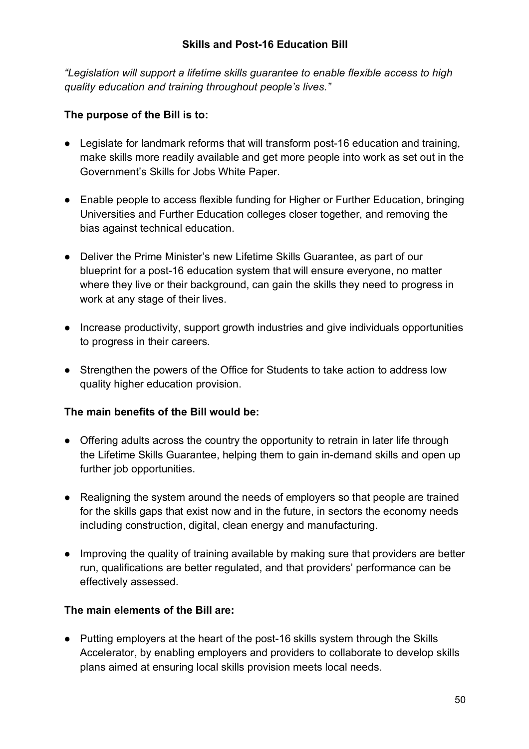*"Legislation will support a lifetime skills guarantee to enable flexible access to high quality education and training throughout people's lives."*

### **The purpose of the Bill is to:**

- Legislate for landmark reforms that will transform post-16 education and training, make skills more readily available and get more people into work as set out in the Government's Skills for Jobs White Paper.
- Enable people to access flexible funding for Higher or Further Education, bringing Universities and Further Education colleges closer together, and removing the bias against technical education.
- Deliver the Prime Minister's new Lifetime Skills Guarantee, as part of our blueprint for a post-16 education system that will ensure everyone, no matter where they live or their background, can gain the skills they need to progress in work at any stage of their lives.
- Increase productivity, support growth industries and give individuals opportunities to progress in their careers.
- Strengthen the powers of the Office for Students to take action to address low quality higher education provision.

### **The main benefits of the Bill would be:**

- Offering adults across the country the opportunity to retrain in later life through the Lifetime Skills Guarantee, helping them to gain in-demand skills and open up further job opportunities.
- Realigning the system around the needs of employers so that people are trained for the skills gaps that exist now and in the future, in sectors the economy needs including construction, digital, clean energy and manufacturing.
- Improving the quality of training available by making sure that providers are better run, qualifications are better regulated, and that providers' performance can be effectively assessed.

### **The main elements of the Bill are:**

● Putting employers at the heart of the post-16 skills system through the Skills Accelerator, by enabling employers and providers to collaborate to develop skills plans aimed at ensuring local skills provision meets local needs.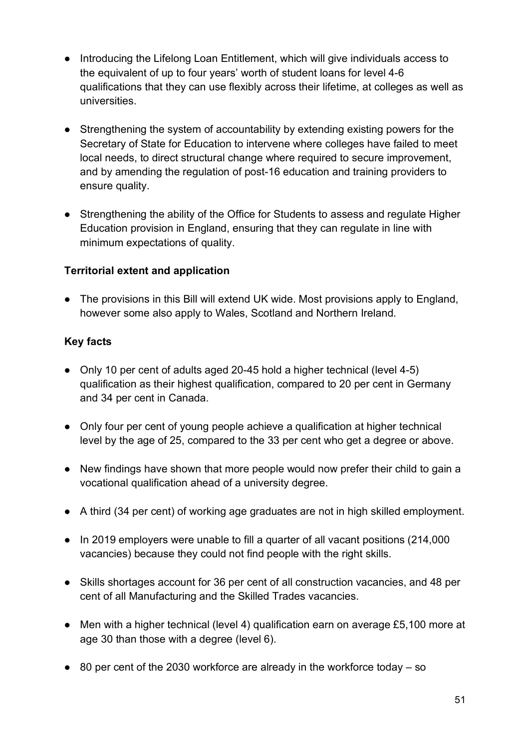- Introducing the Lifelong Loan Entitlement, which will give individuals access to the equivalent of up to four years' worth of student loans for level 4-6 qualifications that they can use flexibly across their lifetime, at colleges as well as universities.
- Strengthening the system of accountability by extending existing powers for the Secretary of State for Education to intervene where colleges have failed to meet local needs, to direct structural change where required to secure improvement, and by amending the regulation of post-16 education and training providers to ensure quality.
- Strengthening the ability of the Office for Students to assess and regulate Higher Education provision in England, ensuring that they can regulate in line with minimum expectations of quality.

### **Territorial extent and application**

● The provisions in this Bill will extend UK wide. Most provisions apply to England, however some also apply to Wales, Scotland and Northern Ireland.

- Only 10 per cent of adults aged 20-45 hold a higher technical (level 4-5) qualification as their highest qualification, compared to 20 per cent in Germany and 34 per cent in Canada.
- Only four per cent of young people achieve a qualification at higher technical level by the age of 25, compared to the 33 per cent who get a degree or above.
- New findings have shown that more people would now prefer their child to gain a vocational qualification ahead of a university degree.
- A third (34 per cent) of working age graduates are not in high skilled employment.
- In 2019 employers were unable to fill a quarter of all vacant positions (214,000 vacancies) because they could not find people with the right skills.
- Skills shortages account for 36 per cent of all construction vacancies, and 48 per cent of all Manufacturing and the Skilled Trades vacancies.
- Men with a higher technical (level 4) qualification earn on average £5,100 more at age 30 than those with a degree (level 6).
- $\bullet$  80 per cent of the 2030 workforce are already in the workforce today so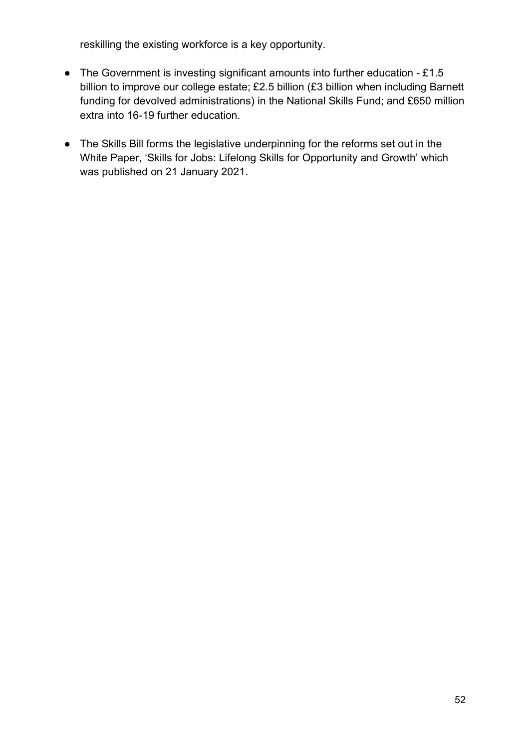reskilling the existing workforce is a key opportunity.

- The Government is investing significant amounts into further education £1.5 billion to improve our college estate; £2.5 billion (£3 billion when including Barnett funding for devolved administrations) in the National Skills Fund; and £650 million extra into 16-19 further education.
- The Skills Bill forms the legislative underpinning for the reforms set out in the White Paper, 'Skills for Jobs: Lifelong Skills for Opportunity and Growth' which was published on 21 January 2021.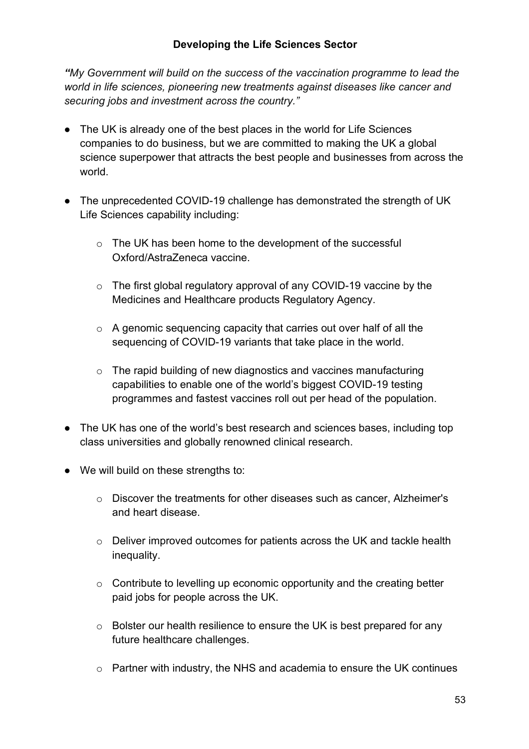*"My Government will build on the success of the vaccination programme to lead the world in life sciences, pioneering new treatments against diseases like cancer and securing jobs and investment across the country."*

- The UK is already one of the best places in the world for Life Sciences companies to do business, but we are committed to making the UK a global science superpower that attracts the best people and businesses from across the world.
- The unprecedented COVID-19 challenge has demonstrated the strength of UK Life Sciences capability including:
	- o The UK has been home to the development of the successful Oxford/AstraZeneca vaccine.
	- o The first global regulatory approval of any COVID-19 vaccine by the Medicines and Healthcare products Regulatory Agency.
	- o A genomic sequencing capacity that carries out over half of all the sequencing of COVID-19 variants that take place in the world.
	- o The rapid building of new diagnostics and vaccines manufacturing capabilities to enable one of the world's biggest COVID-19 testing programmes and fastest vaccines roll out per head of the population.
- The UK has one of the world's best research and sciences bases, including top class universities and globally renowned clinical research.
- We will build on these strengths to:
	- o Discover the treatments for other diseases such as cancer, Alzheimer's and heart disease.
	- o Deliver improved outcomes for patients across the UK and tackle health inequality.
	- o Contribute to levelling up economic opportunity and the creating better paid jobs for people across the UK.
	- o Bolster our health resilience to ensure the UK is best prepared for any future healthcare challenges.
	- o Partner with industry, the NHS and academia to ensure the UK continues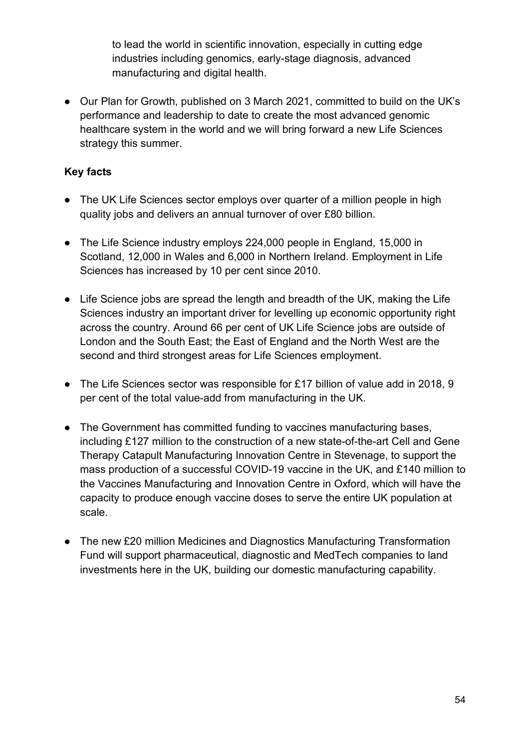to lead the world in scientific innovation, especially in cutting edge industries including genomics, early-stage diagnosis, advanced manufacturing and digital health.

● Our Plan for Growth, published on 3 March 2021, committed to build on the UK's performance and leadership to date to create the most advanced genomic healthcare system in the world and we will bring forward a new Life Sciences strategy this summer.

- The UK Life Sciences sector employs over quarter of a million people in high quality jobs and delivers an annual turnover of over £80 billion.
- The Life Science industry employs 224,000 people in England, 15,000 in Scotland, 12,000 in Wales and 6,000 in Northern Ireland. Employment in Life Sciences has increased by 10 per cent since 2010.
- Life Science jobs are spread the length and breadth of the UK, making the Life Sciences industry an important driver for levelling up economic opportunity right across the country. Around 66 per cent of UK Life Science jobs are outside of London and the South East; the East of England and the North West are the second and third strongest areas for Life Sciences employment.
- The Life Sciences sector was responsible for £17 billion of value add in 2018, 9 per cent of the total value-add from manufacturing in the UK.
- The Government has committed funding to vaccines manufacturing bases, including £127 million to the construction of a new state-of-the-art Cell and Gene Therapy Catapult Manufacturing Innovation Centre in Stevenage, to support the mass production of a successful COVID-19 vaccine in the UK, and £140 million to the Vaccines Manufacturing and Innovation Centre in Oxford, which will have the capacity to produce enough vaccine doses to serve the entire UK population at scale.
- The new £20 million Medicines and Diagnostics Manufacturing Transformation Fund will support pharmaceutical, diagnostic and MedTech companies to land investments here in the UK, building our domestic manufacturing capability.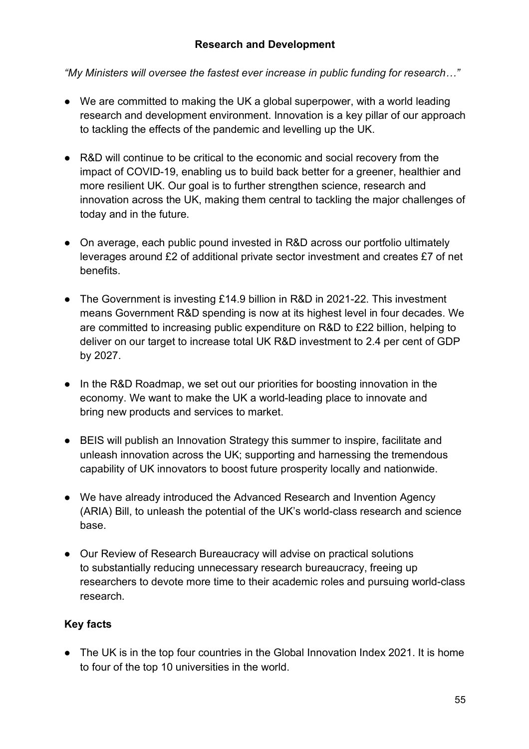*"My Ministers will oversee the fastest ever increase in public funding for research…"*

- We are committed to making the UK a global superpower, with a world leading research and development environment. Innovation is a key pillar of our approach to tackling the effects of the pandemic and levelling up the UK.
- R&D will continue to be critical to the economic and social recovery from the impact of COVID-19, enabling us to build back better for a greener, healthier and more resilient UK. Our goal is to further strengthen science, research and innovation across the UK, making them central to tackling the major challenges of today and in the future.
- On average, each public pound invested in R&D across our portfolio ultimately leverages around £2 of additional private sector investment and creates £7 of net benefits.
- The Government is investing £14.9 billion in R&D in 2021-22. This investment means Government R&D spending is now at its highest level in four decades. We are committed to increasing public expenditure on R&D to £22 billion, helping to deliver on our target to increase total UK R&D investment to 2.4 per cent of GDP by 2027.
- In the R&D Roadmap, we set out our priorities for boosting innovation in the economy. We want to make the UK a world-leading place to innovate and bring new products and services to market.
- BEIS will publish an Innovation Strategy this summer to inspire, facilitate and unleash innovation across the UK; supporting and harnessing the tremendous capability of UK innovators to boost future prosperity locally and nationwide.
- We have already introduced the Advanced Research and Invention Agency (ARIA) Bill, to unleash the potential of the UK's world-class research and science base.
- Our Review of Research Bureaucracy will advise on practical solutions to substantially reducing unnecessary research bureaucracy, freeing up researchers to devote more time to their academic roles and pursuing world-class research.

# **Key facts**

• The UK is in the top four countries in the Global Innovation Index 2021. It is home to four of the top 10 universities in the world.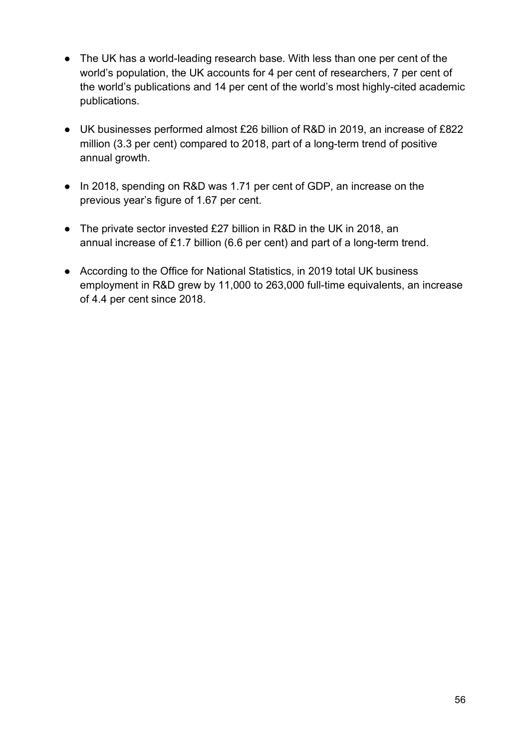- The UK has a world-leading research base. With less than one per cent of the world's population, the UK accounts for 4 per cent of researchers, 7 per cent of the world's publications and 14 per cent of the world's most highly-cited academic publications.
- UK businesses performed almost £26 billion of R&D in 2019, an increase of £822 million (3.3 per cent) compared to 2018, part of a long-term trend of positive annual growth.
- In 2018, spending on R&D was 1.71 per cent of GDP, an increase on the previous year's figure of 1.67 per cent.
- The private sector invested £27 billion in R&D in the UK in 2018, an annual increase of £1.7 billion (6.6 per cent) and part of a long-term trend.
- According to the Office for National Statistics, in 2019 total UK business employment in R&D grew by 11,000 to 263,000 full-time equivalents, an increase of 4.4 per cent since 2018.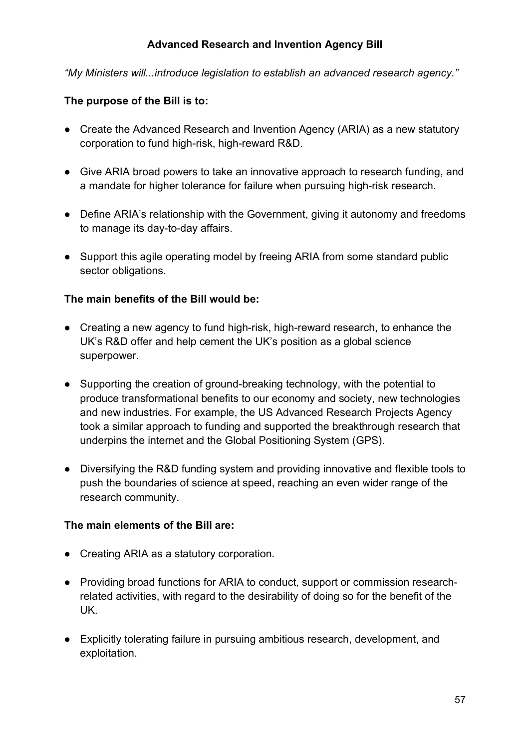### **Advanced Research and Invention Agency Bill**

*"My Ministers will...introduce legislation to establish an advanced research agency."* 

### **The purpose of the Bill is to:**

- Create the Advanced Research and Invention Agency (ARIA) as a new statutory corporation to fund high-risk, high-reward R&D.
- Give ARIA broad powers to take an innovative approach to research funding, and a mandate for higher tolerance for failure when pursuing high-risk research.
- Define ARIA's relationship with the Government, giving it autonomy and freedoms to manage its day-to-day affairs.
- Support this agile operating model by freeing ARIA from some standard public sector obligations.

### **The main benefits of the Bill would be:**

- Creating a new agency to fund high-risk, high-reward research, to enhance the UK's R&D offer and help cement the UK's position as a global science superpower.
- Supporting the creation of ground-breaking technology, with the potential to produce transformational benefits to our economy and society, new technologies and new industries. For example, the US Advanced Research Projects Agency took a similar approach to funding and supported the breakthrough research that underpins the internet and the Global Positioning System (GPS).
- Diversifying the R&D funding system and providing innovative and flexible tools to push the boundaries of science at speed, reaching an even wider range of the research community.

### **The main elements of the Bill are:**

- Creating ARIA as a statutory corporation.
- Providing broad functions for ARIA to conduct, support or commission researchrelated activities, with regard to the desirability of doing so for the benefit of the UK.
- Explicitly tolerating failure in pursuing ambitious research, development, and exploitation.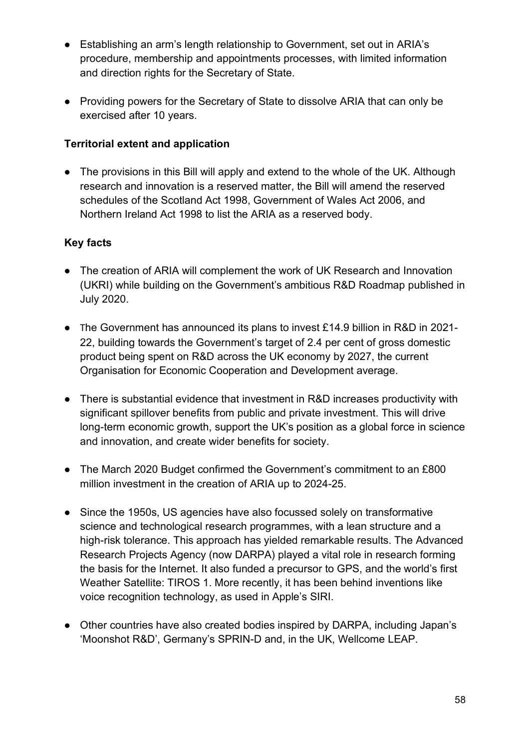- Establishing an arm's length relationship to Government, set out in ARIA's procedure, membership and appointments processes, with limited information and direction rights for the Secretary of State.
- Providing powers for the Secretary of State to dissolve ARIA that can only be exercised after 10 years.

## **Territorial extent and application**

• The provisions in this Bill will apply and extend to the whole of the UK. Although research and innovation is a reserved matter, the Bill will amend the reserved schedules of the Scotland Act 1998, Government of Wales Act 2006, and Northern Ireland Act 1998 to list the ARIA as a reserved body.

- The creation of ARIA will complement the work of UK Research and Innovation (UKRI) while building on the Government's ambitious R&D Roadmap published in July 2020.
- The Government has announced its plans to invest £14.9 billion in R&D in 2021- 22, building towards the Government's target of 2.4 per cent of gross domestic product being spent on R&D across the UK economy by 2027, the current Organisation for Economic Cooperation and Development average.
- There is substantial evidence that investment in R&D increases productivity with significant spillover benefits from public and private investment. This will drive long-term economic growth, support the UK's position as a global force in science and innovation, and create wider benefits for society.
- The March 2020 Budget confirmed the Government's commitment to an £800 million investment in the creation of ARIA up to 2024-25.
- Since the 1950s, US agencies have also focussed solely on transformative science and technological research programmes, with a lean structure and a high-risk tolerance. This approach has yielded remarkable results. The Advanced Research Projects Agency (now DARPA) played a vital role in research forming the basis for the Internet. It also funded a precursor to GPS, and the world's first Weather Satellite: TIROS 1. More recently, it has been behind inventions like voice recognition technology, as used in Apple's SIRI.
- Other countries have also created bodies inspired by DARPA, including Japan's 'Moonshot R&D', Germany's SPRIN-D and, in the UK, Wellcome LEAP.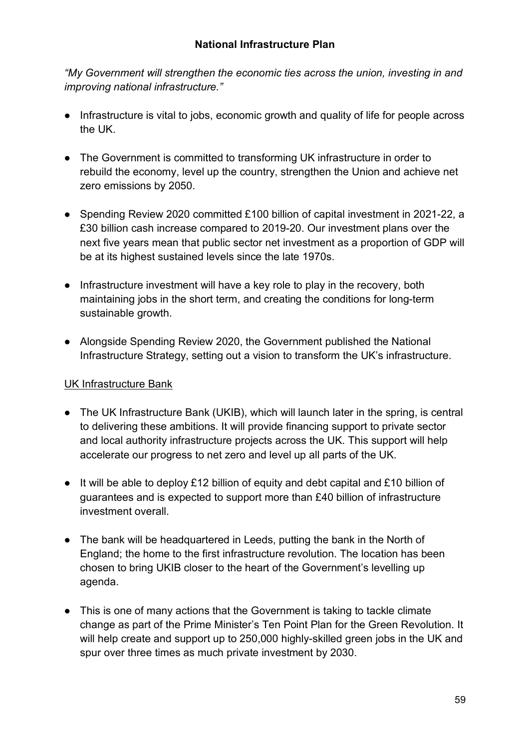*"My Government will strengthen the economic ties across the union, investing in and improving national infrastructure."*

- Infrastructure is vital to jobs, economic growth and quality of life for people across the UK.
- The Government is committed to transforming UK infrastructure in order to rebuild the economy, level up the country, strengthen the Union and achieve net zero emissions by 2050.
- Spending Review 2020 committed £100 billion of capital investment in 2021-22, a £30 billion cash increase compared to 2019-20. Our investment plans over the next five years mean that public sector net investment as a proportion of GDP will be at its highest sustained levels since the late 1970s.
- Infrastructure investment will have a key role to play in the recovery, both maintaining jobs in the short term, and creating the conditions for long-term sustainable growth.
- Alongside Spending Review 2020, the Government published the National Infrastructure Strategy, setting out a vision to transform the UK's infrastructure.

### UK Infrastructure Bank

- The UK Infrastructure Bank (UKIB), which will launch later in the spring, is central to delivering these ambitions. It will provide financing support to private sector and local authority infrastructure projects across the UK. This support will help accelerate our progress to net zero and level up all parts of the UK.
- It will be able to deploy £12 billion of equity and debt capital and £10 billion of guarantees and is expected to support more than £40 billion of infrastructure investment overall.
- The bank will be headquartered in Leeds, putting the bank in the North of England; the home to the first infrastructure revolution. The location has been chosen to bring UKIB closer to the heart of the Government's levelling up agenda.
- This is one of many actions that the Government is taking to tackle climate change as part of the Prime Minister's Ten Point Plan for the Green Revolution. It will help create and support up to 250,000 highly-skilled green jobs in the UK and spur over three times as much private investment by 2030.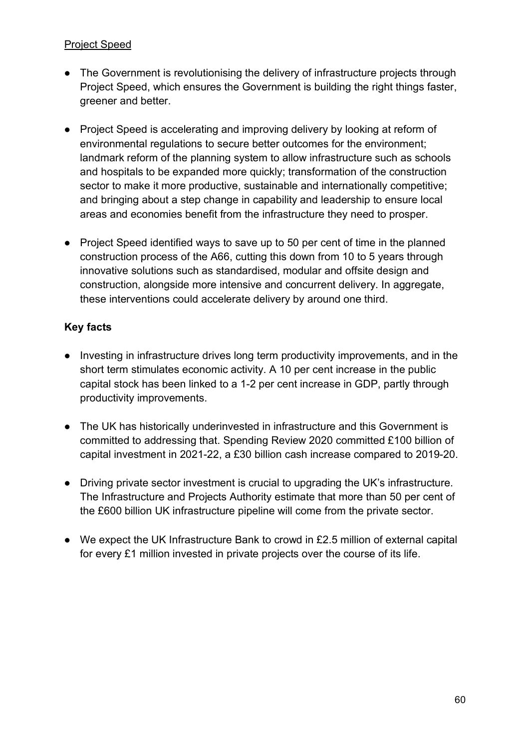### Project Speed

- The Government is revolutionising the delivery of infrastructure projects through Project Speed, which ensures the Government is building the right things faster, greener and better.
- Project Speed is accelerating and improving delivery by looking at reform of environmental regulations to secure better outcomes for the environment; landmark reform of the planning system to allow infrastructure such as schools and hospitals to be expanded more quickly; transformation of the construction sector to make it more productive, sustainable and internationally competitive; and bringing about a step change in capability and leadership to ensure local areas and economies benefit from the infrastructure they need to prosper.
- Project Speed identified ways to save up to 50 per cent of time in the planned construction process of the A66, cutting this down from 10 to 5 years through innovative solutions such as standardised, modular and offsite design and construction, alongside more intensive and concurrent delivery. In aggregate, these interventions could accelerate delivery by around one third.

- Investing in infrastructure drives long term productivity improvements, and in the short term stimulates economic activity. A 10 per cent increase in the public capital stock has been linked to a 1-2 per cent increase in GDP, partly through productivity improvements.
- The UK has historically underinvested in infrastructure and this Government is committed to addressing that. Spending Review 2020 committed £100 billion of capital investment in 2021-22, a £30 billion cash increase compared to 2019-20.
- Driving private sector investment is crucial to upgrading the UK's infrastructure. The Infrastructure and Projects Authority estimate that more than 50 per cent of the £600 billion UK infrastructure pipeline will come from the private sector.
- We expect the UK Infrastructure Bank to crowd in £2.5 million of external capital for every £1 million invested in private projects over the course of its life.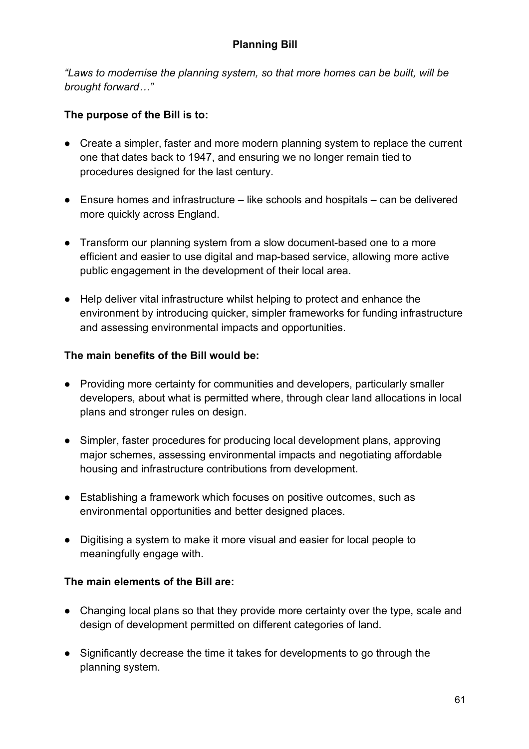*"Laws to modernise the planning system, so that more homes can be built, will be brought forward…"*

## **The purpose of the Bill is to:**

- Create a simpler, faster and more modern planning system to replace the current one that dates back to 1947, and ensuring we no longer remain tied to procedures designed for the last century.
- Ensure homes and infrastructure like schools and hospitals can be delivered more quickly across England.
- Transform our planning system from a slow document-based one to a more efficient and easier to use digital and map-based service, allowing more active public engagement in the development of their local area.
- Help deliver vital infrastructure whilst helping to protect and enhance the environment by introducing quicker, simpler frameworks for funding infrastructure and assessing environmental impacts and opportunities.

### **The main benefits of the Bill would be:**

- Providing more certainty for communities and developers, particularly smaller developers, about what is permitted where, through clear land allocations in local plans and stronger rules on design.
- Simpler, faster procedures for producing local development plans, approving major schemes, assessing environmental impacts and negotiating affordable housing and infrastructure contributions from development.
- Establishing a framework which focuses on positive outcomes, such as environmental opportunities and better designed places.
- Digitising a system to make it more visual and easier for local people to meaningfully engage with.

### **The main elements of the Bill are:**

- Changing local plans so that they provide more certainty over the type, scale and design of development permitted on different categories of land.
- Significantly decrease the time it takes for developments to go through the planning system.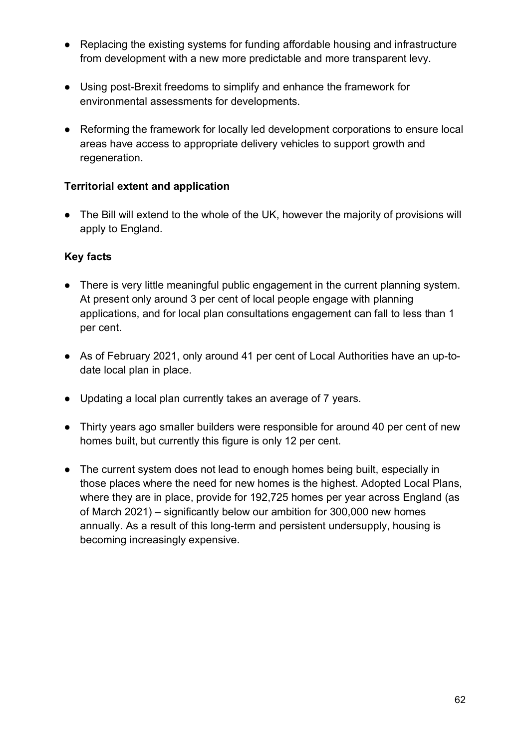- Replacing the existing systems for funding affordable housing and infrastructure from development with a new more predictable and more transparent levy.
- Using post-Brexit freedoms to simplify and enhance the framework for environmental assessments for developments.
- Reforming the framework for locally led development corporations to ensure local areas have access to appropriate delivery vehicles to support growth and regeneration.

### **Territorial extent and application**

● The Bill will extend to the whole of the UK, however the majority of provisions will apply to England.

- There is very little meaningful public engagement in the current planning system. At present only around 3 per cent of local people engage with planning applications, and for local plan consultations engagement can fall to less than 1 per cent.
- As of February 2021, only around 41 per cent of Local Authorities have an up-todate local plan in place.
- Updating a local plan currently takes an average of 7 years.
- Thirty years ago smaller builders were responsible for around 40 per cent of new homes built, but currently this figure is only 12 per cent.
- The current system does not lead to enough homes being built, especially in those places where the need for new homes is the highest. Adopted Local Plans, where they are in place, provide for 192,725 homes per year across England (as of March 2021) – significantly below our ambition for 300,000 new homes annually. As a result of this long-term and persistent undersupply, housing is becoming increasingly expensive.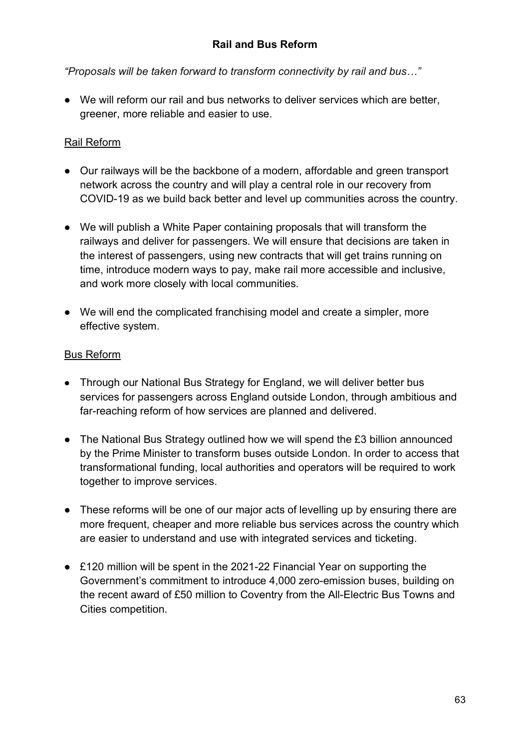*"Proposals will be taken forward to transform connectivity by rail and bus…"*

● We will reform our rail and bus networks to deliver services which are better, greener, more reliable and easier to use.

### Rail Reform

- Our railways will be the backbone of a modern, affordable and green transport network across the country and will play a central role in our recovery from COVID-19 as we build back better and level up communities across the country.
- We will publish a White Paper containing proposals that will transform the railways and deliver for passengers. We will ensure that decisions are taken in the interest of passengers, using new contracts that will get trains running on time, introduce modern ways to pay, make rail more accessible and inclusive, and work more closely with local communities.
- We will end the complicated franchising model and create a simpler, more effective system.

### Bus Reform

- Through our National Bus Strategy for England, we will deliver better bus services for passengers across England outside London, through ambitious and far-reaching reform of how services are planned and delivered.
- The National Bus Strategy outlined how we will spend the £3 billion announced by the Prime Minister to transform buses outside London. In order to access that transformational funding, local authorities and operators will be required to work together to improve services.
- These reforms will be one of our major acts of levelling up by ensuring there are more frequent, cheaper and more reliable bus services across the country which are easier to understand and use with integrated services and ticketing.
- £120 million will be spent in the 2021-22 Financial Year on supporting the Government's commitment to introduce 4,000 zero-emission buses, building on the recent award of £50 million to Coventry from the All-Electric Bus Towns and Cities competition.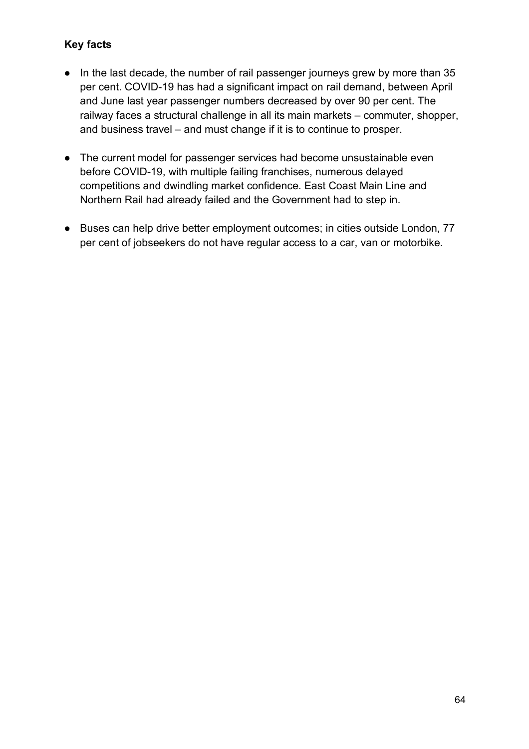- In the last decade, the number of rail passenger journeys grew by more than 35 per cent. COVID-19 has had a significant impact on rail demand, between April and June last year passenger numbers decreased by over 90 per cent. The railway faces a structural challenge in all its main markets – commuter, shopper, and business travel – and must change if it is to continue to prosper.
- The current model for passenger services had become unsustainable even before COVID-19, with multiple failing franchises, numerous delayed competitions and dwindling market confidence. East Coast Main Line and Northern Rail had already failed and the Government had to step in.
- Buses can help drive better employment outcomes; in cities outside London, 77 per cent of jobseekers do not have regular access to a car, van or motorbike.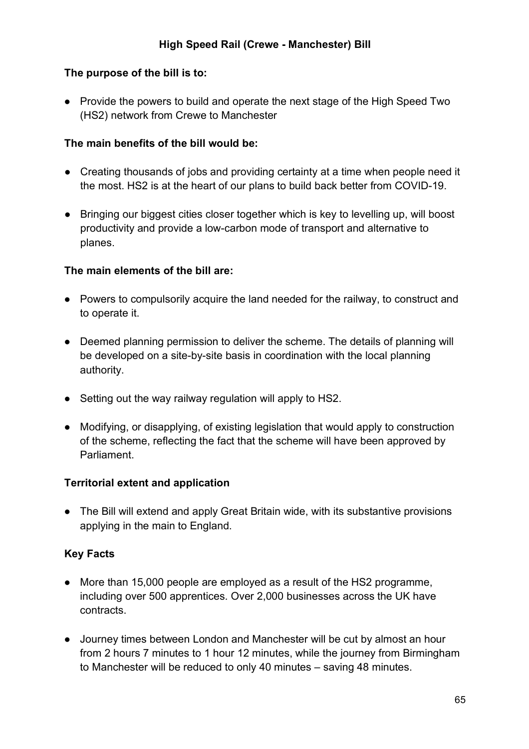### **The purpose of the bill is to:**

● Provide the powers to build and operate the next stage of the High Speed Two (HS2) network from Crewe to Manchester

#### **The main benefits of the bill would be:**

- Creating thousands of jobs and providing certainty at a time when people need it the most. HS2 is at the heart of our plans to build back better from COVID-19.
- Bringing our biggest cities closer together which is key to levelling up, will boost productivity and provide a low-carbon mode of transport and alternative to planes.

#### **The main elements of the bill are:**

- Powers to compulsorily acquire the land needed for the railway, to construct and to operate it.
- Deemed planning permission to deliver the scheme. The details of planning will be developed on a site-by-site basis in coordination with the local planning authority.
- Setting out the way railway regulation will apply to HS2.
- Modifying, or disapplying, of existing legislation that would apply to construction of the scheme, reflecting the fact that the scheme will have been approved by Parliament.

### **Territorial extent and application**

● The Bill will extend and apply Great Britain wide, with its substantive provisions applying in the main to England.

### **Key Facts**

- More than 15,000 people are employed as a result of the HS2 programme, including over 500 apprentices. Over 2,000 businesses across the UK have contracts.
- Journey times between London and Manchester will be cut by almost an hour from 2 hours 7 minutes to 1 hour 12 minutes, while the journey from Birmingham to Manchester will be reduced to only 40 minutes – saving 48 minutes.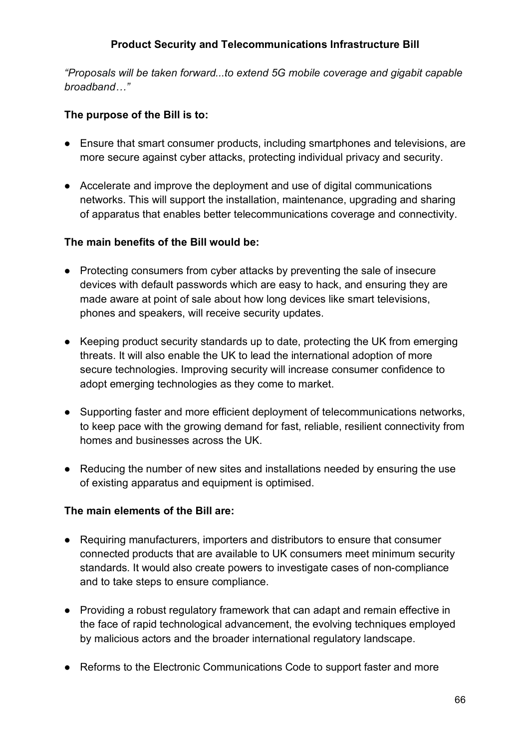## **Product Security and Telecommunications Infrastructure Bill**

*"Proposals will be taken forward...to extend 5G mobile coverage and gigabit capable broadband…"* 

### **The purpose of the Bill is to:**

- Ensure that smart consumer products, including smartphones and televisions, are more secure against cyber attacks, protecting individual privacy and security.
- Accelerate and improve the deployment and use of digital communications networks. This will support the installation, maintenance, upgrading and sharing of apparatus that enables better telecommunications coverage and connectivity.

### **The main benefits of the Bill would be:**

- Protecting consumers from cyber attacks by preventing the sale of insecure devices with default passwords which are easy to hack, and ensuring they are made aware at point of sale about how long devices like smart televisions, phones and speakers, will receive security updates.
- Keeping product security standards up to date, protecting the UK from emerging threats. It will also enable the UK to lead the international adoption of more secure technologies. Improving security will increase consumer confidence to adopt emerging technologies as they come to market.
- Supporting faster and more efficient deployment of telecommunications networks, to keep pace with the growing demand for fast, reliable, resilient connectivity from homes and businesses across the UK.
- Reducing the number of new sites and installations needed by ensuring the use of existing apparatus and equipment is optimised.

### **The main elements of the Bill are:**

- Requiring manufacturers, importers and distributors to ensure that consumer connected products that are available to UK consumers meet minimum security standards. It would also create powers to investigate cases of non-compliance and to take steps to ensure compliance.
- Providing a robust regulatory framework that can adapt and remain effective in the face of rapid technological advancement, the evolving techniques employed by malicious actors and the broader international regulatory landscape.
- Reforms to the Electronic Communications Code to support faster and more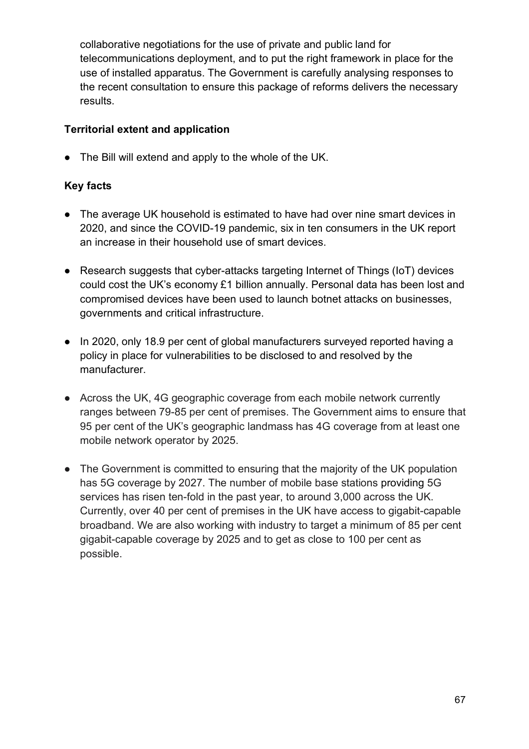collaborative negotiations for the use of private and public land for telecommunications deployment, and to put the right framework in place for the use of installed apparatus. The Government is carefully analysing responses to the recent consultation to ensure this package of reforms delivers the necessary results.

### **Territorial extent and application**

● The Bill will extend and apply to the whole of the UK.

- The average UK household is estimated to have had over nine smart devices in 2020, and since the COVID-19 pandemic, six in ten consumers in the UK report an increase in their household use of smart devices.
- Research suggests that cyber-attacks targeting Internet of Things (IoT) devices could cost the UK's economy £1 billion annually. Personal data has been lost and compromised devices have been used to launch botnet attacks on businesses, governments and critical infrastructure.
- In 2020, only 18.9 per cent of global manufacturers surveyed reported having a policy in place for vulnerabilities to be disclosed to and resolved by the manufacturer.
- Across the UK, 4G geographic coverage from each mobile network currently ranges between 79-85 per cent of premises. The Government aims to ensure that 95 per cent of the UK's geographic landmass has 4G coverage from at least one mobile network operator by 2025.
- The Government is committed to ensuring that the majority of the UK population has 5G coverage by 2027. The number of mobile base stations providing 5G services has risen ten-fold in the past year, to around 3,000 across the UK. Currently, over 40 per cent of premises in the UK have access to gigabit-capable broadband. We are also working with industry to target a minimum of 85 per cent gigabit-capable coverage by 2025 and to get as close to 100 per cent as possible.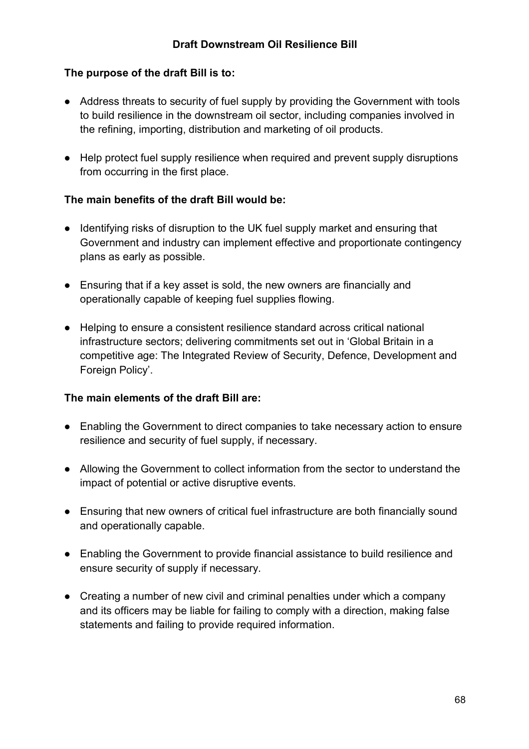### **The purpose of the draft Bill is to:**

- Address threats to security of fuel supply by providing the Government with tools to build resilience in the downstream oil sector, including companies involved in the refining, importing, distribution and marketing of oil products.
- Help protect fuel supply resilience when required and prevent supply disruptions from occurring in the first place.

#### **The main benefits of the draft Bill would be:**

- Identifying risks of disruption to the UK fuel supply market and ensuring that Government and industry can implement effective and proportionate contingency plans as early as possible.
- Ensuring that if a key asset is sold, the new owners are financially and operationally capable of keeping fuel supplies flowing.
- Helping to ensure a consistent resilience standard across critical national infrastructure sectors; delivering commitments set out in 'Global Britain in a competitive age: The Integrated Review of Security, Defence, Development and Foreign Policy'.

#### **The main elements of the draft Bill are:**

- Enabling the Government to direct companies to take necessary action to ensure resilience and security of fuel supply, if necessary.
- Allowing the Government to collect information from the sector to understand the impact of potential or active disruptive events.
- Ensuring that new owners of critical fuel infrastructure are both financially sound and operationally capable.
- Enabling the Government to provide financial assistance to build resilience and ensure security of supply if necessary.
- Creating a number of new civil and criminal penalties under which a company and its officers may be liable for failing to comply with a direction, making false statements and failing to provide required information.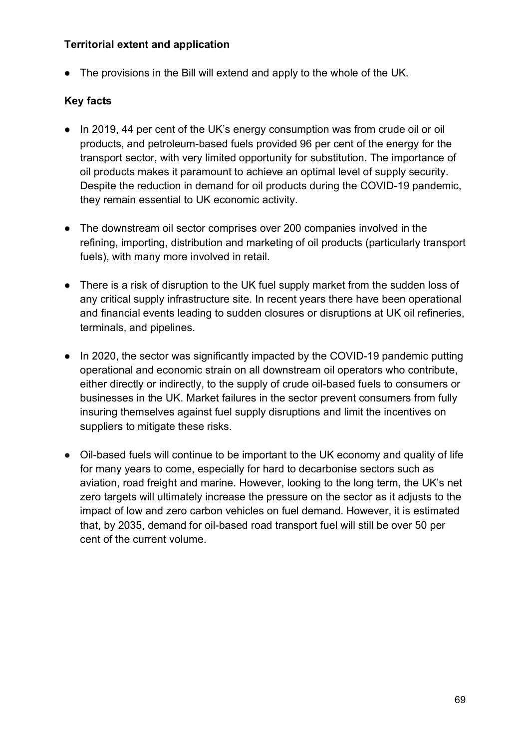#### **Territorial extent and application**

● The provisions in the Bill will extend and apply to the whole of the UK.

- In 2019, 44 per cent of the UK's energy consumption was from crude oil or oil products, and petroleum-based fuels provided 96 per cent of the energy for the transport sector, with very limited opportunity for substitution. The importance of oil products makes it paramount to achieve an optimal level of supply security. Despite the reduction in demand for oil products during the COVID-19 pandemic, they remain essential to UK economic activity.
- The downstream oil sector comprises over 200 companies involved in the refining, importing, distribution and marketing of oil products (particularly transport fuels), with many more involved in retail.
- There is a risk of disruption to the UK fuel supply market from the sudden loss of any critical supply infrastructure site. In recent years there have been operational and financial events leading to sudden closures or disruptions at UK oil refineries, terminals, and pipelines.
- In 2020, the sector was significantly impacted by the COVID-19 pandemic putting operational and economic strain on all downstream oil operators who contribute, either directly or indirectly, to the supply of crude oil-based fuels to consumers or businesses in the UK. Market failures in the sector prevent consumers from fully insuring themselves against fuel supply disruptions and limit the incentives on suppliers to mitigate these risks.
- Oil-based fuels will continue to be important to the UK economy and quality of life for many years to come, especially for hard to decarbonise sectors such as aviation, road freight and marine. However, looking to the long term, the UK's net zero targets will ultimately increase the pressure on the sector as it adjusts to the impact of low and zero carbon vehicles on fuel demand. However, it is estimated that, by 2035, demand for oil-based road transport fuel will still be over 50 per cent of the current volume.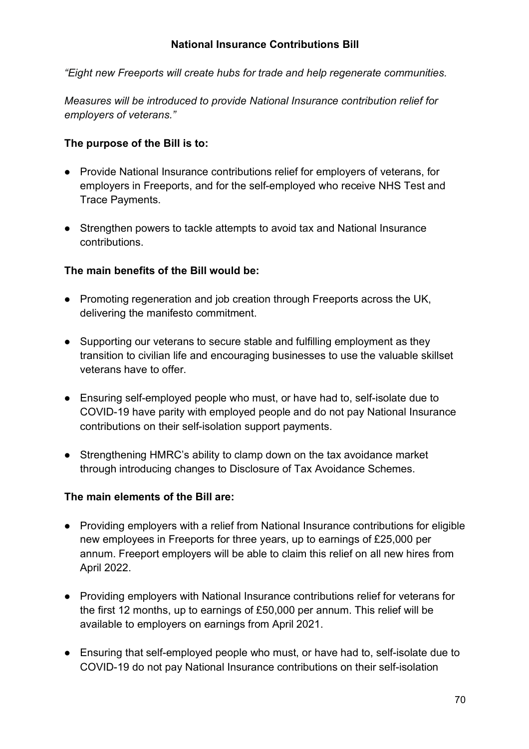*"Eight new Freeports will create hubs for trade and help regenerate communities.* 

*Measures will be introduced to provide National Insurance contribution relief for employers of veterans."*

### **The purpose of the Bill is to:**

- Provide National Insurance contributions relief for employers of veterans, for employers in Freeports, and for the self-employed who receive NHS Test and Trace Payments.
- Strengthen powers to tackle attempts to avoid tax and National Insurance contributions.

### **The main benefits of the Bill would be:**

- Promoting regeneration and job creation through Freeports across the UK, delivering the manifesto commitment.
- Supporting our veterans to secure stable and fulfilling employment as they transition to civilian life and encouraging businesses to use the valuable skillset veterans have to offer.
- Ensuring self-employed people who must, or have had to, self-isolate due to COVID-19 have parity with employed people and do not pay National Insurance contributions on their self-isolation support payments.
- Strengthening HMRC's ability to clamp down on the tax avoidance market through introducing changes to Disclosure of Tax Avoidance Schemes.

### **The main elements of the Bill are:**

- Providing employers with a relief from National Insurance contributions for eligible new employees in Freeports for three years, up to earnings of £25,000 per annum. Freeport employers will be able to claim this relief on all new hires from April 2022.
- Providing employers with National Insurance contributions relief for veterans for the first 12 months, up to earnings of £50,000 per annum. This relief will be available to employers on earnings from April 2021.
- Ensuring that self-employed people who must, or have had to, self-isolate due to COVID-19 do not pay National Insurance contributions on their self-isolation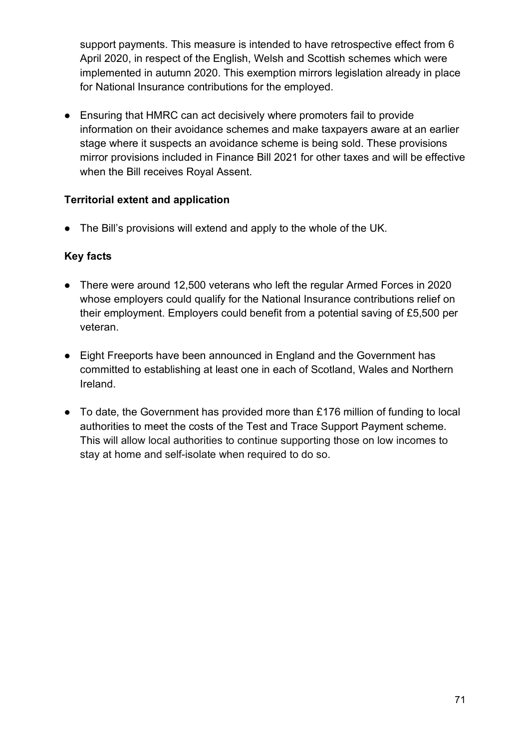support payments. This measure is intended to have retrospective effect from 6 April 2020, in respect of the English, Welsh and Scottish schemes which were implemented in autumn 2020. This exemption mirrors legislation already in place for National Insurance contributions for the employed.

● Ensuring that HMRC can act decisively where promoters fail to provide information on their avoidance schemes and make taxpayers aware at an earlier stage where it suspects an avoidance scheme is being sold. These provisions mirror provisions included in Finance Bill 2021 for other taxes and will be effective when the Bill receives Royal Assent.

## **Territorial extent and application**

● The Bill's provisions will extend and apply to the whole of the UK.

- There were around 12,500 veterans who left the regular Armed Forces in 2020 whose employers could qualify for the National Insurance contributions relief on their employment. Employers could benefit from a potential saving of £5,500 per veteran.
- Eight Freeports have been announced in England and the Government has committed to establishing at least one in each of Scotland, Wales and Northern Ireland.
- To date, the Government has provided more than £176 million of funding to local authorities to meet the costs of the Test and Trace Support Payment scheme. This will allow local authorities to continue supporting those on low incomes to stay at home and self-isolate when required to do so.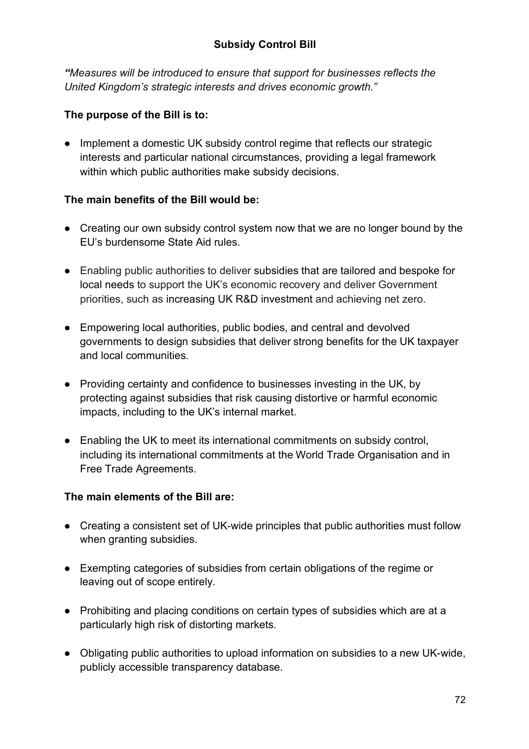*"Measures will be introduced to ensure that support for businesses reflects the United Kingdom's strategic interests and drives economic growth."*

## **The purpose of the Bill is to:**

• Implement a domestic UK subsidy control regime that reflects our strategic interests and particular national circumstances, providing a legal framework within which public authorities make subsidy decisions.

### **The main benefits of the Bill would be:**

- Creating our own subsidy control system now that we are no longer bound by the EU's burdensome State Aid rules.
- Enabling public authorities to deliver subsidies that are tailored and bespoke for local needs to support the UK's economic recovery and deliver Government priorities, such as increasing UK R&D investment and achieving net zero.
- Empowering local authorities, public bodies, and central and devolved governments to design subsidies that deliver strong benefits for the UK taxpayer and local communities.
- Providing certainty and confidence to businesses investing in the UK, by protecting against subsidies that risk causing distortive or harmful economic impacts, including to the UK's internal market.
- Enabling the UK to meet its international commitments on subsidy control, including its international commitments at the World Trade Organisation and in Free Trade Agreements.

### **The main elements of the Bill are:**

- Creating a consistent set of UK-wide principles that public authorities must follow when granting subsidies.
- Exempting categories of subsidies from certain obligations of the regime or leaving out of scope entirely.
- Prohibiting and placing conditions on certain types of subsidies which are at a particularly high risk of distorting markets.
- Obligating public authorities to upload information on subsidies to a new UK-wide, publicly accessible transparency database.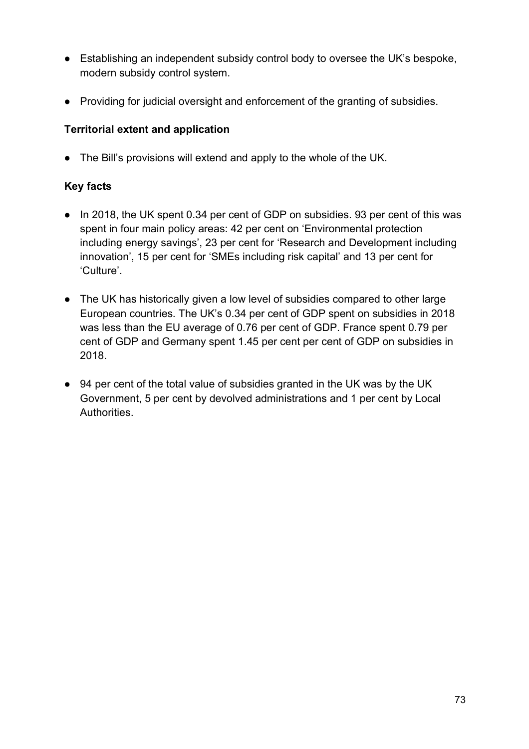- Establishing an independent subsidy control body to oversee the UK's bespoke, modern subsidy control system.
- Providing for judicial oversight and enforcement of the granting of subsidies.

# **Territorial extent and application**

● The Bill's provisions will extend and apply to the whole of the UK.

- In 2018, the UK spent 0.34 per cent of GDP on subsidies. 93 per cent of this was spent in four main policy areas: 42 per cent on 'Environmental protection including energy savings', 23 per cent for 'Research and Development including innovation', 15 per cent for 'SMEs including risk capital' and 13 per cent for 'Culture'.
- The UK has historically given a low level of subsidies compared to other large European countries. The UK's 0.34 per cent of GDP spent on subsidies in 2018 was less than the EU average of 0.76 per cent of GDP. France spent 0.79 per cent of GDP and Germany spent 1.45 per cent per cent of GDP on subsidies in 2018.
- 94 per cent of the total value of subsidies granted in the UK was by the UK Government, 5 per cent by devolved administrations and 1 per cent by Local Authorities.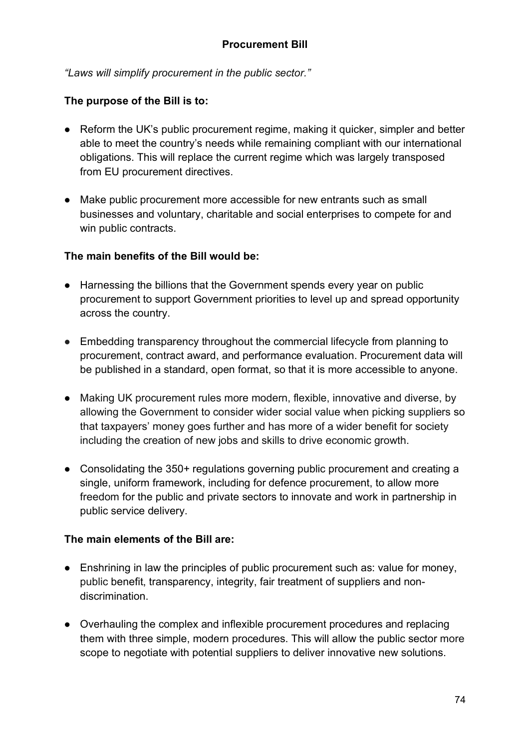*"Laws will simplify procurement in the public sector."*

### **The purpose of the Bill is to:**

- Reform the UK's public procurement regime, making it quicker, simpler and better able to meet the country's needs while remaining compliant with our international obligations. This will replace the current regime which was largely transposed from EU procurement directives.
- Make public procurement more accessible for new entrants such as small businesses and voluntary, charitable and social enterprises to compete for and win public contracts.

### **The main benefits of the Bill would be:**

- Harnessing the billions that the Government spends every year on public procurement to support Government priorities to level up and spread opportunity across the country.
- Embedding transparency throughout the commercial lifecycle from planning to procurement, contract award, and performance evaluation. Procurement data will be published in a standard, open format, so that it is more accessible to anyone.
- Making UK procurement rules more modern, flexible, innovative and diverse, by allowing the Government to consider wider social value when picking suppliers so that taxpayers' money goes further and has more of a wider benefit for society including the creation of new jobs and skills to drive economic growth.
- Consolidating the 350+ regulations governing public procurement and creating a single, uniform framework, including for defence procurement, to allow more freedom for the public and private sectors to innovate and work in partnership in public service delivery.

### **The main elements of the Bill are:**

- Enshrining in law the principles of public procurement such as: value for money, public benefit, transparency, integrity, fair treatment of suppliers and nondiscrimination.
- Overhauling the complex and inflexible procurement procedures and replacing them with three simple, modern procedures. This will allow the public sector more scope to negotiate with potential suppliers to deliver innovative new solutions.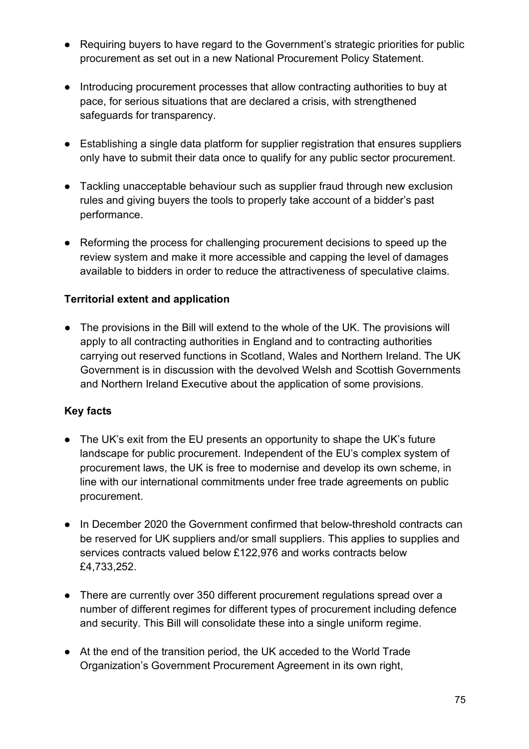- Requiring buyers to have regard to the Government's strategic priorities for public procurement as set out in a new National Procurement Policy Statement.
- Introducing procurement processes that allow contracting authorities to buy at pace, for serious situations that are declared a crisis, with strengthened safeguards for transparency.
- Establishing a single data platform for supplier registration that ensures suppliers only have to submit their data once to qualify for any public sector procurement.
- Tackling unacceptable behaviour such as supplier fraud through new exclusion rules and giving buyers the tools to properly take account of a bidder's past performance.
- Reforming the process for challenging procurement decisions to speed up the review system and make it more accessible and capping the level of damages available to bidders in order to reduce the attractiveness of speculative claims.

### **Territorial extent and application**

● The provisions in the Bill will extend to the whole of the UK. The provisions will apply to all contracting authorities in England and to contracting authorities carrying out reserved functions in Scotland, Wales and Northern Ireland. The UK Government is in discussion with the devolved Welsh and Scottish Governments and Northern Ireland Executive about the application of some provisions.

- The UK's exit from the EU presents an opportunity to shape the UK's future landscape for public procurement. Independent of the EU's complex system of procurement laws, the UK is free to modernise and develop its own scheme, in line with our international commitments under free trade agreements on public procurement.
- In December 2020 the Government confirmed that below-threshold contracts can be reserved for UK suppliers and/or small suppliers. This applies to supplies and services contracts valued below £122,976 and works contracts below £4,733,252.
- There are currently over 350 different procurement regulations spread over a number of different regimes for different types of procurement including defence and security. This Bill will consolidate these into a single uniform regime.
- At the end of the transition period, the UK acceded to the World Trade Organization's Government Procurement Agreement in its own right,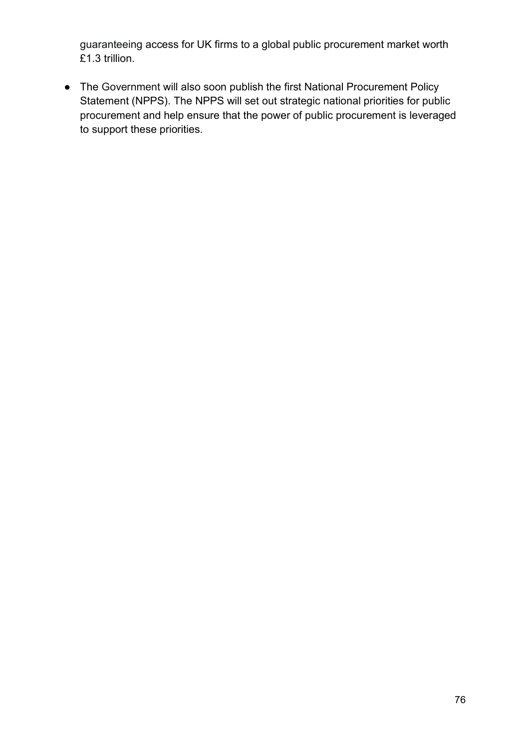guaranteeing access for UK firms to a global public procurement market worth £1.3 trillion.

● The Government will also soon publish the first National Procurement Policy Statement (NPPS). The NPPS will set out strategic national priorities for public procurement and help ensure that the power of public procurement is leveraged to support these priorities.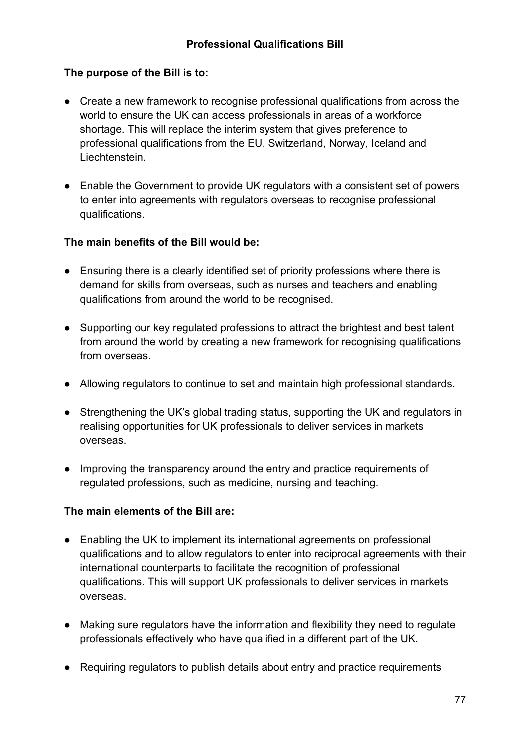## **The purpose of the Bill is to:**

- Create a new framework to recognise professional qualifications from across the world to ensure the UK can access professionals in areas of a workforce shortage. This will replace the interim system that gives preference to professional qualifications from the EU, Switzerland, Norway, Iceland and Liechtenstein.
- Enable the Government to provide UK regulators with a consistent set of powers to enter into agreements with regulators overseas to recognise professional qualifications.

#### **The main benefits of the Bill would be:**

- Ensuring there is a clearly identified set of priority professions where there is demand for skills from overseas, such as nurses and teachers and enabling qualifications from around the world to be recognised.
- Supporting our key regulated professions to attract the brightest and best talent from around the world by creating a new framework for recognising qualifications from overseas.
- Allowing regulators to continue to set and maintain high professional standards.
- Strengthening the UK's global trading status, supporting the UK and regulators in realising opportunities for UK professionals to deliver services in markets overseas.
- Improving the transparency around the entry and practice requirements of regulated professions, such as medicine, nursing and teaching.

### **The main elements of the Bill are:**

- Enabling the UK to implement its international agreements on professional qualifications and to allow regulators to enter into reciprocal agreements with their international counterparts to facilitate the recognition of professional qualifications. This will support UK professionals to deliver services in markets overseas.
- Making sure regulators have the information and flexibility they need to regulate professionals effectively who have qualified in a different part of the UK.
- Requiring regulators to publish details about entry and practice requirements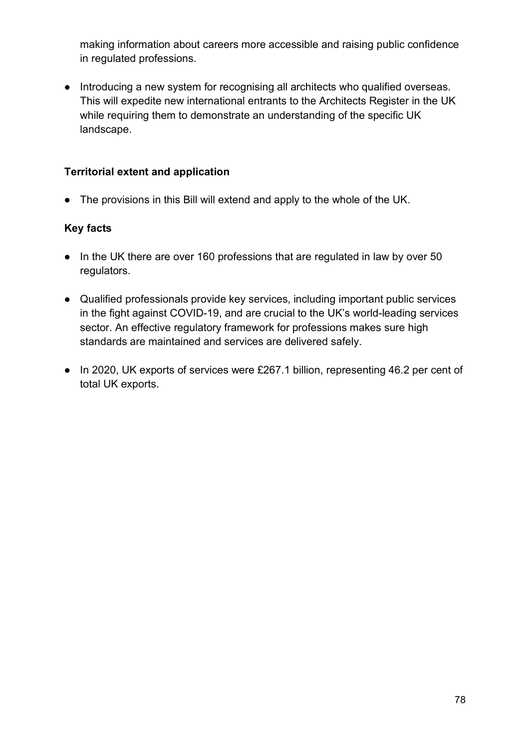making information about careers more accessible and raising public confidence in regulated professions.

● Introducing a new system for recognising all architects who qualified overseas. This will expedite new international entrants to the Architects Register in the UK while requiring them to demonstrate an understanding of the specific UK landscape.

### **Territorial extent and application**

• The provisions in this Bill will extend and apply to the whole of the UK.

- In the UK there are over 160 professions that are regulated in law by over 50 regulators.
- Qualified professionals provide key services, including important public services in the fight against COVID-19, and are crucial to the UK's world-leading services sector. An effective regulatory framework for professions makes sure high standards are maintained and services are delivered safely.
- In 2020, UK exports of services were £267.1 billion, representing 46.2 per cent of total UK exports.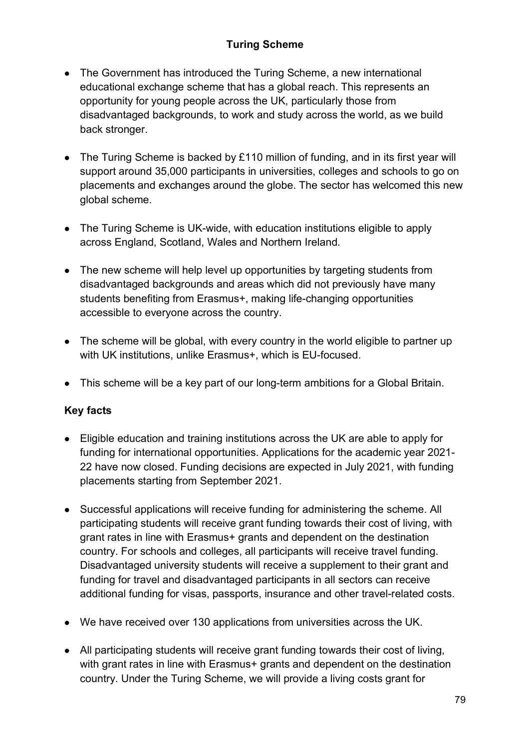# **Turing Scheme**

- The Government has introduced the Turing Scheme, a new international educational exchange scheme that has a global reach. This represents an opportunity for young people across the UK, particularly those from disadvantaged backgrounds, to work and study across the world, as we build back stronger.
- The Turing Scheme is backed by £110 million of funding, and in its first year will support around 35,000 participants in universities, colleges and schools to go on placements and exchanges around the globe. The sector has welcomed this new global scheme.
- The Turing Scheme is UK-wide, with education institutions eligible to apply across England, Scotland, Wales and Northern Ireland.
- The new scheme will help level up opportunities by targeting students from disadvantaged backgrounds and areas which did not previously have many students benefiting from Erasmus+, making life-changing opportunities accessible to everyone across the country.
- The scheme will be global, with every country in the world eligible to partner up with UK institutions, unlike Erasmus+, which is EU-focused.
- This scheme will be a key part of our long-term ambitions for a Global Britain.

- Eligible education and training institutions across the UK are able to apply for funding for international opportunities. Applications for the academic year 2021- 22 have now closed. Funding decisions are expected in July 2021, with funding placements starting from September 2021.
- Successful applications will receive funding for administering the scheme. All participating students will receive grant funding towards their cost of living, with grant rates in line with Erasmus+ grants and dependent on the destination country. For schools and colleges, all participants will receive travel funding. Disadvantaged university students will receive a supplement to their grant and funding for travel and disadvantaged participants in all sectors can receive additional funding for visas, passports, insurance and other travel-related costs.
- We have received over 130 applications from universities across the UK.
- All participating students will receive grant funding towards their cost of living, with grant rates in line with Erasmus+ grants and dependent on the destination country. Under the Turing Scheme, we will provide a living costs grant for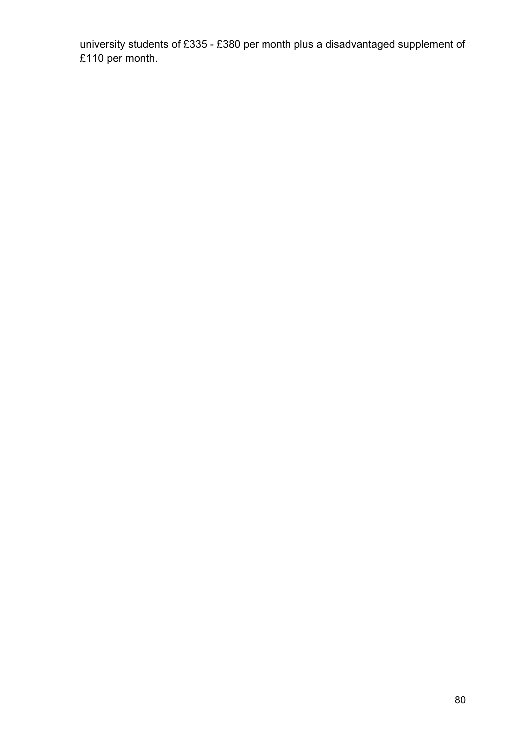university students of £335 - £380 per month plus a disadvantaged supplement of £110 per month.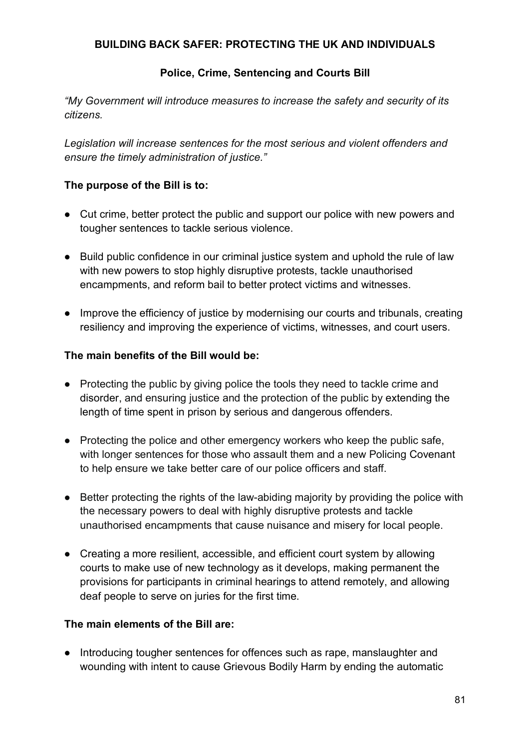### **BUILDING BACK SAFER: PROTECTING THE UK AND INDIVIDUALS**

### **Police, Crime, Sentencing and Courts Bill**

*"My Government will introduce measures to increase the safety and security of its citizens.*

*Legislation will increase sentences for the most serious and violent offenders and ensure the timely administration of justice."*

#### **The purpose of the Bill is to:**

- Cut crime, better protect the public and support our police with new powers and tougher sentences to tackle serious violence.
- Build public confidence in our criminal justice system and uphold the rule of law with new powers to stop highly disruptive protests, tackle unauthorised encampments, and reform bail to better protect victims and witnesses.
- Improve the efficiency of justice by modernising our courts and tribunals, creating resiliency and improving the experience of victims, witnesses, and court users.

#### **The main benefits of the Bill would be:**

- Protecting the public by giving police the tools they need to tackle crime and disorder, and ensuring justice and the protection of the public by extending the length of time spent in prison by serious and dangerous offenders.
- Protecting the police and other emergency workers who keep the public safe, with longer sentences for those who assault them and a new Policing Covenant to help ensure we take better care of our police officers and staff.
- Better protecting the rights of the law-abiding majority by providing the police with the necessary powers to deal with highly disruptive protests and tackle unauthorised encampments that cause nuisance and misery for local people.
- Creating a more resilient, accessible, and efficient court system by allowing courts to make use of new technology as it develops, making permanent the provisions for participants in criminal hearings to attend remotely, and allowing deaf people to serve on juries for the first time.

### **The main elements of the Bill are:**

● Introducing tougher sentences for offences such as rape, manslaughter and wounding with intent to cause Grievous Bodily Harm by ending the automatic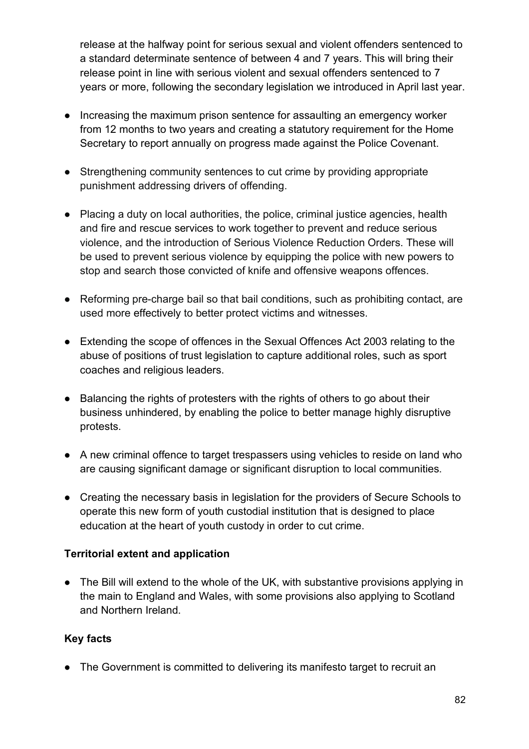release at the halfway point for serious sexual and violent offenders sentenced to a standard determinate sentence of between 4 and 7 years. This will bring their release point in line with serious violent and sexual offenders sentenced to 7 years or more, following the secondary legislation we introduced in April last year.

- Increasing the maximum prison sentence for assaulting an emergency worker from 12 months to two years and creating a statutory requirement for the Home Secretary to report annually on progress made against the Police Covenant.
- Strengthening community sentences to cut crime by providing appropriate punishment addressing drivers of offending.
- Placing a duty on local authorities, the police, criminal justice agencies, health and fire and rescue services to work together to prevent and reduce serious violence, and the introduction of Serious Violence Reduction Orders. These will be used to prevent serious violence by equipping the police with new powers to stop and search those convicted of knife and offensive weapons offences.
- Reforming pre-charge bail so that bail conditions, such as prohibiting contact, are used more effectively to better protect victims and witnesses.
- Extending the scope of offences in the Sexual Offences Act 2003 relating to the abuse of positions of trust legislation to capture additional roles, such as sport coaches and religious leaders.
- Balancing the rights of protesters with the rights of others to go about their business unhindered, by enabling the police to better manage highly disruptive protests.
- A new criminal offence to target trespassers using vehicles to reside on land who are causing significant damage or significant disruption to local communities.
- Creating the necessary basis in legislation for the providers of Secure Schools to operate this new form of youth custodial institution that is designed to place education at the heart of youth custody in order to cut crime.

# **Territorial extent and application**

• The Bill will extend to the whole of the UK, with substantive provisions applying in the main to England and Wales, with some provisions also applying to Scotland and Northern Ireland.

### **Key facts**

• The Government is committed to delivering its manifesto target to recruit an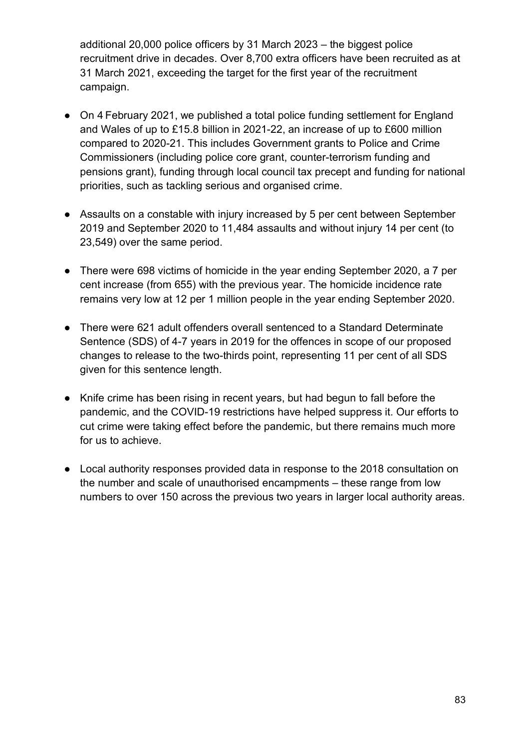additional 20,000 police officers by 31 March 2023 – the biggest police recruitment drive in decades. Over 8,700 extra officers have been recruited as at 31 March 2021, exceeding the target for the first year of the recruitment campaign.

- On 4 February 2021, we published a total police funding settlement for England and Wales of up to £15.8 billion in 2021-22, an increase of up to £600 million compared to 2020-21. This includes Government grants to Police and Crime Commissioners (including police core grant, counter-terrorism funding and pensions grant), funding through local council tax precept and funding for national priorities, such as tackling serious and organised crime.
- Assaults on a constable with injury increased by 5 per cent between September 2019 and September 2020 to 11,484 assaults and without injury 14 per cent (to 23,549) over the same period.
- There were 698 victims of homicide in the year ending September 2020, a 7 per cent increase (from 655) with the previous year. The homicide incidence rate remains very low at 12 per 1 million people in the year ending September 2020.
- There were 621 adult offenders overall sentenced to a Standard Determinate Sentence (SDS) of 4-7 years in 2019 for the offences in scope of our proposed changes to release to the two-thirds point, representing 11 per cent of all SDS given for this sentence length.
- Knife crime has been rising in recent years, but had begun to fall before the pandemic, and the COVID-19 restrictions have helped suppress it. Our efforts to cut crime were taking effect before the pandemic, but there remains much more for us to achieve.
- Local authority responses provided data in response to the 2018 consultation on the number and scale of unauthorised encampments – these range from low numbers to over 150 across the previous two years in larger local authority areas.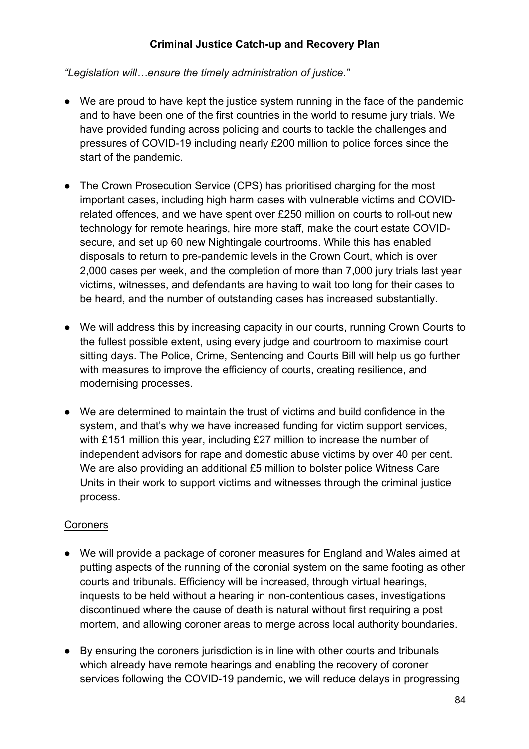### **Criminal Justice Catch-up and Recovery Plan**

*"Legislation will…ensure the timely administration of justice."*

- We are proud to have kept the justice system running in the face of the pandemic and to have been one of the first countries in the world to resume jury trials. We have provided funding across policing and courts to tackle the challenges and pressures of COVID-19 including nearly £200 million to police forces since the start of the pandemic.
- The Crown Prosecution Service (CPS) has prioritised charging for the most important cases, including high harm cases with vulnerable victims and COVIDrelated offences, and we have spent over £250 million on courts to roll-out new technology for remote hearings, hire more staff, make the court estate COVIDsecure, and set up 60 new Nightingale courtrooms. While this has enabled disposals to return to pre-pandemic levels in the Crown Court, which is over 2,000 cases per week, and the completion of more than 7,000 jury trials last year victims, witnesses, and defendants are having to wait too long for their cases to be heard, and the number of outstanding cases has increased substantially.
- We will address this by increasing capacity in our courts, running Crown Courts to the fullest possible extent, using every judge and courtroom to maximise court sitting days. The Police, Crime, Sentencing and Courts Bill will help us go further with measures to improve the efficiency of courts, creating resilience, and modernising processes.
- We are determined to maintain the trust of victims and build confidence in the system, and that's why we have increased funding for victim support services, with £151 million this year, including £27 million to increase the number of independent advisors for rape and domestic abuse victims by over 40 per cent. We are also providing an additional £5 million to bolster police Witness Care Units in their work to support victims and witnesses through the criminal justice process.

### **Coroners**

- We will provide a package of coroner measures for England and Wales aimed at putting aspects of the running of the coronial system on the same footing as other courts and tribunals. Efficiency will be increased, through virtual hearings, inquests to be held without a hearing in non-contentious cases, investigations discontinued where the cause of death is natural without first requiring a post mortem, and allowing coroner areas to merge across local authority boundaries.
- By ensuring the coroners jurisdiction is in line with other courts and tribunals which already have remote hearings and enabling the recovery of coroner services following the COVID-19 pandemic, we will reduce delays in progressing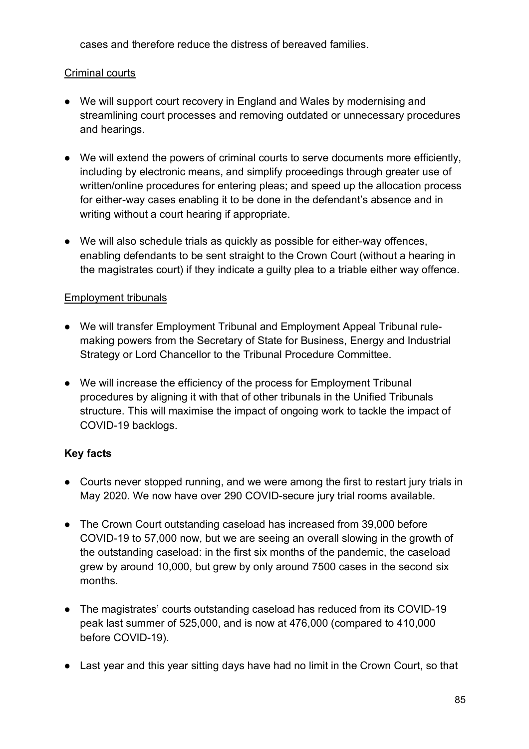cases and therefore reduce the distress of bereaved families.

### Criminal courts

- We will support court recovery in England and Wales by modernising and streamlining court processes and removing outdated or unnecessary procedures and hearings.
- We will extend the powers of criminal courts to serve documents more efficiently, including by electronic means, and simplify proceedings through greater use of written/online procedures for entering pleas; and speed up the allocation process for either-way cases enabling it to be done in the defendant's absence and in writing without a court hearing if appropriate.
- We will also schedule trials as quickly as possible for either-way offences, enabling defendants to be sent straight to the Crown Court (without a hearing in the magistrates court) if they indicate a guilty plea to a triable either way offence.

### Employment tribunals

- We will transfer Employment Tribunal and Employment Appeal Tribunal rulemaking powers from the Secretary of State for Business, Energy and Industrial Strategy or Lord Chancellor to the Tribunal Procedure Committee.
- We will increase the efficiency of the process for Employment Tribunal procedures by aligning it with that of other tribunals in the Unified Tribunals structure. This will maximise the impact of ongoing work to tackle the impact of COVID-19 backlogs.

- Courts never stopped running, and we were among the first to restart jury trials in May 2020. We now have over 290 COVID-secure jury trial rooms available.
- The Crown Court outstanding caseload has increased from 39,000 before COVID-19 to 57,000 now, but we are seeing an overall slowing in the growth of the outstanding caseload: in the first six months of the pandemic, the caseload grew by around 10,000, but grew by only around 7500 cases in the second six months.
- The magistrates' courts outstanding caseload has reduced from its COVID-19 peak last summer of 525,000, and is now at 476,000 (compared to 410,000 before COVID-19).
- Last year and this year sitting days have had no limit in the Crown Court, so that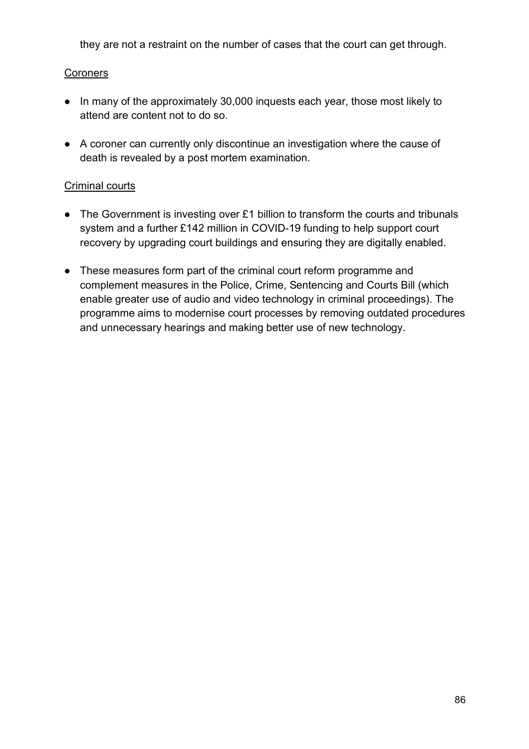they are not a restraint on the number of cases that the court can get through.

### **Coroners**

- In many of the approximately 30,000 inquests each year, those most likely to attend are content not to do so.
- A coroner can currently only discontinue an investigation where the cause of death is revealed by a post mortem examination.

### Criminal courts

- The Government is investing over £1 billion to transform the courts and tribunals system and a further £142 million in COVID-19 funding to help support court recovery by upgrading court buildings and ensuring they are digitally enabled.
- These measures form part of the criminal court reform programme and complement measures in the Police, Crime, Sentencing and Courts Bill (which enable greater use of audio and video technology in criminal proceedings). The programme aims to modernise court processes by removing outdated procedures and unnecessary hearings and making better use of new technology.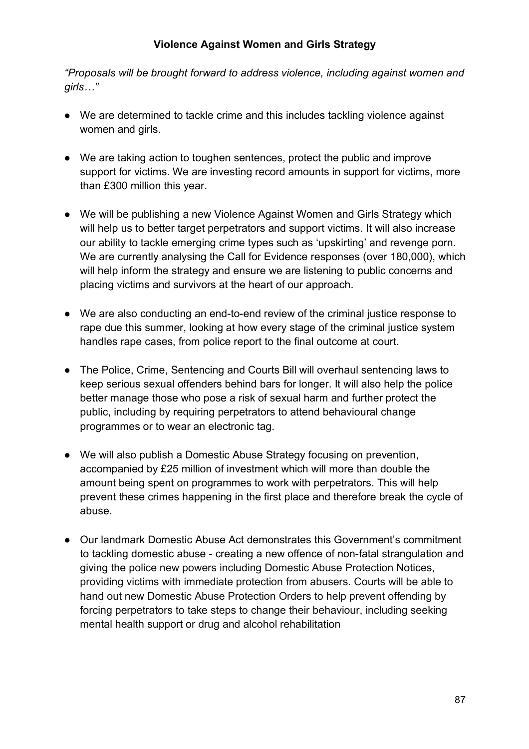#### **Violence Against Women and Girls Strategy**

*"Proposals will be brought forward to address violence, including against women and girls…"*

- We are determined to tackle crime and this includes tackling violence against women and girls.
- We are taking action to toughen sentences, protect the public and improve support for victims. We are investing record amounts in support for victims, more than £300 million this year.
- We will be publishing a new Violence Against Women and Girls Strategy which will help us to better target perpetrators and support victims. It will also increase our ability to tackle emerging crime types such as 'upskirting' and revenge porn. We are currently analysing the Call for Evidence responses (over 180,000), which will help inform the strategy and ensure we are listening to public concerns and placing victims and survivors at the heart of our approach.
- We are also conducting an end-to-end review of the criminal justice response to rape due this summer, looking at how every stage of the criminal justice system handles rape cases, from police report to the final outcome at court.
- The Police, Crime, Sentencing and Courts Bill will overhaul sentencing laws to keep serious sexual offenders behind bars for longer. It will also help the police better manage those who pose a risk of sexual harm and further protect the public, including by requiring perpetrators to attend behavioural change programmes or to wear an electronic tag.
- We will also publish a Domestic Abuse Strategy focusing on prevention, accompanied by £25 million of investment which will more than double the amount being spent on programmes to work with perpetrators. This will help prevent these crimes happening in the first place and therefore break the cycle of abuse.
- Our landmark Domestic Abuse Act demonstrates this Government's commitment to tackling domestic abuse - creating a new offence of non-fatal strangulation and giving the police new powers including Domestic Abuse Protection Notices, providing victims with immediate protection from abusers. Courts will be able to hand out new Domestic Abuse Protection Orders to help prevent offending by forcing perpetrators to take steps to change their behaviour, including seeking mental health support or drug and alcohol rehabilitation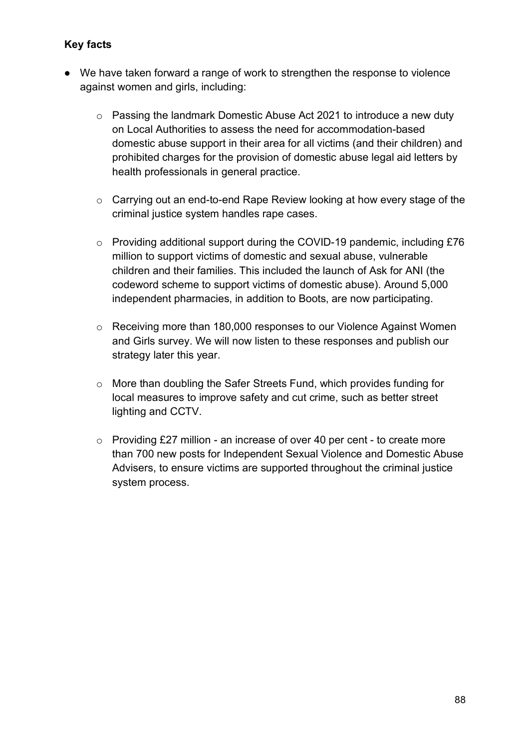- We have taken forward a range of work to strengthen the response to violence against women and girls, including:
	- o Passing the landmark Domestic Abuse Act 2021 to introduce a new duty on Local Authorities to assess the need for accommodation-based domestic abuse support in their area for all victims (and their children) and prohibited charges for the provision of domestic abuse legal aid letters by health professionals in general practice.
	- o Carrying out an end-to-end Rape Review looking at how every stage of the criminal justice system handles rape cases.
	- o Providing additional support during the COVID-19 pandemic, including £76 million to support victims of domestic and sexual abuse, vulnerable children and their families. This included the launch of Ask for ANI (the codeword scheme to support victims of domestic abuse). Around 5,000 independent pharmacies, in addition to Boots, are now participating.
	- o Receiving more than 180,000 responses to our Violence Against Women and Girls survey. We will now listen to these responses and publish our strategy later this year.
	- o More than doubling the Safer Streets Fund, which provides funding for local measures to improve safety and cut crime, such as better street lighting and CCTV.
	- o Providing £27 million an increase of over 40 per cent to create more than 700 new posts for Independent Sexual Violence and Domestic Abuse Advisers, to ensure victims are supported throughout the criminal justice system process.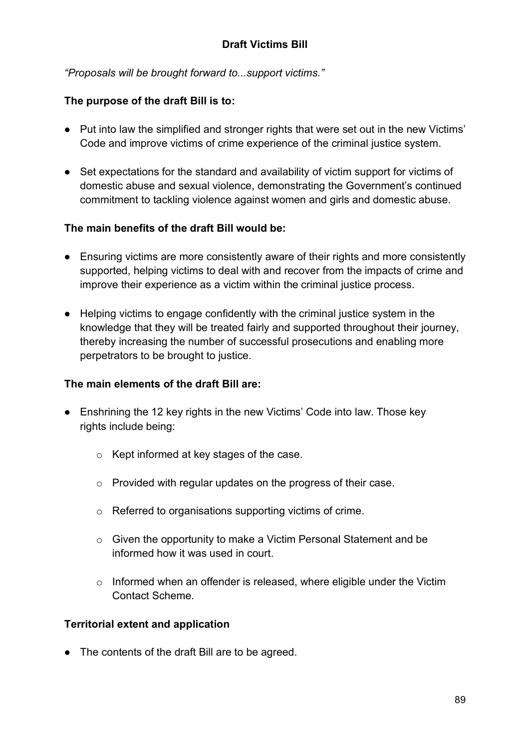*"Proposals will be brought forward to...support victims."*

# **The purpose of the draft Bill is to:**

- Put into law the simplified and stronger rights that were set out in the new Victims' Code and improve victims of crime experience of the criminal justice system.
- Set expectations for the standard and availability of victim support for victims of domestic abuse and sexual violence, demonstrating the Government's continued commitment to tackling violence against women and girls and domestic abuse.

### **The main benefits of the draft Bill would be:**

- Ensuring victims are more consistently aware of their rights and more consistently supported, helping victims to deal with and recover from the impacts of crime and improve their experience as a victim within the criminal justice process.
- Helping victims to engage confidently with the criminal justice system in the knowledge that they will be treated fairly and supported throughout their journey, thereby increasing the number of successful prosecutions and enabling more perpetrators to be brought to justice.

### **The main elements of the draft Bill are:**

- Enshrining the 12 key rights in the new Victims' Code into law. Those key rights include being:
	- o Kept informed at key stages of the case.
	- o Provided with regular updates on the progress of their case.
	- o Referred to organisations supporting victims of crime.
	- o Given the opportunity to make a Victim Personal Statement and be informed how it was used in court.
	- $\circ$  Informed when an offender is released, where eligible under the Victim Contact Scheme.

# **Territorial extent and application**

• The contents of the draft Bill are to be agreed.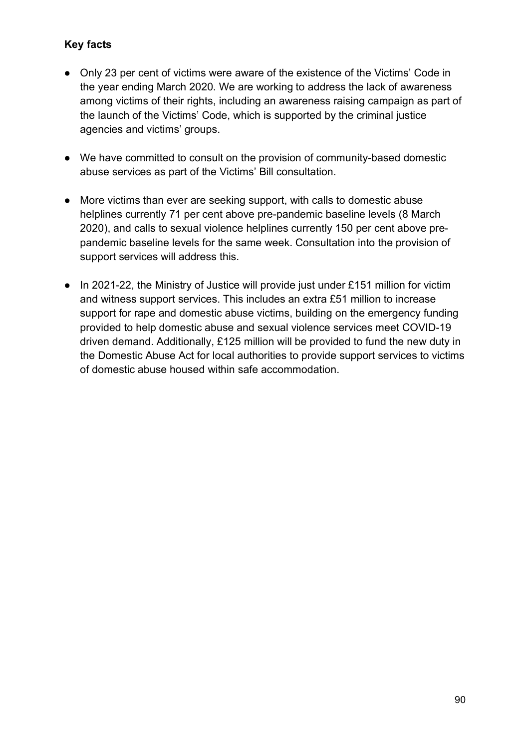- Only 23 per cent of victims were aware of the existence of the Victims' Code in the year ending March 2020. We are working to address the lack of awareness among victims of their rights, including an awareness raising campaign as part of the launch of the Victims' Code, which is supported by the criminal justice agencies and victims' groups.
- We have committed to consult on the provision of community-based domestic abuse services as part of the Victims' Bill consultation.
- More victims than ever are seeking support, with calls to domestic abuse helplines currently 71 per cent above pre-pandemic baseline levels (8 March 2020), and calls to sexual violence helplines currently 150 per cent above prepandemic baseline levels for the same week. Consultation into the provision of support services will address this.
- In 2021-22, the Ministry of Justice will provide just under £151 million for victim and witness support services. This includes an extra £51 million to increase support for rape and domestic abuse victims, building on the emergency funding provided to help domestic abuse and sexual violence services meet COVID-19 driven demand. Additionally, £125 million will be provided to fund the new duty in the Domestic Abuse Act for local authorities to provide support services to victims of domestic abuse housed within safe accommodation.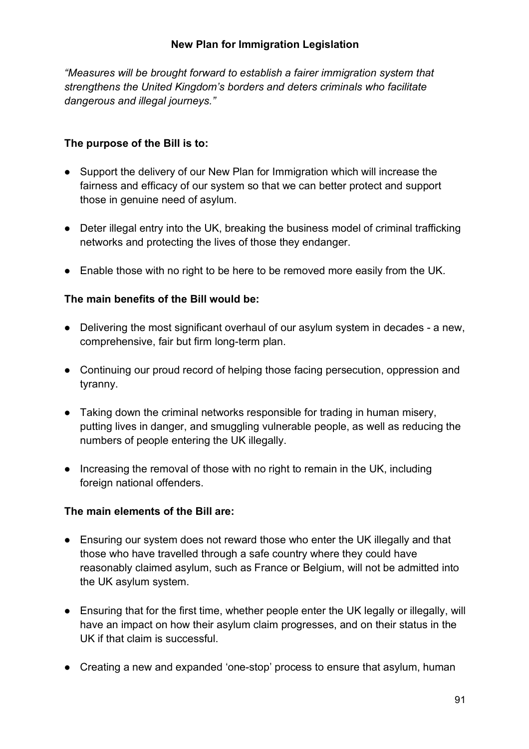### **New Plan for Immigration Legislation**

*"Measures will be brought forward to establish a fairer immigration system that strengthens the United Kingdom's borders and deters criminals who facilitate dangerous and illegal journeys."*

### **The purpose of the Bill is to:**

- Support the delivery of our New Plan for Immigration which will increase the fairness and efficacy of our system so that we can better protect and support those in genuine need of asylum.
- Deter illegal entry into the UK, breaking the business model of criminal trafficking networks and protecting the lives of those they endanger.
- Enable those with no right to be here to be removed more easily from the UK.

#### **The main benefits of the Bill would be:**

- Delivering the most significant overhaul of our asylum system in decades a new, comprehensive, fair but firm long-term plan.
- Continuing our proud record of helping those facing persecution, oppression and tyranny.
- Taking down the criminal networks responsible for trading in human misery, putting lives in danger, and smuggling vulnerable people, as well as reducing the numbers of people entering the UK illegally.
- Increasing the removal of those with no right to remain in the UK, including foreign national offenders.

#### **The main elements of the Bill are:**

- Ensuring our system does not reward those who enter the UK illegally and that those who have travelled through a safe country where they could have reasonably claimed asylum, such as France or Belgium, will not be admitted into the UK asylum system.
- Ensuring that for the first time, whether people enter the UK legally or illegally, will have an impact on how their asylum claim progresses, and on their status in the UK if that claim is successful.
- Creating a new and expanded 'one-stop' process to ensure that asylum, human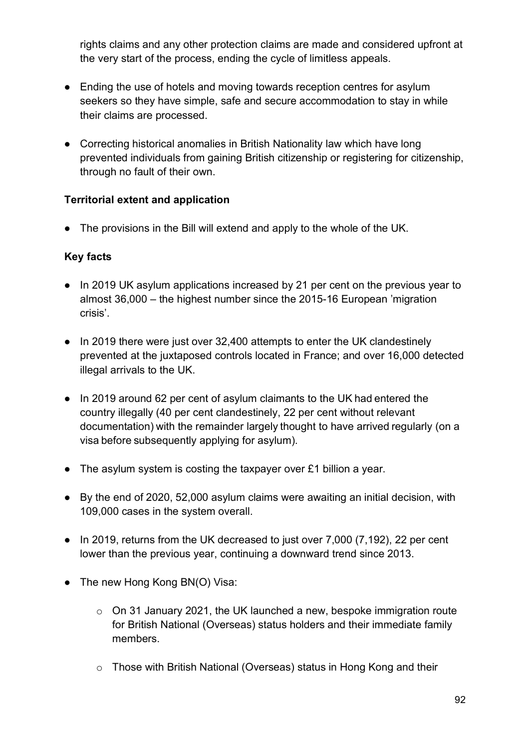rights claims and any other protection claims are made and considered upfront at the very start of the process, ending the cycle of limitless appeals.

- Ending the use of hotels and moving towards reception centres for asylum seekers so they have simple, safe and secure accommodation to stay in while their claims are processed.
- Correcting historical anomalies in British Nationality law which have long prevented individuals from gaining British citizenship or registering for citizenship, through no fault of their own.

### **Territorial extent and application**

● The provisions in the Bill will extend and apply to the whole of the UK.

- In 2019 UK asylum applications increased by 21 per cent on the previous year to almost 36,000 – the highest number since the 2015-16 European 'migration crisis'.
- In 2019 there were just over 32,400 attempts to enter the UK clandestinely prevented at the juxtaposed controls located in France; and over 16,000 detected illegal arrivals to the UK.
- In 2019 around 62 per cent of asylum claimants to the UK had entered the country illegally (40 per cent clandestinely, 22 per cent without relevant documentation) with the remainder largely thought to have arrived regularly (on a visa before subsequently applying for asylum).
- $\bullet$  The asylum system is costing the taxpayer over £1 billion a year.
- By the end of 2020, 52,000 asylum claims were awaiting an initial decision, with 109,000 cases in the system overall.
- In 2019, returns from the UK decreased to just over 7,000 (7,192), 22 per cent lower than the previous year, continuing a downward trend since 2013.
- The new Hong Kong BN(O) Visa:
	- o On 31 January 2021, the UK launched a new, bespoke immigration route for British National (Overseas) status holders and their immediate family members.
	- o Those with British National (Overseas) status in Hong Kong and their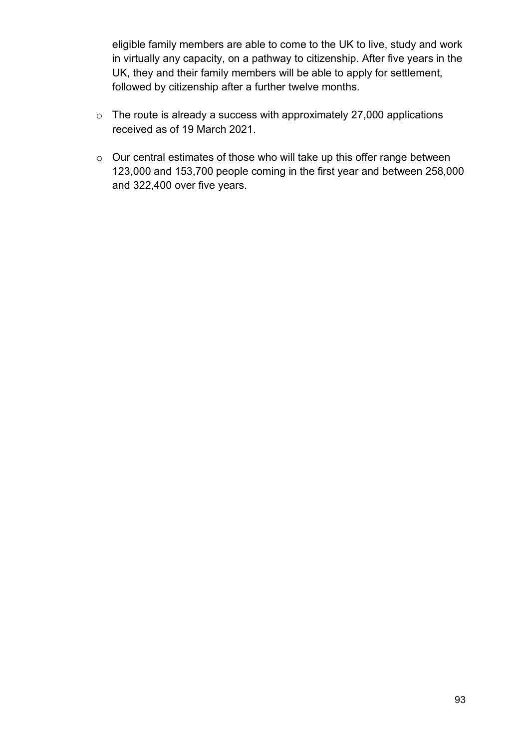eligible family members are able to come to the UK to live, study and work in virtually any capacity, on a pathway to citizenship. After five years in the UK, they and their family members will be able to apply for settlement, followed by citizenship after a further twelve months.

- o The route is already a success with approximately 27,000 applications received as of 19 March 2021.
- o Our central estimates of those who will take up this offer range between 123,000 and 153,700 people coming in the first year and between 258,000 and 322,400 over five years.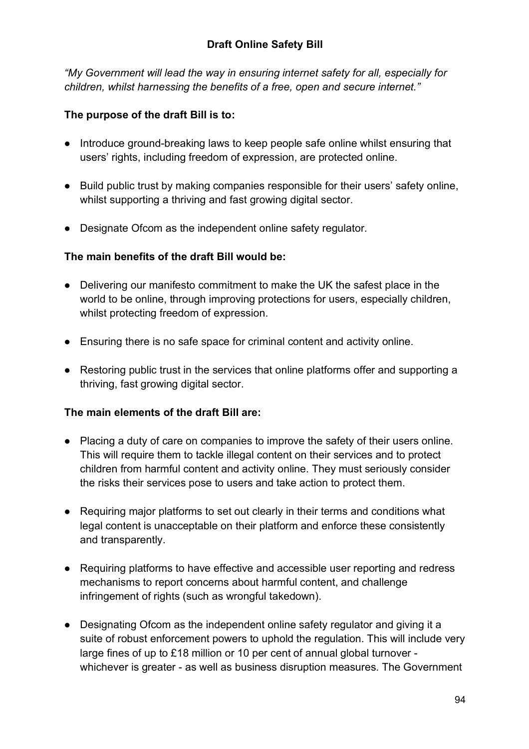*"My Government will lead the way in ensuring internet safety for all, especially for children, whilst harnessing the benefits of a free, open and secure internet."*

## **The purpose of the draft Bill is to:**

- Introduce ground-breaking laws to keep people safe online whilst ensuring that users' rights, including freedom of expression, are protected online.
- Build public trust by making companies responsible for their users' safety online, whilst supporting a thriving and fast growing digital sector.
- Designate Ofcom as the independent online safety regulator.

### **The main benefits of the draft Bill would be:**

- Delivering our manifesto commitment to make the UK the safest place in the world to be online, through improving protections for users, especially children, whilst protecting freedom of expression.
- Ensuring there is no safe space for criminal content and activity online.
- Restoring public trust in the services that online platforms offer and supporting a thriving, fast growing digital sector.

### **The main elements of the draft Bill are:**

- Placing a duty of care on companies to improve the safety of their users online. This will require them to tackle illegal content on their services and to protect children from harmful content and activity online. They must seriously consider the risks their services pose to users and take action to protect them.
- Requiring major platforms to set out clearly in their terms and conditions what legal content is unacceptable on their platform and enforce these consistently and transparently.
- Requiring platforms to have effective and accessible user reporting and redress mechanisms to report concerns about harmful content, and challenge infringement of rights (such as wrongful takedown).
- Designating Ofcom as the independent online safety regulator and giving it a suite of robust enforcement powers to uphold the regulation. This will include very large fines of up to £18 million or 10 per cent of annual global turnover whichever is greater - as well as business disruption measures. The Government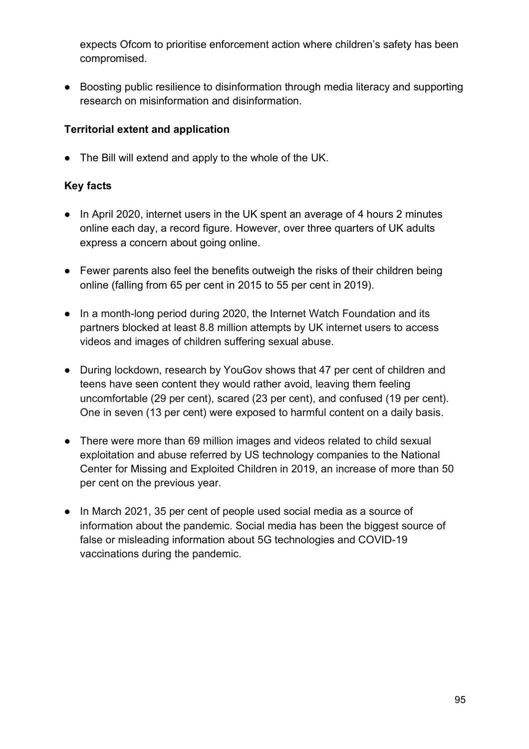expects Ofcom to prioritise enforcement action where children's safety has been compromised.

● Boosting public resilience to disinformation through media literacy and supporting research on misinformation and disinformation.

## **Territorial extent and application**

● The Bill will extend and apply to the whole of the UK.

- In April 2020, internet users in the UK spent an average of 4 hours 2 minutes online each day, a record figure. However, over three quarters of UK adults express a concern about going online.
- Fewer parents also feel the benefits outweigh the risks of their children being online (falling from 65 per cent in 2015 to 55 per cent in 2019).
- In a month-long period during 2020, the Internet Watch Foundation and its partners blocked at least 8.8 million attempts by UK internet users to access videos and images of children suffering sexual abuse.
- During lockdown, research by YouGov shows that 47 per cent of children and teens have seen content they would rather avoid, leaving them feeling uncomfortable (29 per cent), scared (23 per cent), and confused (19 per cent). One in seven (13 per cent) were exposed to harmful content on a daily basis.
- There were more than 69 million images and videos related to child sexual exploitation and abuse referred by US technology companies to the National Center for Missing and Exploited Children in 2019, an increase of more than 50 per cent on the previous year.
- In March 2021, 35 per cent of people used social media as a source of information about the pandemic. Social media has been the biggest source of false or misleading information about 5G technologies and COVID-19 vaccinations during the pandemic.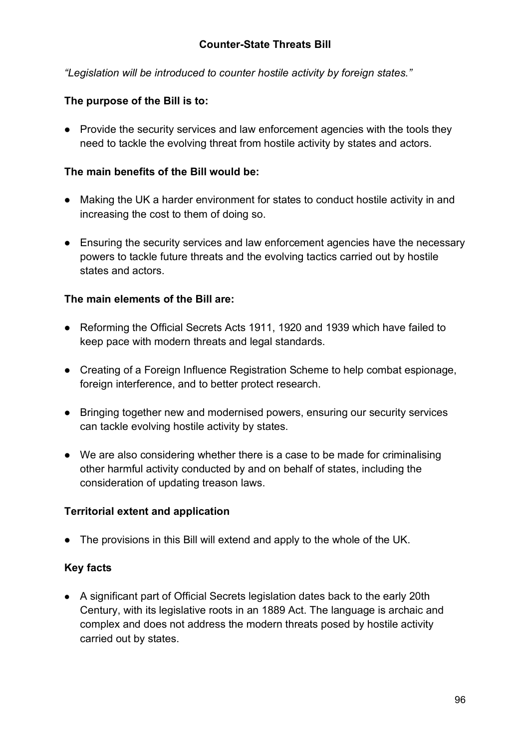*"Legislation will be introduced to counter hostile activity by foreign states."*

# **The purpose of the Bill is to:**

• Provide the security services and law enforcement agencies with the tools they need to tackle the evolving threat from hostile activity by states and actors.

### **The main benefits of the Bill would be:**

- Making the UK a harder environment for states to conduct hostile activity in and increasing the cost to them of doing so.
- Ensuring the security services and law enforcement agencies have the necessary powers to tackle future threats and the evolving tactics carried out by hostile states and actors.

### **The main elements of the Bill are:**

- Reforming the Official Secrets Acts 1911, 1920 and 1939 which have failed to keep pace with modern threats and legal standards.
- Creating of a Foreign Influence Registration Scheme to help combat espionage, foreign interference, and to better protect research.
- Bringing together new and modernised powers, ensuring our security services can tackle evolving hostile activity by states.
- We are also considering whether there is a case to be made for criminalising other harmful activity conducted by and on behalf of states, including the consideration of updating treason laws.

### **Territorial extent and application**

• The provisions in this Bill will extend and apply to the whole of the UK.

### **Key facts**

● A significant part of Official Secrets legislation dates back to the early 20th Century, with its legislative roots in an 1889 Act. The language is archaic and complex and does not address the modern threats posed by hostile activity carried out by states.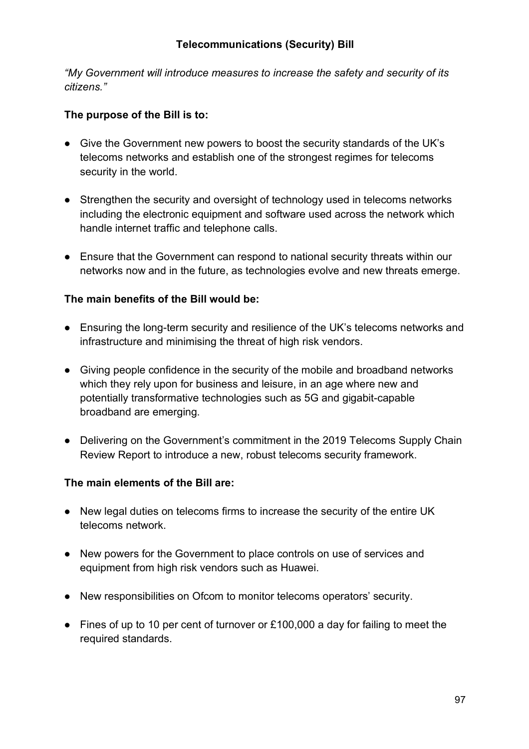*"My Government will introduce measures to increase the safety and security of its citizens."*

### **The purpose of the Bill is to:**

- Give the Government new powers to boost the security standards of the UK's telecoms networks and establish one of the strongest regimes for telecoms security in the world.
- Strengthen the security and oversight of technology used in telecoms networks including the electronic equipment and software used across the network which handle internet traffic and telephone calls.
- Ensure that the Government can respond to national security threats within our networks now and in the future, as technologies evolve and new threats emerge.

### **The main benefits of the Bill would be:**

- Ensuring the long-term security and resilience of the UK's telecoms networks and infrastructure and minimising the threat of high risk vendors.
- Giving people confidence in the security of the mobile and broadband networks which they rely upon for business and leisure, in an age where new and potentially transformative technologies such as 5G and gigabit-capable broadband are emerging.
- Delivering on the Government's commitment in the 2019 Telecoms Supply Chain Review Report to introduce a new, robust telecoms security framework.

### **The main elements of the Bill are:**

- New legal duties on telecoms firms to increase the security of the entire UK telecoms network.
- New powers for the Government to place controls on use of services and equipment from high risk vendors such as Huawei.
- New responsibilities on Ofcom to monitor telecoms operators' security.
- Fines of up to 10 per cent of turnover or £100,000 a day for failing to meet the required standards.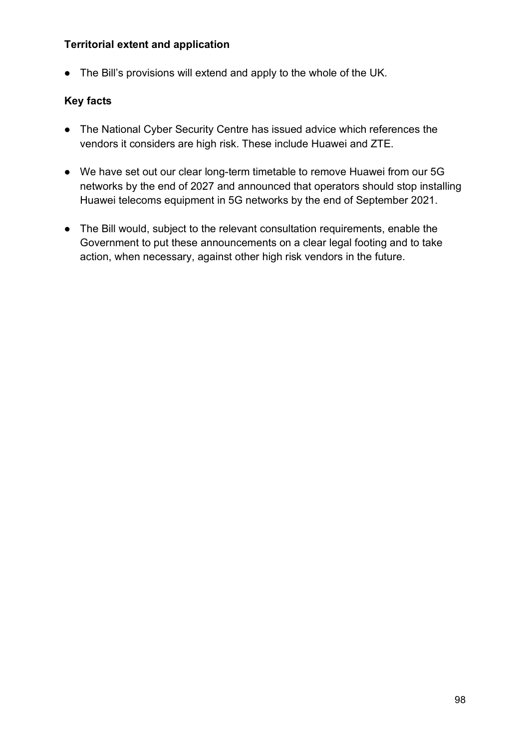### **Territorial extent and application**

● The Bill's provisions will extend and apply to the whole of the UK.

- The National Cyber Security Centre has issued advice which references the vendors it considers are high risk. These include Huawei and ZTE.
- We have set out our clear long-term timetable to remove Huawei from our 5G networks by the end of 2027 and announced that operators should stop installing Huawei telecoms equipment in 5G networks by the end of September 2021.
- The Bill would, subject to the relevant consultation requirements, enable the Government to put these announcements on a clear legal footing and to take action, when necessary, against other high risk vendors in the future.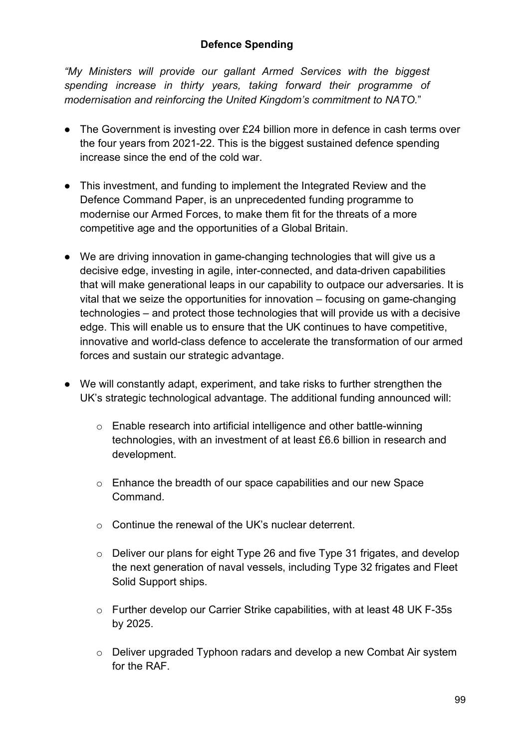### **Defence Spending**

*"My Ministers will provide our gallant Armed Services with the biggest spending increase in thirty years, taking forward their programme of modernisation and reinforcing the United Kingdom's commitment to NATO.*"

- The Government is investing over £24 billion more in defence in cash terms over the four years from 2021-22. This is the biggest sustained defence spending increase since the end of the cold war.
- This investment, and funding to implement the Integrated Review and the Defence Command Paper, is an unprecedented funding programme to modernise our Armed Forces, to make them fit for the threats of a more competitive age and the opportunities of a Global Britain.
- We are driving innovation in game-changing technologies that will give us a decisive edge, investing in agile, inter-connected, and data-driven capabilities that will make generational leaps in our capability to outpace our adversaries. It is vital that we seize the opportunities for innovation – focusing on game-changing technologies – and protect those technologies that will provide us with a decisive edge. This will enable us to ensure that the UK continues to have competitive, innovative and world-class defence to accelerate the transformation of our armed forces and sustain our strategic advantage.
- We will constantly adapt, experiment, and take risks to further strengthen the UK's strategic technological advantage. The additional funding announced will:
	- o Enable research into artificial intelligence and other battle-winning technologies, with an investment of at least £6.6 billion in research and development.
	- o Enhance the breadth of our space capabilities and our new Space Command.
	- o Continue the renewal of the UK's nuclear deterrent.
	- o Deliver our plans for eight Type 26 and five Type 31 frigates, and develop the next generation of naval vessels, including Type 32 frigates and Fleet Solid Support ships.
	- o Further develop our Carrier Strike capabilities, with at least 48 UK F-35s by 2025.
	- o Deliver upgraded Typhoon radars and develop a new Combat Air system for the RAF.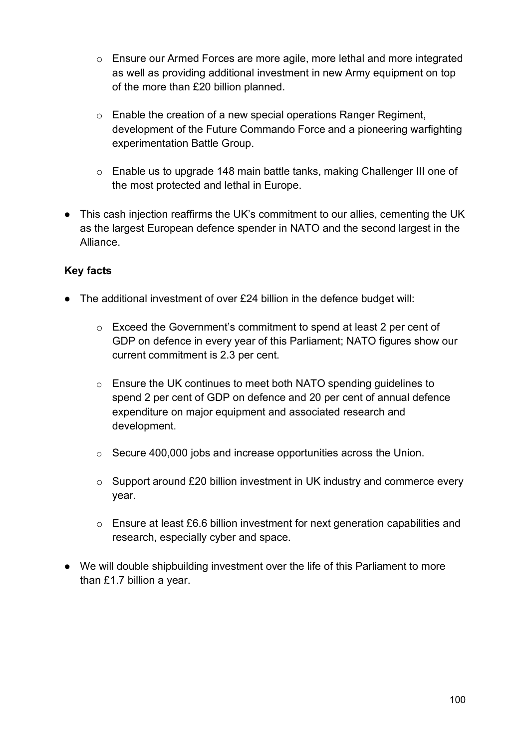- o Ensure our Armed Forces are more agile, more lethal and more integrated as well as providing additional investment in new Army equipment on top of the more than £20 billion planned.
- o Enable the creation of a new special operations Ranger Regiment, development of the Future Commando Force and a pioneering warfighting experimentation Battle Group.
- o Enable us to upgrade 148 main battle tanks, making Challenger III one of the most protected and lethal in Europe.
- This cash injection reaffirms the UK's commitment to our allies, cementing the UK as the largest European defence spender in NATO and the second largest in the Alliance.

- The additional investment of over £24 billion in the defence budget will:
	- $\circ$  Exceed the Government's commitment to spend at least 2 per cent of GDP on defence in every year of this Parliament; NATO figures show our current commitment is 2.3 per cent.
	- o Ensure the UK continues to meet both NATO spending guidelines to spend 2 per cent of GDP on defence and 20 per cent of annual defence expenditure on major equipment and associated research and development.
	- o Secure 400,000 jobs and increase opportunities across the Union.
	- o Support around £20 billion investment in UK industry and commerce every year.
	- o Ensure at least £6.6 billion investment for next generation capabilities and research, especially cyber and space.
- We will double shipbuilding investment over the life of this Parliament to more than £1.7 billion a year.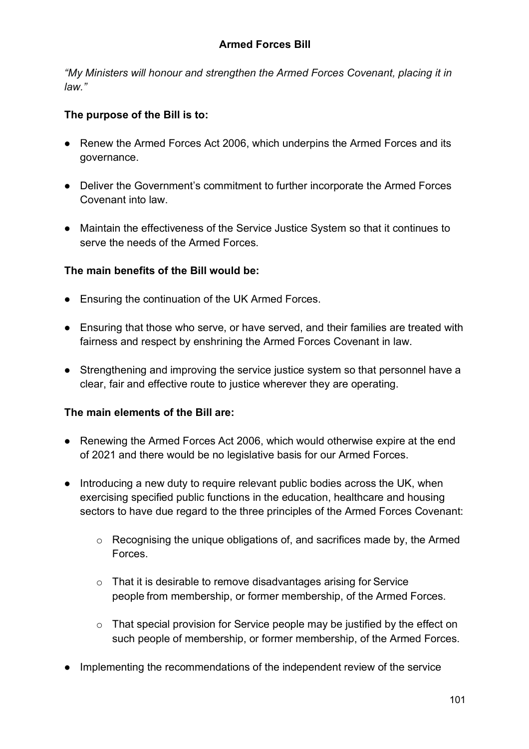*"My Ministers will honour and strengthen the Armed Forces Covenant, placing it in law."*

### **The purpose of the Bill is to:**

- Renew the Armed Forces Act 2006, which underpins the Armed Forces and its governance.
- Deliver the Government's commitment to further incorporate the Armed Forces Covenant into law.
- Maintain the effectiveness of the Service Justice System so that it continues to serve the needs of the Armed Forces.

### **The main benefits of the Bill would be:**

- Ensuring the continuation of the UK Armed Forces.
- Ensuring that those who serve, or have served, and their families are treated with fairness and respect by enshrining the Armed Forces Covenant in law.
- Strengthening and improving the service justice system so that personnel have a clear, fair and effective route to justice wherever they are operating.

### **The main elements of the Bill are:**

- Renewing the Armed Forces Act 2006, which would otherwise expire at the end of 2021 and there would be no legislative basis for our Armed Forces.
- Introducing a new duty to require relevant public bodies across the UK, when exercising specified public functions in the education, healthcare and housing sectors to have due regard to the three principles of the Armed Forces Covenant:
	- o Recognising the unique obligations of, and sacrifices made by, the Armed Forces.
	- o That it is desirable to remove disadvantages arising for Service people from membership, or former membership, of the Armed Forces.
	- o That special provision for Service people may be justified by the effect on such people of membership, or former membership, of the Armed Forces.
- Implementing the recommendations of the independent review of the service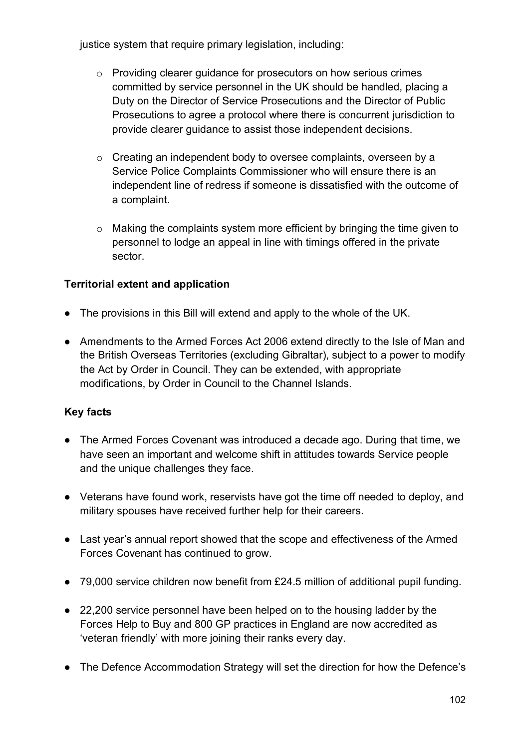justice system that require primary legislation, including:

- o Providing clearer guidance for prosecutors on how serious crimes committed by service personnel in the UK should be handled, placing a Duty on the Director of Service Prosecutions and the Director of Public Prosecutions to agree a protocol where there is concurrent jurisdiction to provide clearer guidance to assist those independent decisions.
- o Creating an independent body to oversee complaints, overseen by a Service Police Complaints Commissioner who will ensure there is an independent line of redress if someone is dissatisfied with the outcome of a complaint.
- o Making the complaints system more efficient by bringing the time given to personnel to lodge an appeal in line with timings offered in the private sector.

# **Territorial extent and application**

- The provisions in this Bill will extend and apply to the whole of the UK.
- Amendments to the Armed Forces Act 2006 extend directly to the Isle of Man and the British Overseas Territories (excluding Gibraltar), subject to a power to modify the Act by Order in Council. They can be extended, with appropriate modifications, by Order in Council to the Channel Islands.

- The Armed Forces Covenant was introduced a decade ago. During that time, we have seen an important and welcome shift in attitudes towards Service people and the unique challenges they face.
- Veterans have found work, reservists have got the time off needed to deploy, and military spouses have received further help for their careers.
- Last year's annual report showed that the scope and effectiveness of the Armed Forces Covenant has continued to grow.
- 79,000 service children now benefit from £24.5 million of additional pupil funding.
- 22,200 service personnel have been helped on to the housing ladder by the Forces Help to Buy and 800 GP practices in England are now accredited as 'veteran friendly' with more joining their ranks every day.
- The Defence Accommodation Strategy will set the direction for how the Defence's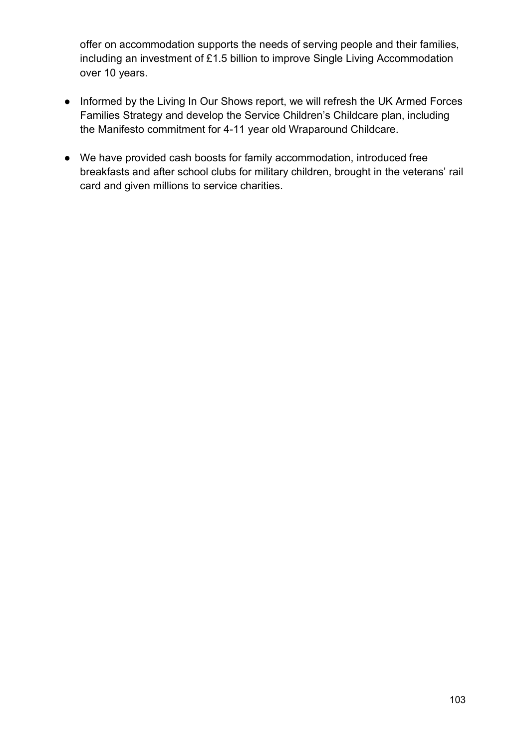offer on accommodation supports the needs of serving people and their families, including an investment of £1.5 billion to improve Single Living Accommodation over 10 years.

- Informed by the Living In Our Shows report, we will refresh the UK Armed Forces Families Strategy and develop the Service Children's Childcare plan, including the Manifesto commitment for 4-11 year old Wraparound Childcare.
- We have provided cash boosts for family accommodation, introduced free breakfasts and after school clubs for military children, brought in the veterans' rail card and given millions to service charities.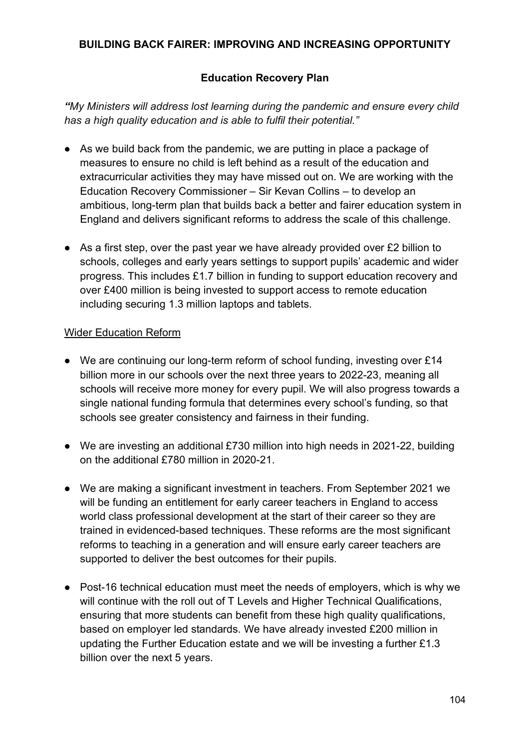### **BUILDING BACK FAIRER: IMPROVING AND INCREASING OPPORTUNITY**

### **Education Recovery Plan**

*"My Ministers will address lost learning during the pandemic and ensure every child has a high quality education and is able to fulfil their potential."*

- As we build back from the pandemic, we are putting in place a package of measures to ensure no child is left behind as a result of the education and extracurricular activities they may have missed out on. We are working with the Education Recovery Commissioner – Sir Kevan Collins – to develop an ambitious, long-term plan that builds back a better and fairer education system in England and delivers significant reforms to address the scale of this challenge.
- As a first step, over the past year we have already provided over £2 billion to schools, colleges and early years settings to support pupils' academic and wider progress. This includes £1.7 billion in funding to support education recovery and over £400 million is being invested to support access to remote education including securing 1.3 million laptops and tablets.

#### Wider Education Reform

- We are continuing our long-term reform of school funding, investing over £14 billion more in our schools over the next three years to 2022-23, meaning all schools will receive more money for every pupil. We will also progress towards a single national funding formula that determines every school's funding, so that schools see greater consistency and fairness in their funding.
- We are investing an additional £730 million into high needs in 2021-22, building on the additional £780 million in 2020-21.
- We are making a significant investment in teachers. From September 2021 we will be funding an entitlement for early career teachers in England to access world class professional development at the start of their career so they are trained in evidenced-based techniques. These reforms are the most significant reforms to teaching in a generation and will ensure early career teachers are supported to deliver the best outcomes for their pupils.
- Post-16 technical education must meet the needs of employers, which is why we will continue with the roll out of T Levels and Higher Technical Qualifications, ensuring that more students can benefit from these high quality qualifications, based on employer led standards. We have already invested £200 million in updating the Further Education estate and we will be investing a further £1.3 billion over the next 5 years.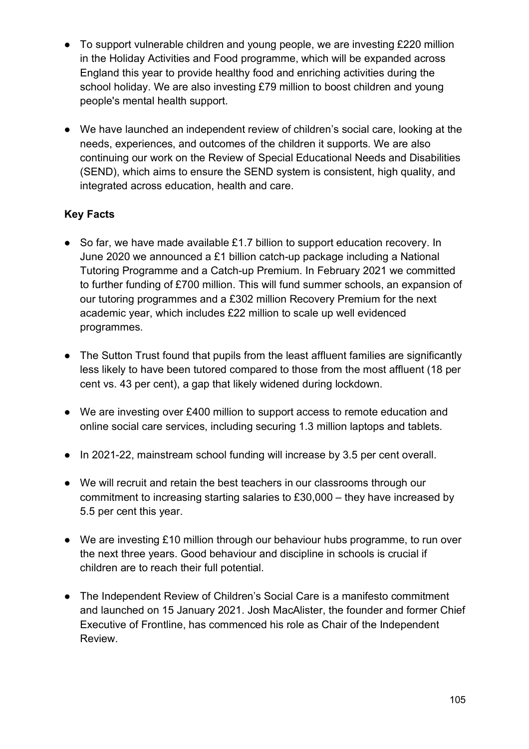- To support vulnerable children and young people, we are investing £220 million in the Holiday Activities and Food programme, which will be expanded across England this year to provide healthy food and enriching activities during the school holiday. We are also investing £79 million to boost children and young people's mental health support.
- We have launched an independent review of children's social care, looking at the needs, experiences, and outcomes of the children it supports. We are also continuing our work on the Review of Special Educational Needs and Disabilities (SEND), which aims to ensure the SEND system is consistent, high quality, and integrated across education, health and care.

# **Key Facts**

- So far, we have made available £1.7 billion to support education recovery. In June 2020 we announced a £1 billion catch-up package including a National Tutoring Programme and a Catch-up Premium. In February 2021 we committed to further funding of £700 million. This will fund summer schools, an expansion of our tutoring programmes and a £302 million Recovery Premium for the next academic year, which includes £22 million to scale up well evidenced programmes.
- The Sutton Trust found that pupils from the least affluent families are significantly less likely to have been tutored compared to those from the most affluent (18 per cent vs. 43 per cent), a gap that likely widened during lockdown.
- We are investing over £400 million to support access to remote education and online social care services, including securing 1.3 million laptops and tablets.
- In 2021-22, mainstream school funding will increase by 3.5 per cent overall.
- We will recruit and retain the best teachers in our classrooms through our commitment to increasing starting salaries to £30,000 – they have increased by 5.5 per cent this year.
- We are investing £10 million through our behaviour hubs programme, to run over the next three years. Good behaviour and discipline in schools is crucial if children are to reach their full potential.
- The Independent Review of Children's Social Care is a manifesto commitment and launched on 15 January 2021. Josh MacAlister, the founder and former Chief Executive of Frontline, has commenced his role as Chair of the Independent Review.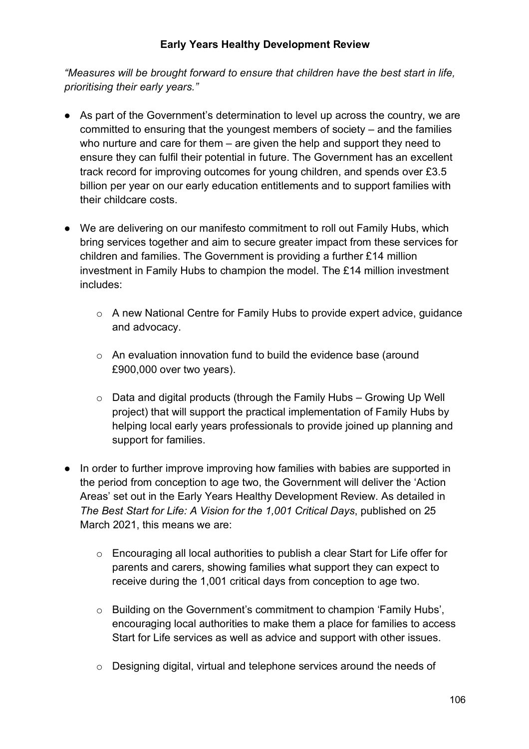### **Early Years Healthy Development Review**

*"Measures will be brought forward to ensure that children have the best start in life, prioritising their early years."*

- As part of the Government's determination to level up across the country, we are committed to ensuring that the youngest members of society – and the families who nurture and care for them – are given the help and support they need to ensure they can fulfil their potential in future. The Government has an excellent track record for improving outcomes for young children, and spends over £3.5 billion per year on our early education entitlements and to support families with their childcare costs.
- We are delivering on our manifesto commitment to roll out Family Hubs, which bring services together and aim to secure greater impact from these services for children and families. The Government is providing a further £14 million investment in Family Hubs to champion the model. The £14 million investment includes:
	- o A new National Centre for Family Hubs to provide expert advice, guidance and advocacy.
	- o An evaluation innovation fund to build the evidence base (around £900,000 over two years).
	- $\circ$  Data and digital products (through the Family Hubs Growing Up Well project) that will support the practical implementation of Family Hubs by helping local early years professionals to provide joined up planning and support for families.
- In order to further improve improving how families with babies are supported in the period from conception to age two, the Government will deliver the 'Action Areas' set out in the Early Years Healthy Development Review. As detailed in *The Best Start for Life: A Vision for the 1,001 Critical Days*, published on 25 March 2021, this means we are:
	- o Encouraging all local authorities to publish a clear Start for Life offer for parents and carers, showing families what support they can expect to receive during the 1,001 critical days from conception to age two.
	- o Building on the Government's commitment to champion 'Family Hubs', encouraging local authorities to make them a place for families to access Start for Life services as well as advice and support with other issues.
	- o Designing digital, virtual and telephone services around the needs of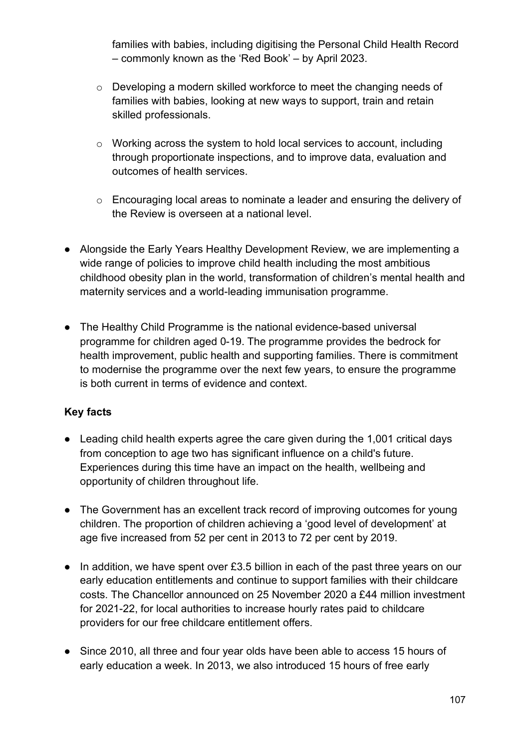families with babies, including digitising the Personal Child Health Record – commonly known as the 'Red Book' – by April 2023.

- $\circ$  Developing a modern skilled workforce to meet the changing needs of families with babies, looking at new ways to support, train and retain skilled professionals.
- o Working across the system to hold local services to account, including through proportionate inspections, and to improve data, evaluation and outcomes of health services.
- o Encouraging local areas to nominate a leader and ensuring the delivery of the Review is overseen at a national level.
- Alongside the Early Years Healthy Development Review, we are implementing a wide range of policies to improve child health including the most ambitious childhood obesity plan in the world, transformation of children's mental health and maternity services and a world-leading immunisation programme.
- The Healthy Child Programme is the national evidence-based universal programme for children aged 0-19. The programme provides the bedrock for health improvement, public health and supporting families. There is commitment to modernise the programme over the next few years, to ensure the programme is both current in terms of evidence and context.

- Leading child health experts agree the care given during the 1,001 critical days from conception to age two has significant influence on a child's future. Experiences during this time have an impact on the health, wellbeing and opportunity of children throughout life.
- The Government has an excellent track record of improving outcomes for young children. The proportion of children achieving a 'good level of development' at age five increased from 52 per cent in 2013 to 72 per cent by 2019.
- In addition, we have spent over £3.5 billion in each of the past three years on our early education entitlements and continue to support families with their childcare costs. The Chancellor announced on 25 November 2020 a £44 million investment for 2021-22, for local authorities to increase hourly rates paid to childcare providers for our free childcare entitlement offers.
- Since 2010, all three and four year olds have been able to access 15 hours of early education a week. In 2013, we also introduced 15 hours of free early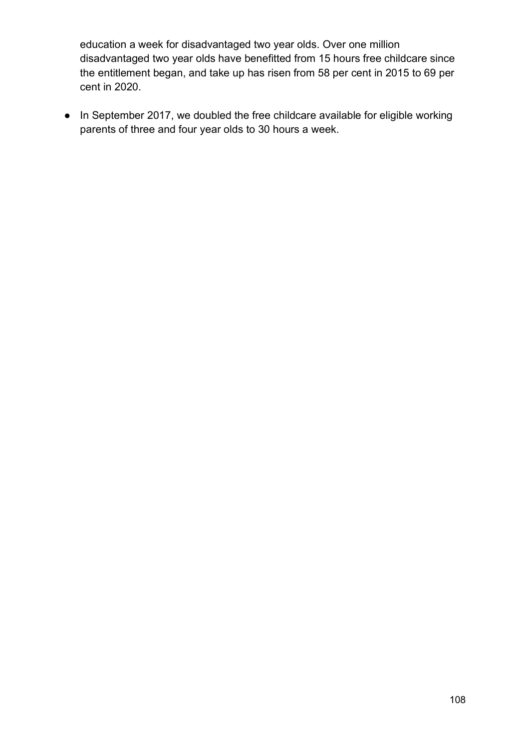education a week for disadvantaged two year olds. Over one million disadvantaged two year olds have benefitted from 15 hours free childcare since the entitlement began, and take up has risen from 58 per cent in 2015 to 69 per cent in 2020.

● In September 2017, we doubled the free childcare available for eligible working parents of three and four year olds to 30 hours a week.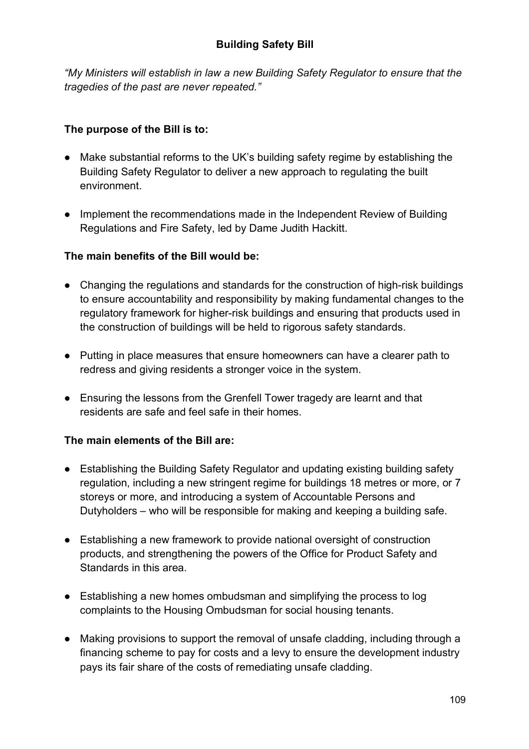*"My Ministers will establish in law a new Building Safety Regulator to ensure that the tragedies of the past are never repeated."*

# **The purpose of the Bill is to:**

- Make substantial reforms to the UK's building safety regime by establishing the Building Safety Regulator to deliver a new approach to regulating the built environment.
- Implement the recommendations made in the Independent Review of Building Regulations and Fire Safety, led by Dame Judith Hackitt.

# **The main benefits of the Bill would be:**

- Changing the regulations and standards for the construction of high-risk buildings to ensure accountability and responsibility by making fundamental changes to the regulatory framework for higher-risk buildings and ensuring that products used in the construction of buildings will be held to rigorous safety standards.
- Putting in place measures that ensure homeowners can have a clearer path to redress and giving residents a stronger voice in the system.
- Ensuring the lessons from the Grenfell Tower tragedy are learnt and that residents are safe and feel safe in their homes.

# **The main elements of the Bill are:**

- Establishing the Building Safety Regulator and updating existing building safety regulation, including a new stringent regime for buildings 18 metres or more, or 7 storeys or more, and introducing a system of Accountable Persons and Dutyholders – who will be responsible for making and keeping a building safe.
- Establishing a new framework to provide national oversight of construction products, and strengthening the powers of the Office for Product Safety and Standards in this area.
- Establishing a new homes ombudsman and simplifying the process to log complaints to the Housing Ombudsman for social housing tenants.
- Making provisions to support the removal of unsafe cladding, including through a financing scheme to pay for costs and a levy to ensure the development industry pays its fair share of the costs of remediating unsafe cladding.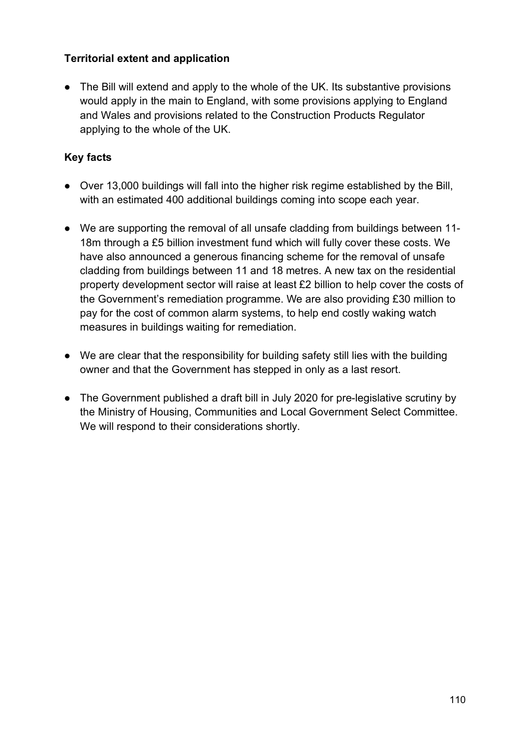## **Territorial extent and application**

• The Bill will extend and apply to the whole of the UK. Its substantive provisions would apply in the main to England, with some provisions applying to England and Wales and provisions related to the Construction Products Regulator applying to the whole of the UK.

- Over 13,000 buildings will fall into the higher risk regime established by the Bill, with an estimated 400 additional buildings coming into scope each year.
- We are supporting the removal of all unsafe cladding from buildings between 11- 18m through a £5 billion investment fund which will fully cover these costs. We have also announced a generous financing scheme for the removal of unsafe cladding from buildings between 11 and 18 metres. A new tax on the residential property development sector will raise at least £2 billion to help cover the costs of the Government's remediation programme. We are also providing £30 million to pay for the cost of common alarm systems, to help end costly waking watch measures in buildings waiting for remediation.
- We are clear that the responsibility for building safety still lies with the building owner and that the Government has stepped in only as a last resort.
- The Government published a draft bill in July 2020 for pre-legislative scrutiny by the Ministry of Housing, Communities and Local Government Select Committee. We will respond to their considerations shortly.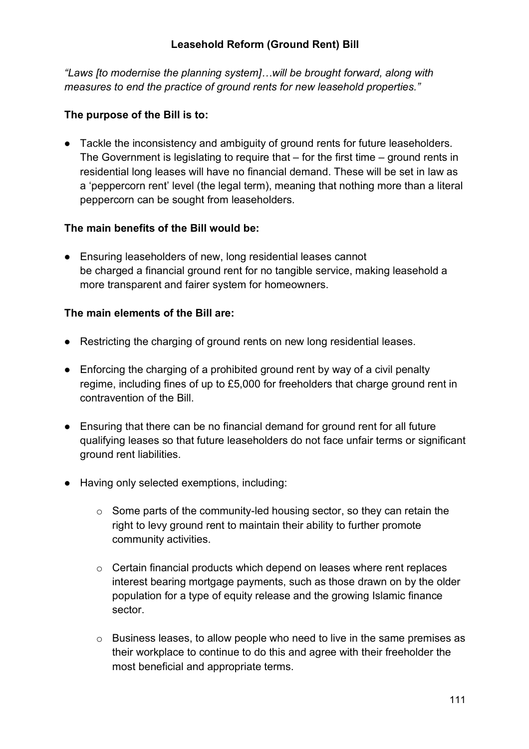### **Leasehold Reform (Ground Rent) Bill**

*"Laws [to modernise the planning system]…will be brought forward, along with measures to end the practice of ground rents for new leasehold properties."*

#### **The purpose of the Bill is to:**

● Tackle the inconsistency and ambiguity of ground rents for future leaseholders. The Government is legislating to require that – for the first time – ground rents in residential long leases will have no financial demand. These will be set in law as a 'peppercorn rent' level (the legal term), meaning that nothing more than a literal peppercorn can be sought from leaseholders.

#### **The main benefits of the Bill would be:**

● Ensuring leaseholders of new, long residential leases cannot be charged a financial ground rent for no tangible service, making leasehold a more transparent and fairer system for homeowners.

#### **The main elements of the Bill are:**

- Restricting the charging of ground rents on new long residential leases.
- Enforcing the charging of a prohibited ground rent by way of a civil penalty regime, including fines of up to £5,000 for freeholders that charge ground rent in contravention of the Bill.
- Ensuring that there can be no financial demand for ground rent for all future qualifying leases so that future leaseholders do not face unfair terms or significant ground rent liabilities.
- Having only selected exemptions, including:
	- $\circ$  Some parts of the community-led housing sector, so they can retain the right to levy ground rent to maintain their ability to further promote community activities.
	- o Certain financial products which depend on leases where rent replaces interest bearing mortgage payments, such as those drawn on by the older population for a type of equity release and the growing Islamic finance sector.
	- $\circ$  Business leases, to allow people who need to live in the same premises as their workplace to continue to do this and agree with their freeholder the most beneficial and appropriate terms.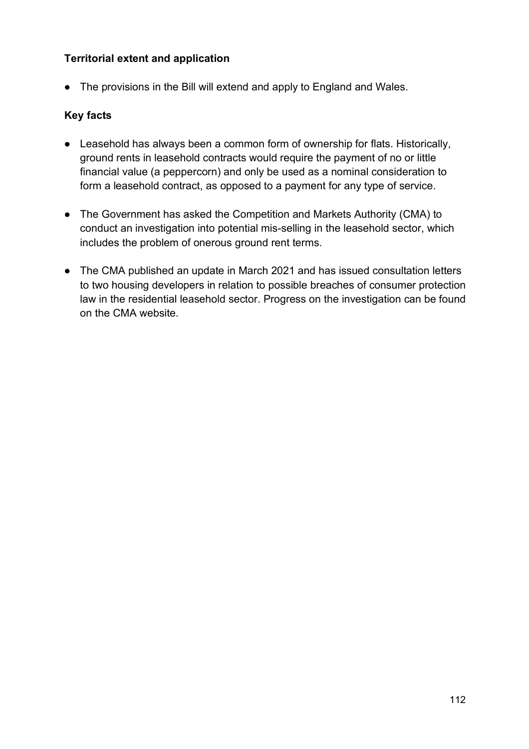## **Territorial extent and application**

• The provisions in the Bill will extend and apply to England and Wales.

- Leasehold has always been a common form of ownership for flats. Historically, ground rents in leasehold contracts would require the payment of no or little financial value (a peppercorn) and only be used as a nominal consideration to form a leasehold contract, as opposed to a payment for any type of service.
- The Government has asked the Competition and Markets Authority (CMA) to conduct an investigation into potential mis-selling in the leasehold sector, which includes the problem of onerous ground rent terms.
- The CMA published an update in March 2021 and has issued consultation letters to two housing developers in relation to possible breaches of consumer protection law in the residential leasehold sector. Progress on the investigation can be found on the CMA website.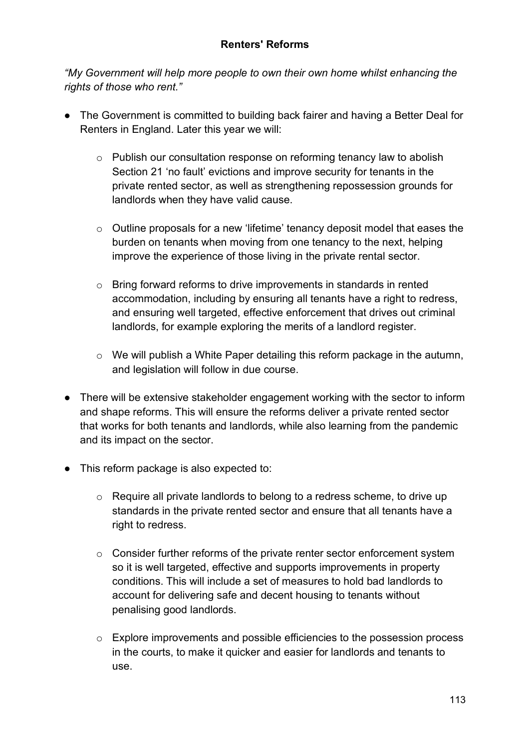#### **Renters' Reforms**

*"My Government will help more people to own their own home whilst enhancing the rights of those who rent."*

- The Government is committed to building back fairer and having a Better Deal for Renters in England. Later this year we will:
	- o Publish our consultation response on reforming tenancy law to abolish Section 21 'no fault' evictions and improve security for tenants in the private rented sector, as well as strengthening repossession grounds for landlords when they have valid cause.
	- o Outline proposals for a new 'lifetime' tenancy deposit model that eases the burden on tenants when moving from one tenancy to the next, helping improve the experience of those living in the private rental sector.
	- $\circ$  Bring forward reforms to drive improvements in standards in rented accommodation, including by ensuring all tenants have a right to redress, and ensuring well targeted, effective enforcement that drives out criminal landlords, for example exploring the merits of a landlord register.
	- o We will publish a White Paper detailing this reform package in the autumn, and legislation will follow in due course.
- There will be extensive stakeholder engagement working with the sector to inform and shape reforms. This will ensure the reforms deliver a private rented sector that works for both tenants and landlords, while also learning from the pandemic and its impact on the sector.
- This reform package is also expected to:
	- o Require all private landlords to belong to a redress scheme, to drive up standards in the private rented sector and ensure that all tenants have a right to redress.
	- o Consider further reforms of the private renter sector enforcement system so it is well targeted, effective and supports improvements in property conditions. This will include a set of measures to hold bad landlords to account for delivering safe and decent housing to tenants without penalising good landlords.
	- o Explore improvements and possible efficiencies to the possession process in the courts, to make it quicker and easier for landlords and tenants to use.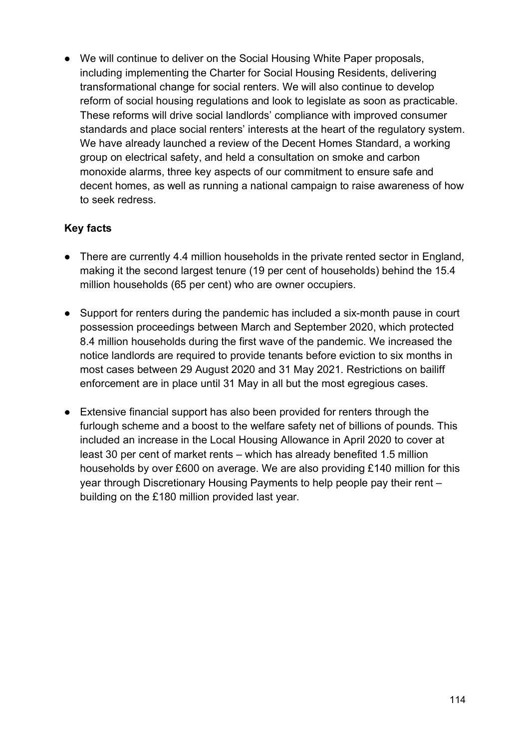● We will continue to deliver on the Social Housing White Paper proposals, including implementing the Charter for Social Housing Residents, delivering transformational change for social renters. We will also continue to develop reform of social housing regulations and look to legislate as soon as practicable. These reforms will drive social landlords' compliance with improved consumer standards and place social renters' interests at the heart of the regulatory system. We have already launched a review of the Decent Homes Standard, a working group on electrical safety, and held a consultation on smoke and carbon monoxide alarms, three key aspects of our commitment to ensure safe and decent homes, as well as running a national campaign to raise awareness of how to seek redress.

- There are currently 4.4 million households in the private rented sector in England, making it the second largest tenure (19 per cent of households) behind the 15.4 million households (65 per cent) who are owner occupiers.
- Support for renters during the pandemic has included a six-month pause in court possession proceedings between March and September 2020, which protected 8.4 million households during the first wave of the pandemic. We increased the notice landlords are required to provide tenants before eviction to six months in most cases between 29 August 2020 and 31 May 2021. Restrictions on bailiff enforcement are in place until 31 May in all but the most egregious cases.
- Extensive financial support has also been provided for renters through the furlough scheme and a boost to the welfare safety net of billions of pounds. This included an increase in the Local Housing Allowance in April 2020 to cover at least 30 per cent of market rents – which has already benefited 1.5 million households by over £600 on average. We are also providing £140 million for this year through Discretionary Housing Payments to help people pay their rent – building on the £180 million provided last year.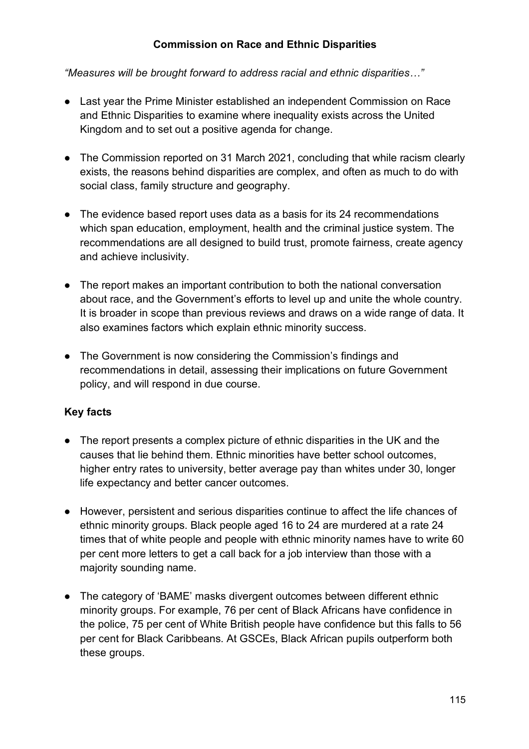### **Commission on Race and Ethnic Disparities**

*"Measures will be brought forward to address racial and ethnic disparities…"*

- Last year the Prime Minister established an independent Commission on Race and Ethnic Disparities to examine where inequality exists across the United Kingdom and to set out a positive agenda for change.
- The Commission reported on 31 March 2021, concluding that while racism clearly exists, the reasons behind disparities are complex, and often as much to do with social class, family structure and geography.
- The evidence based report uses data as a basis for its 24 recommendations which span education, employment, health and the criminal justice system. The recommendations are all designed to build trust, promote fairness, create agency and achieve inclusivity.
- The report makes an important contribution to both the national conversation about race, and the Government's efforts to level up and unite the whole country. It is broader in scope than previous reviews and draws on a wide range of data. It also examines factors which explain ethnic minority success.
- The Government is now considering the Commission's findings and recommendations in detail, assessing their implications on future Government policy, and will respond in due course.

- The report presents a complex picture of ethnic disparities in the UK and the causes that lie behind them. Ethnic minorities have better school outcomes, higher entry rates to university, better average pay than whites under 30, longer life expectancy and better cancer outcomes.
- However, persistent and serious disparities continue to affect the life chances of ethnic minority groups. Black people aged 16 to 24 are murdered at a rate 24 times that of white people and people with ethnic minority names have to write 60 per cent more letters to get a call back for a job interview than those with a majority sounding name.
- The category of 'BAME' masks divergent outcomes between different ethnic minority groups. For example, 76 per cent of Black Africans have confidence in the police, 75 per cent of White British people have confidence but this falls to 56 per cent for Black Caribbeans. At GSCEs, Black African pupils outperform both these groups.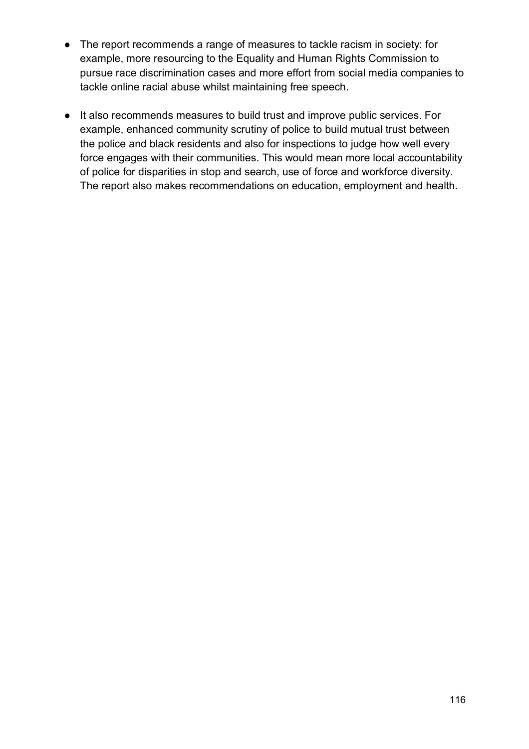- The report recommends a range of measures to tackle racism in society: for example, more resourcing to the Equality and Human Rights Commission to pursue race discrimination cases and more effort from social media companies to tackle online racial abuse whilst maintaining free speech.
- It also recommends measures to build trust and improve public services. For example, enhanced community scrutiny of police to build mutual trust between the police and black residents and also for inspections to judge how well every force engages with their communities. This would mean more local accountability of police for disparities in stop and search, use of force and workforce diversity. The report also makes recommendations on education, employment and health.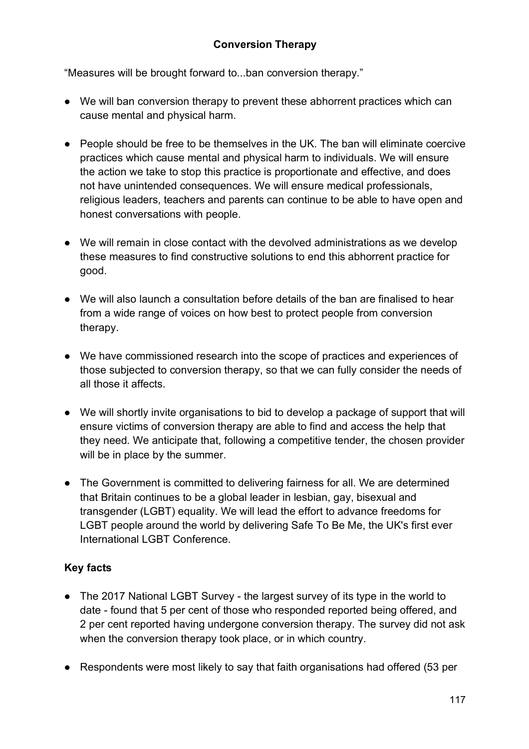### **Conversion Therapy**

"Measures will be brought forward to...ban conversion therapy."

- We will ban conversion therapy to prevent these abhorrent practices which can cause mental and physical harm.
- People should be free to be themselves in the UK. The ban will eliminate coercive practices which cause mental and physical harm to individuals. We will ensure the action we take to stop this practice is proportionate and effective, and does not have unintended consequences. We will ensure medical professionals, religious leaders, teachers and parents can continue to be able to have open and honest conversations with people.
- We will remain in close contact with the devolved administrations as we develop these measures to find constructive solutions to end this abhorrent practice for good.
- We will also launch a consultation before details of the ban are finalised to hear from a wide range of voices on how best to protect people from conversion therapy.
- We have commissioned research into the scope of practices and experiences of those subjected to conversion therapy, so that we can fully consider the needs of all those it affects.
- We will shortly invite organisations to bid to develop a package of support that will ensure victims of conversion therapy are able to find and access the help that they need. We anticipate that, following a competitive tender, the chosen provider will be in place by the summer.
- The Government is committed to delivering fairness for all. We are determined that Britain continues to be a global leader in lesbian, gay, bisexual and transgender (LGBT) equality. We will lead the effort to advance freedoms for LGBT people around the world by delivering Safe To Be Me, the UK's first ever International LGBT Conference.

- The 2017 National LGBT Survey the largest survey of its type in the world to date - found that 5 per cent of those who responded reported being offered, and 2 per cent reported having undergone conversion therapy. The survey did not ask when the conversion therapy took place, or in which country.
- Respondents were most likely to say that faith organisations had offered (53 per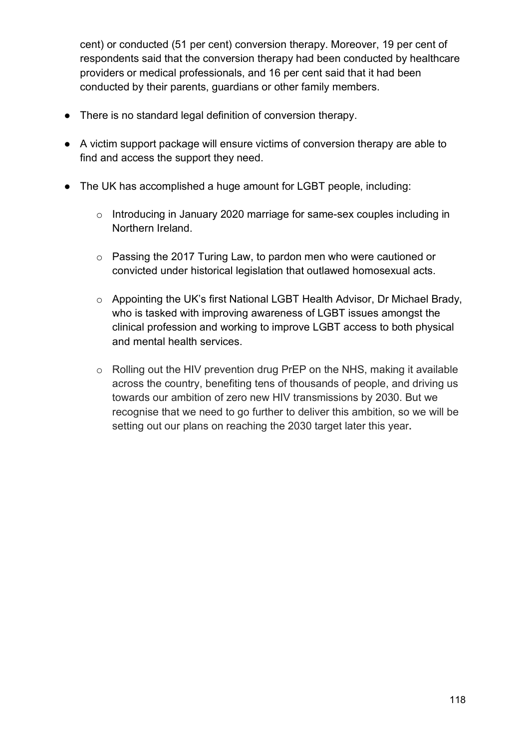cent) or conducted (51 per cent) conversion therapy. Moreover, 19 per cent of respondents said that the conversion therapy had been conducted by healthcare providers or medical professionals, and 16 per cent said that it had been conducted by their parents, guardians or other family members.

- There is no standard legal definition of conversion therapy.
- A victim support package will ensure victims of conversion therapy are able to find and access the support they need.
- The UK has accomplished a huge amount for LGBT people, including:
	- o Introducing in January 2020 marriage for same-sex couples including in Northern Ireland.
	- o Passing the 2017 Turing Law, to pardon men who were cautioned or convicted under historical legislation that outlawed homosexual acts.
	- o Appointing the UK's first National LGBT Health Advisor, Dr Michael Brady, who is tasked with improving awareness of LGBT issues amongst the clinical profession and working to improve LGBT access to both physical and mental health services.
	- o Rolling out the HIV prevention drug PrEP on the NHS, making it available across the country, benefiting tens of thousands of people, and driving us towards our ambition of zero new HIV transmissions by 2030. But we recognise that we need to go further to deliver this ambition, so we will be setting out our plans on reaching the 2030 target later this year**.**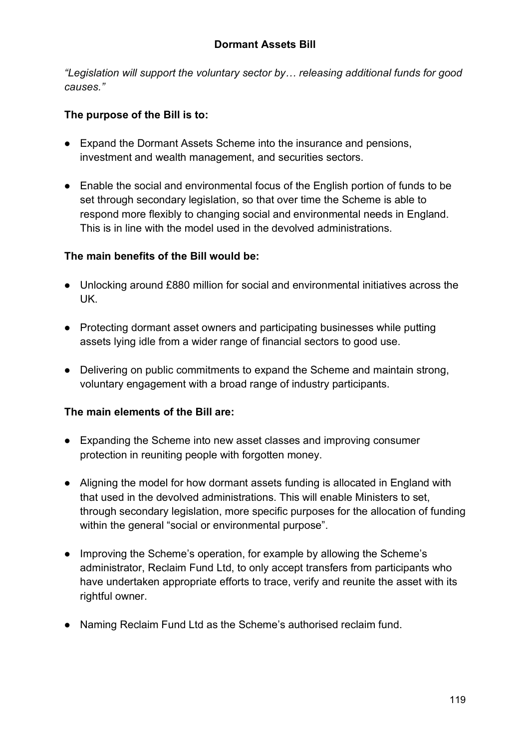*"Legislation will support the voluntary sector by… releasing additional funds for good causes."*

## **The purpose of the Bill is to:**

- Expand the Dormant Assets Scheme into the insurance and pensions, investment and wealth management, and securities sectors.
- Enable the social and environmental focus of the English portion of funds to be set through secondary legislation, so that over time the Scheme is able to respond more flexibly to changing social and environmental needs in England. This is in line with the model used in the devolved administrations.

## **The main benefits of the Bill would be:**

- Unlocking around £880 million for social and environmental initiatives across the UK.
- Protecting dormant asset owners and participating businesses while putting assets lying idle from a wider range of financial sectors to good use.
- Delivering on public commitments to expand the Scheme and maintain strong, voluntary engagement with a broad range of industry participants.

### **The main elements of the Bill are:**

- Expanding the Scheme into new asset classes and improving consumer protection in reuniting people with forgotten money.
- Aligning the model for how dormant assets funding is allocated in England with that used in the devolved administrations. This will enable Ministers to set, through secondary legislation, more specific purposes for the allocation of funding within the general "social or environmental purpose".
- Improving the Scheme's operation, for example by allowing the Scheme's administrator, Reclaim Fund Ltd, to only accept transfers from participants who have undertaken appropriate efforts to trace, verify and reunite the asset with its rightful owner.
- Naming Reclaim Fund Ltd as the Scheme's authorised reclaim fund.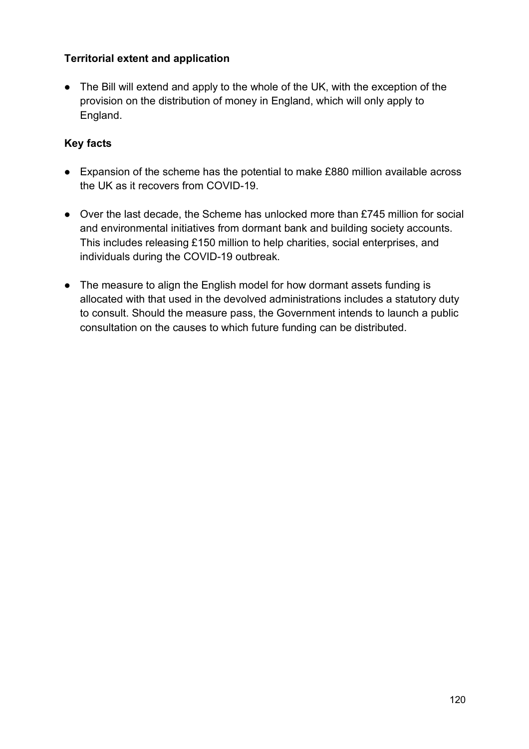## **Territorial extent and application**

• The Bill will extend and apply to the whole of the UK, with the exception of the provision on the distribution of money in England, which will only apply to England.

- Expansion of the scheme has the potential to make £880 million available across the UK as it recovers from COVID-19.
- Over the last decade, the Scheme has unlocked more than £745 million for social and environmental initiatives from dormant bank and building society accounts. This includes releasing £150 million to help charities, social enterprises, and individuals during the COVID-19 outbreak.
- The measure to align the English model for how dormant assets funding is allocated with that used in the devolved administrations includes a statutory duty to consult. Should the measure pass, the Government intends to launch a public consultation on the causes to which future funding can be distributed.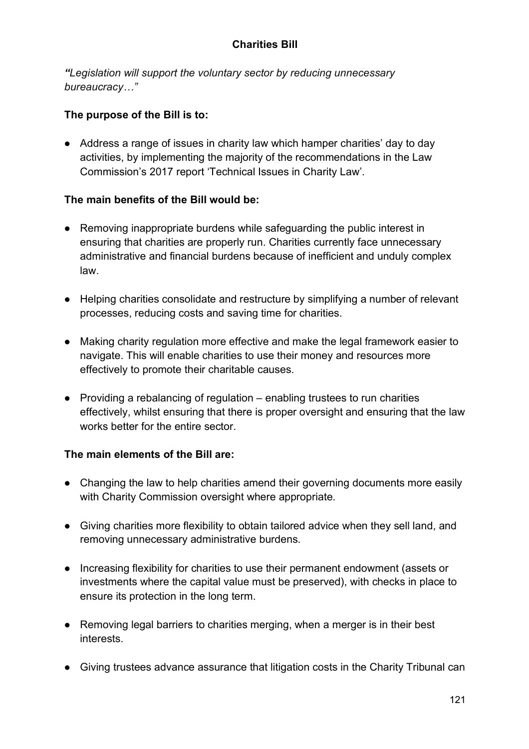### **Charities Bill**

*"Legislation will support the voluntary sector by reducing unnecessary bureaucracy…"*

### **The purpose of the Bill is to:**

● Address a range of issues in charity law which hamper charities' day to day activities, by implementing the majority of the recommendations in the Law Commission's 2017 report 'Technical Issues in Charity Law'.

### **The main benefits of the Bill would be:**

- Removing inappropriate burdens while safeguarding the public interest in ensuring that charities are properly run. Charities currently face unnecessary administrative and financial burdens because of inefficient and unduly complex law.
- Helping charities consolidate and restructure by simplifying a number of relevant processes, reducing costs and saving time for charities.
- Making charity regulation more effective and make the legal framework easier to navigate. This will enable charities to use their money and resources more effectively to promote their charitable causes.
- Providing a rebalancing of regulation enabling trustees to run charities effectively, whilst ensuring that there is proper oversight and ensuring that the law works better for the entire sector.

### **The main elements of the Bill are:**

- Changing the law to help charities amend their governing documents more easily with Charity Commission oversight where appropriate.
- Giving charities more flexibility to obtain tailored advice when they sell land, and removing unnecessary administrative burdens.
- Increasing flexibility for charities to use their permanent endowment (assets or investments where the capital value must be preserved), with checks in place to ensure its protection in the long term.
- Removing legal barriers to charities merging, when a merger is in their best interests.
- Giving trustees advance assurance that litigation costs in the Charity Tribunal can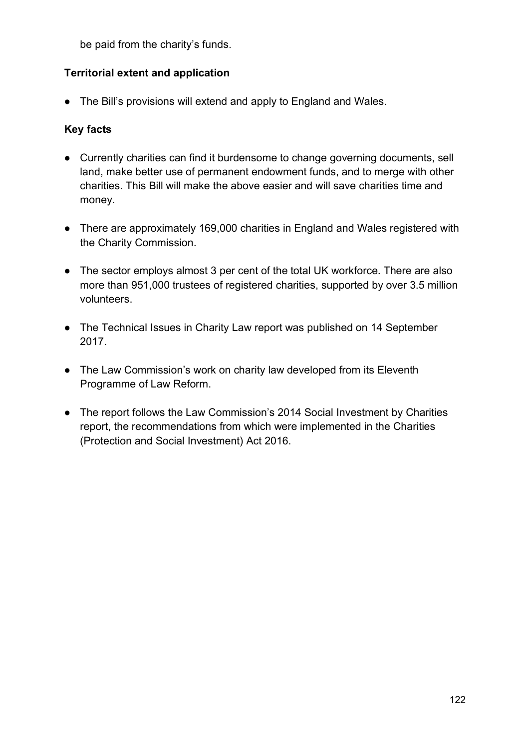be paid from the charity's funds.

## **Territorial extent and application**

● The Bill's provisions will extend and apply to England and Wales.

- Currently charities can find it burdensome to change governing documents, sell land, make better use of permanent endowment funds, and to merge with other charities. This Bill will make the above easier and will save charities time and money.
- There are approximately 169,000 charities in England and Wales registered with the Charity Commission.
- The sector employs almost 3 per cent of the total UK workforce. There are also more than 951,000 trustees of registered charities, supported by over 3.5 million volunteers.
- The Technical Issues in Charity Law report was published on 14 September 2017.
- The Law Commission's work on charity law developed from its Eleventh Programme of Law Reform.
- The report follows the Law Commission's 2014 Social Investment by Charities report, the recommendations from which were implemented in the Charities (Protection and Social Investment) Act 2016.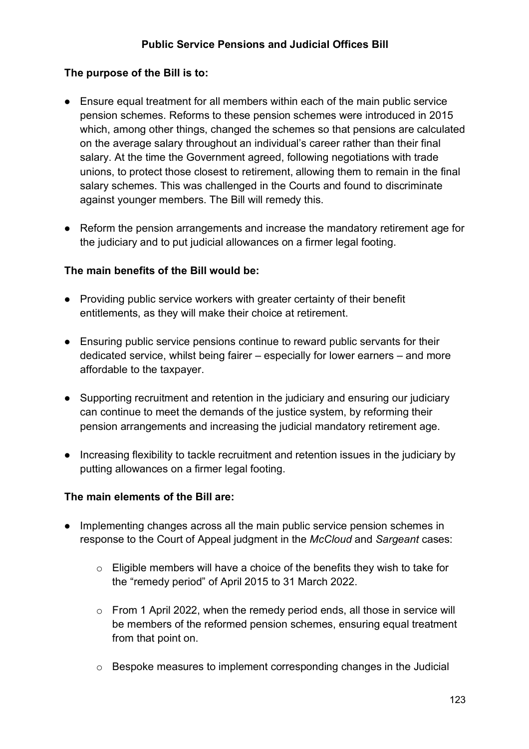### **The purpose of the Bill is to:**

- Ensure equal treatment for all members within each of the main public service pension schemes. Reforms to these pension schemes were introduced in 2015 which, among other things, changed the schemes so that pensions are calculated on the average salary throughout an individual's career rather than their final salary. At the time the Government agreed, following negotiations with trade unions, to protect those closest to retirement, allowing them to remain in the final salary schemes. This was challenged in the Courts and found to discriminate against younger members. The Bill will remedy this.
- Reform the pension arrangements and increase the mandatory retirement age for the judiciary and to put judicial allowances on a firmer legal footing.

#### **The main benefits of the Bill would be:**

- Providing public service workers with greater certainty of their benefit entitlements, as they will make their choice at retirement.
- Ensuring public service pensions continue to reward public servants for their dedicated service, whilst being fairer – especially for lower earners – and more affordable to the taxpayer.
- Supporting recruitment and retention in the judiciary and ensuring our judiciary can continue to meet the demands of the justice system, by reforming their pension arrangements and increasing the judicial mandatory retirement age.
- Increasing flexibility to tackle recruitment and retention issues in the judiciary by putting allowances on a firmer legal footing.

### **The main elements of the Bill are:**

- Implementing changes across all the main public service pension schemes in response to the Court of Appeal judgment in the *McCloud* and *Sargeant* cases:
	- o Eligible members will have a choice of the benefits they wish to take for the "remedy period" of April 2015 to 31 March 2022.
	- o From 1 April 2022, when the remedy period ends, all those in service will be members of the reformed pension schemes, ensuring equal treatment from that point on.
	- $\circ$  Bespoke measures to implement corresponding changes in the Judicial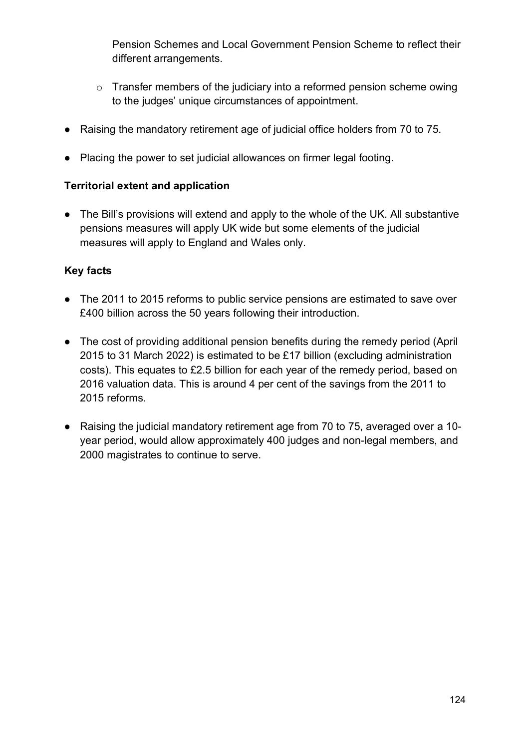Pension Schemes and Local Government Pension Scheme to reflect their different arrangements.

- $\circ$  Transfer members of the judiciary into a reformed pension scheme owing to the judges' unique circumstances of appointment.
- Raising the mandatory retirement age of judicial office holders from 70 to 75.
- Placing the power to set judicial allowances on firmer legal footing.

### **Territorial extent and application**

• The Bill's provisions will extend and apply to the whole of the UK. All substantive pensions measures will apply UK wide but some elements of the judicial measures will apply to England and Wales only.

- The 2011 to 2015 reforms to public service pensions are estimated to save over £400 billion across the 50 years following their introduction.
- The cost of providing additional pension benefits during the remedy period (April 2015 to 31 March 2022) is estimated to be £17 billion (excluding administration costs). This equates to £2.5 billion for each year of the remedy period, based on 2016 valuation data. This is around 4 per cent of the savings from the 2011 to 2015 reforms.
- Raising the judicial mandatory retirement age from 70 to 75, averaged over a 10 year period, would allow approximately 400 judges and non-legal members, and 2000 magistrates to continue to serve.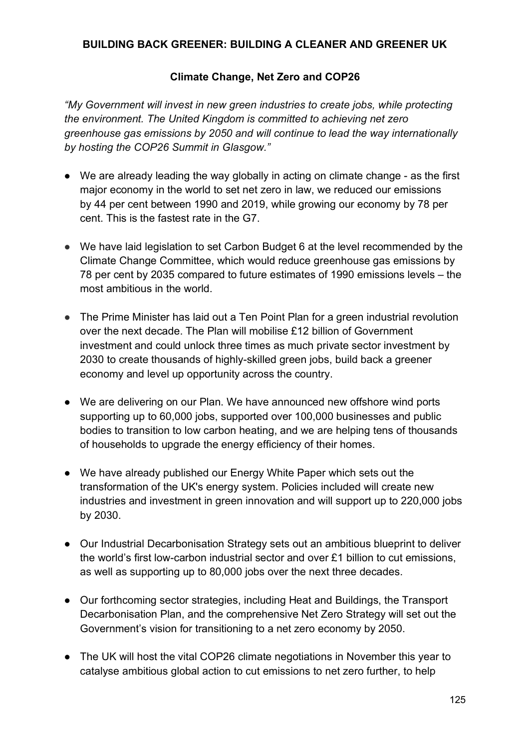#### **BUILDING BACK GREENER: BUILDING A CLEANER AND GREENER UK**

### **Climate Change, Net Zero and COP26**

*"My Government will invest in new green industries to create jobs, while protecting the environment. The United Kingdom is committed to achieving net zero greenhouse gas emissions by 2050 and will continue to lead the way internationally by hosting the COP26 Summit in Glasgow."*

- We are already leading the way globally in acting on climate change as the first major economy in the world to set net zero in law, we reduced our emissions by 44 per cent between 1990 and 2019, while growing our economy by 78 per cent. This is the fastest rate in the G7.
- We have laid legislation to set Carbon Budget 6 at the level recommended by the Climate Change Committee, which would reduce greenhouse gas emissions by 78 per cent by 2035 compared to future estimates of 1990 emissions levels – the most ambitious in the world.
- The Prime Minister has laid out a Ten Point Plan for a green industrial revolution over the next decade. The Plan will mobilise £12 billion of Government investment and could unlock three times as much private sector investment by 2030 to create thousands of highly-skilled green jobs, build back a greener economy and level up opportunity across the country.
- We are delivering on our Plan. We have announced new offshore wind ports supporting up to 60,000 jobs, supported over 100,000 businesses and public bodies to transition to low carbon heating, and we are helping tens of thousands of households to upgrade the energy efficiency of their homes.
- We have already published our Energy White Paper which sets out the transformation of the UK's energy system. Policies included will create new industries and investment in green innovation and will support up to 220,000 jobs by 2030.
- Our Industrial Decarbonisation Strategy sets out an ambitious blueprint to deliver the world's first low-carbon industrial sector and over £1 billion to cut emissions, as well as supporting up to 80,000 jobs over the next three decades.
- Our forthcoming sector strategies, including Heat and Buildings, the Transport Decarbonisation Plan, and the comprehensive Net Zero Strategy will set out the Government's vision for transitioning to a net zero economy by 2050.
- The UK will host the vital COP26 climate negotiations in November this year to catalyse ambitious global action to cut emissions to net zero further, to help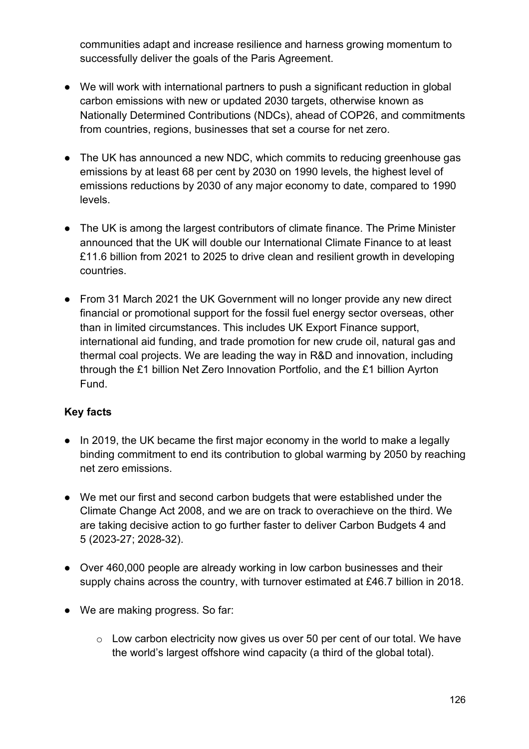communities adapt and increase resilience and harness growing momentum to successfully deliver the goals of the Paris Agreement.

- We will work with international partners to push a significant reduction in global carbon emissions with new or updated 2030 targets, otherwise known as Nationally Determined Contributions (NDCs), ahead of COP26, and commitments from countries, regions, businesses that set a course for net zero.
- The UK has announced a new NDC, which commits to reducing greenhouse gas emissions by at least 68 per cent by 2030 on 1990 levels, the highest level of emissions reductions by 2030 of any major economy to date, compared to 1990 levels.
- The UK is among the largest contributors of climate finance. The Prime Minister announced that the UK will double our International Climate Finance to at least £11.6 billion from 2021 to 2025 to drive clean and resilient growth in developing countries.
- From 31 March 2021 the UK Government will no longer provide any new direct financial or promotional support for the fossil fuel energy sector overseas, other than in limited circumstances. This includes UK Export Finance support, international aid funding, and trade promotion for new crude oil, natural gas and thermal coal projects. We are leading the way in R&D and innovation, including through the £1 billion Net Zero Innovation Portfolio, and the £1 billion Ayrton Fund.

- In 2019, the UK became the first major economy in the world to make a legally binding commitment to end its contribution to global warming by 2050 by reaching net zero emissions.
- We met our first and second carbon budgets that were established under the Climate Change Act 2008, and we are on track to overachieve on the third. We are taking decisive action to go further faster to deliver Carbon Budgets 4 and 5 (2023-27; 2028-32).
- Over 460,000 people are already working in low carbon businesses and their supply chains across the country, with turnover estimated at £46.7 billion in 2018.
- We are making progress. So far:
	- o Low carbon electricity now gives us over 50 per cent of our total. We have the world's largest offshore wind capacity (a third of the global total).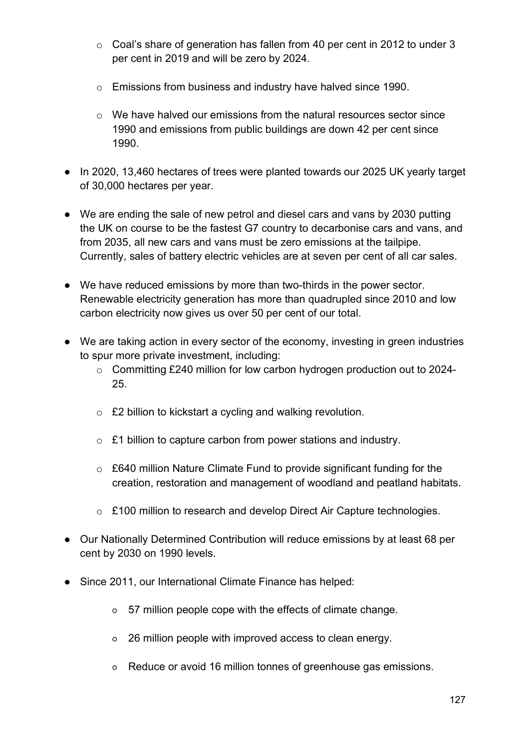- o Coal's share of generation has fallen from 40 per cent in 2012 to under 3 per cent in 2019 and will be zero by 2024.
- o Emissions from business and industry have halved since 1990.
- o We have halved our emissions from the natural resources sector since 1990 and emissions from public buildings are down 42 per cent since 1990.
- In 2020, 13,460 hectares of trees were planted towards our 2025 UK yearly target of 30,000 hectares per year.
- We are ending the sale of new petrol and diesel cars and vans by 2030 putting the UK on course to be the fastest G7 country to decarbonise cars and vans, and from 2035, all new cars and vans must be zero emissions at the tailpipe. Currently, sales of battery electric vehicles are at seven per cent of all car sales.
- We have reduced emissions by more than two-thirds in the power sector. Renewable electricity generation has more than quadrupled since 2010 and low carbon electricity now gives us over 50 per cent of our total.
- We are taking action in every sector of the economy, investing in green industries to spur more private investment, including:
	- o Committing £240 million for low carbon hydrogen production out to 2024- 25.
	- o £2 billion to kickstart a cycling and walking revolution.
	- o £1 billion to capture carbon from power stations and industry.
	- o £640 million Nature Climate Fund to provide significant funding for the creation, restoration and management of woodland and peatland habitats.
	- o £100 million to research and develop Direct Air Capture technologies.
- Our Nationally Determined Contribution will reduce emissions by at least 68 per cent by 2030 on 1990 levels.
- Since 2011, our International Climate Finance has helped:
	- 57 million people cope with the effects of climate change.
	- 26 million people with improved access to clean energy.
	- Reduce or avoid 16 million tonnes of greenhouse gas emissions.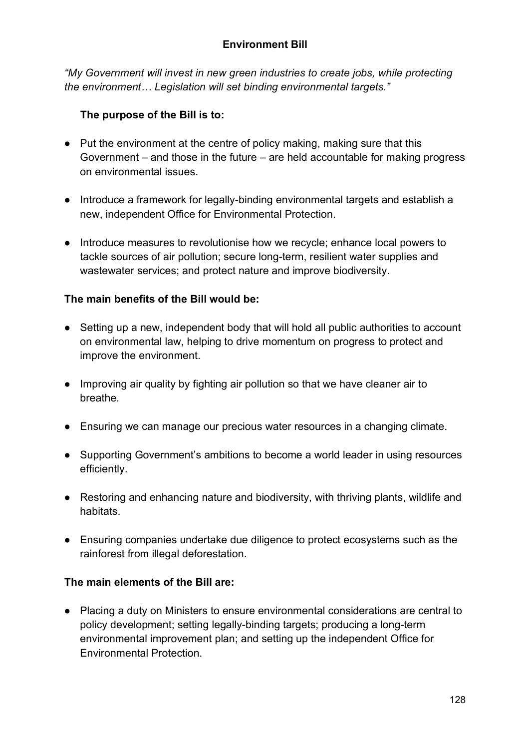*"My Government will invest in new green industries to create jobs, while protecting the environment… Legislation will set binding environmental targets."*

# **The purpose of the Bill is to:**

- Put the environment at the centre of policy making, making sure that this Government – and those in the future – are held accountable for making progress on environmental issues.
- Introduce a framework for legally-binding environmental targets and establish a new, independent Office for Environmental Protection.
- Introduce measures to revolutionise how we recycle; enhance local powers to tackle sources of air pollution; secure long-term, resilient water supplies and wastewater services; and protect nature and improve biodiversity.

### **The main benefits of the Bill would be:**

- Setting up a new, independent body that will hold all public authorities to account on environmental law, helping to drive momentum on progress to protect and improve the environment.
- Improving air quality by fighting air pollution so that we have cleaner air to breathe.
- Ensuring we can manage our precious water resources in a changing climate.
- Supporting Government's ambitions to become a world leader in using resources efficiently.
- Restoring and enhancing nature and biodiversity, with thriving plants, wildlife and habitats.
- Ensuring companies undertake due diligence to protect ecosystems such as the rainforest from illegal deforestation.

### **The main elements of the Bill are:**

● Placing a duty on Ministers to ensure environmental considerations are central to policy development; setting legally-binding targets; producing a long-term environmental improvement plan; and setting up the independent Office for Environmental Protection.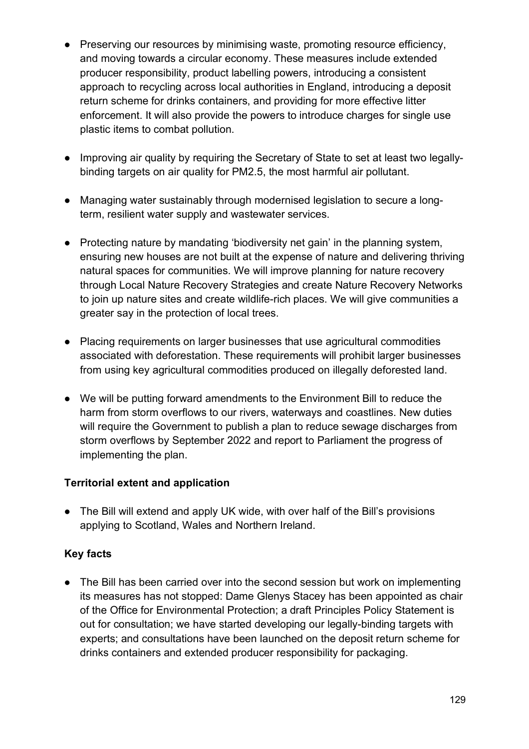- Preserving our resources by minimising waste, promoting resource efficiency, and moving towards a circular economy. These measures include extended producer responsibility, product labelling powers, introducing a consistent approach to recycling across local authorities in England, introducing a deposit return scheme for drinks containers, and providing for more effective litter enforcement. It will also provide the powers to introduce charges for single use plastic items to combat pollution.
- Improving air quality by requiring the Secretary of State to set at least two legallybinding targets on air quality for PM2.5, the most harmful air pollutant.
- Managing water sustainably through modernised legislation to secure a longterm, resilient water supply and wastewater services.
- Protecting nature by mandating 'biodiversity net gain' in the planning system, ensuring new houses are not built at the expense of nature and delivering thriving natural spaces for communities. We will improve planning for nature recovery through Local Nature Recovery Strategies and create Nature Recovery Networks to join up nature sites and create wildlife-rich places. We will give communities a greater say in the protection of local trees.
- Placing requirements on larger businesses that use agricultural commodities associated with deforestation. These requirements will prohibit larger businesses from using key agricultural commodities produced on illegally deforested land.
- We will be putting forward amendments to the Environment Bill to reduce the harm from storm overflows to our rivers, waterways and coastlines. New duties will require the Government to publish a plan to reduce sewage discharges from storm overflows by September 2022 and report to Parliament the progress of implementing the plan.

### **Territorial extent and application**

● The Bill will extend and apply UK wide, with over half of the Bill's provisions applying to Scotland, Wales and Northern Ireland.

# **Key facts**

• The Bill has been carried over into the second session but work on implementing its measures has not stopped: Dame Glenys Stacey has been appointed as chair of the Office for Environmental Protection; a draft Principles Policy Statement is out for consultation; we have started developing our legally-binding targets with experts; and consultations have been launched on the deposit return scheme for drinks containers and extended producer responsibility for packaging.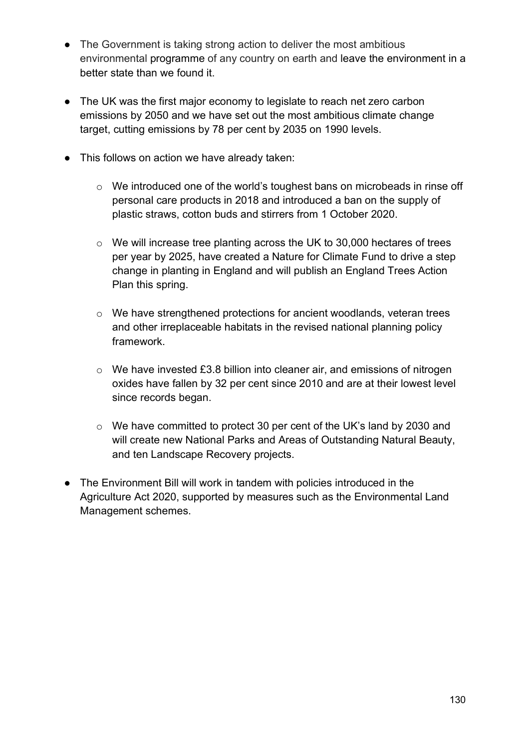- The Government is taking strong action to deliver the most ambitious environmental programme of any country on earth and leave the environment in a better state than we found it.
- The UK was the first major economy to legislate to reach net zero carbon emissions by 2050 and we have set out the most ambitious climate change target, cutting emissions by 78 per cent by 2035 on 1990 levels.
- This follows on action we have already taken:
	- o We introduced one of the world's toughest bans on microbeads in rinse off personal care products in 2018 and introduced a ban on the supply of plastic straws, cotton buds and stirrers from 1 October 2020.
	- o We will increase tree planting across the UK to 30,000 hectares of trees per year by 2025, have created a Nature for Climate Fund to drive a step change in planting in England and will publish an England Trees Action Plan this spring.
	- o We have strengthened protections for ancient woodlands, veteran trees and other irreplaceable habitats in the revised national planning policy framework.
	- o We have invested £3.8 billion into cleaner air, and emissions of nitrogen oxides have fallen by 32 per cent since 2010 and are at their lowest level since records began.
	- o We have committed to protect 30 per cent of the UK's land by 2030 and will create new National Parks and Areas of Outstanding Natural Beauty, and ten Landscape Recovery projects.
- The Environment Bill will work in tandem with policies introduced in the Agriculture Act 2020, supported by measures such as the Environmental Land Management schemes.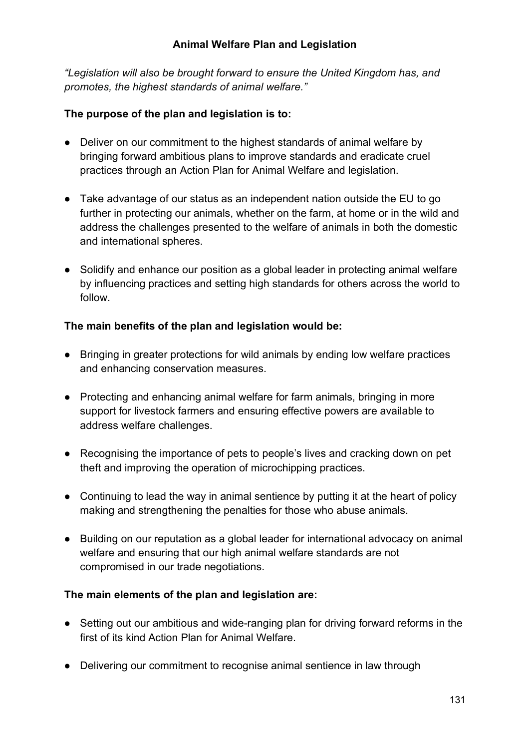*"Legislation will also be brought forward to ensure the United Kingdom has, and promotes, the highest standards of animal welfare."*

### **The purpose of the plan and legislation is to:**

- Deliver on our commitment to the highest standards of animal welfare by bringing forward ambitious plans to improve standards and eradicate cruel practices through an Action Plan for Animal Welfare and legislation.
- Take advantage of our status as an independent nation outside the EU to go further in protecting our animals, whether on the farm, at home or in the wild and address the challenges presented to the welfare of animals in both the domestic and international spheres.
- Solidify and enhance our position as a global leader in protecting animal welfare by influencing practices and setting high standards for others across the world to follow.

## **The main benefits of the plan and legislation would be:**

- Bringing in greater protections for wild animals by ending low welfare practices and enhancing conservation measures.
- Protecting and enhancing animal welfare for farm animals, bringing in more support for livestock farmers and ensuring effective powers are available to address welfare challenges.
- Recognising the importance of pets to people's lives and cracking down on pet theft and improving the operation of microchipping practices.
- Continuing to lead the way in animal sentience by putting it at the heart of policy making and strengthening the penalties for those who abuse animals.
- Building on our reputation as a global leader for international advocacy on animal welfare and ensuring that our high animal welfare standards are not compromised in our trade negotiations.

### **The main elements of the plan and legislation are:**

- Setting out our ambitious and wide-ranging plan for driving forward reforms in the first of its kind Action Plan for Animal Welfare.
- Delivering our commitment to recognise animal sentience in law through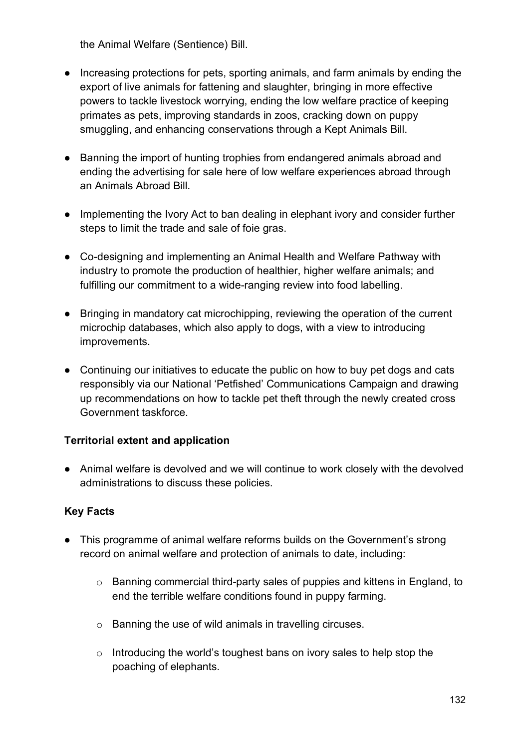the Animal Welfare (Sentience) Bill.

- Increasing protections for pets, sporting animals, and farm animals by ending the export of live animals for fattening and slaughter, bringing in more effective powers to tackle livestock worrying, ending the low welfare practice of keeping primates as pets, improving standards in zoos, cracking down on puppy smuggling, and enhancing conservations through a Kept Animals Bill.
- Banning the import of hunting trophies from endangered animals abroad and ending the advertising for sale here of low welfare experiences abroad through an Animals Abroad Bill.
- Implementing the Ivory Act to ban dealing in elephant ivory and consider further steps to limit the trade and sale of foie gras.
- Co-designing and implementing an Animal Health and Welfare Pathway with industry to promote the production of healthier, higher welfare animals; and fulfilling our commitment to a wide-ranging review into food labelling.
- Bringing in mandatory cat microchipping, reviewing the operation of the current microchip databases, which also apply to dogs, with a view to introducing improvements.
- Continuing our initiatives to educate the public on how to buy pet dogs and cats responsibly via our National 'Petfished' Communications Campaign and drawing up recommendations on how to tackle pet theft through the newly created cross Government taskforce.

### **Territorial extent and application**

● Animal welfare is devolved and we will continue to work closely with the devolved administrations to discuss these policies.

### **Key Facts**

- This programme of animal welfare reforms builds on the Government's strong record on animal welfare and protection of animals to date, including:
	- o Banning commercial third-party sales of puppies and kittens in England, to end the terrible welfare conditions found in puppy farming.
	- o Banning the use of wild animals in travelling circuses.
	- o Introducing the world's toughest bans on ivory sales to help stop the poaching of elephants.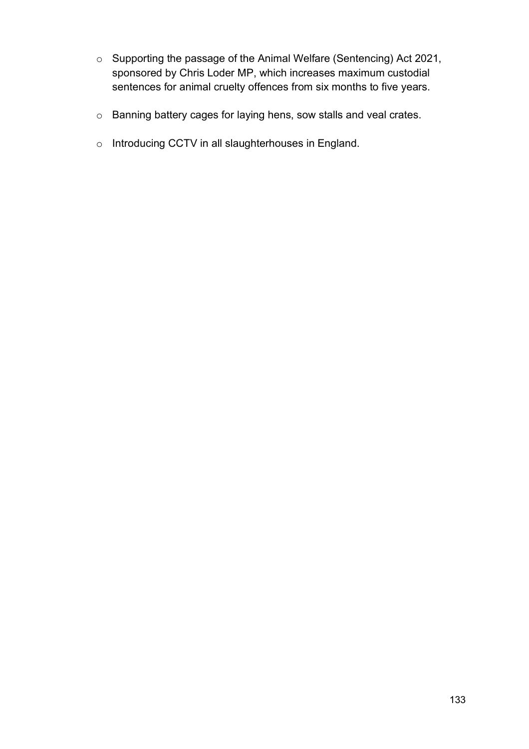- o Supporting the passage of the Animal Welfare (Sentencing) Act 2021, sponsored by Chris Loder MP, which increases maximum custodial sentences for animal cruelty offences from six months to five years.
- o Banning battery cages for laying hens, sow stalls and veal crates.
- o Introducing CCTV in all slaughterhouses in England.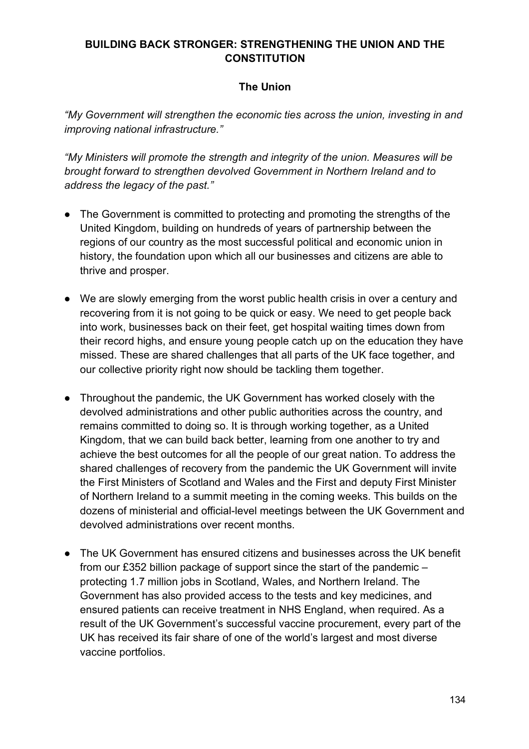### **BUILDING BACK STRONGER: STRENGTHENING THE UNION AND THE CONSTITUTION**

## **The Union**

*"My Government will strengthen the economic ties across the union, investing in and improving national infrastructure."* 

*"My Ministers will promote the strength and integrity of the union. Measures will be brought forward to strengthen devolved Government in Northern Ireland and to address the legacy of the past."*

- The Government is committed to protecting and promoting the strengths of the United Kingdom, building on hundreds of years of partnership between the regions of our country as the most successful political and economic union in history, the foundation upon which all our businesses and citizens are able to thrive and prosper.
- We are slowly emerging from the worst public health crisis in over a century and recovering from it is not going to be quick or easy. We need to get people back into work, businesses back on their feet, get hospital waiting times down from their record highs, and ensure young people catch up on the education they have missed. These are shared challenges that all parts of the UK face together, and our collective priority right now should be tackling them together.
- Throughout the pandemic, the UK Government has worked closely with the devolved administrations and other public authorities across the country, and remains committed to doing so. It is through working together, as a United Kingdom, that we can build back better, learning from one another to try and achieve the best outcomes for all the people of our great nation. To address the shared challenges of recovery from the pandemic the UK Government will invite the First Ministers of Scotland and Wales and the First and deputy First Minister of Northern Ireland to a summit meeting in the coming weeks. This builds on the dozens of ministerial and official-level meetings between the UK Government and devolved administrations over recent months.
- The UK Government has ensured citizens and businesses across the UK benefit from our £352 billion package of support since the start of the pandemic – protecting 1.7 million jobs in Scotland, Wales, and Northern Ireland. The Government has also provided access to the tests and key medicines, and ensured patients can receive treatment in NHS England, when required. As a result of the UK Government's successful vaccine procurement, every part of the UK has received its fair share of one of the world's largest and most diverse vaccine portfolios.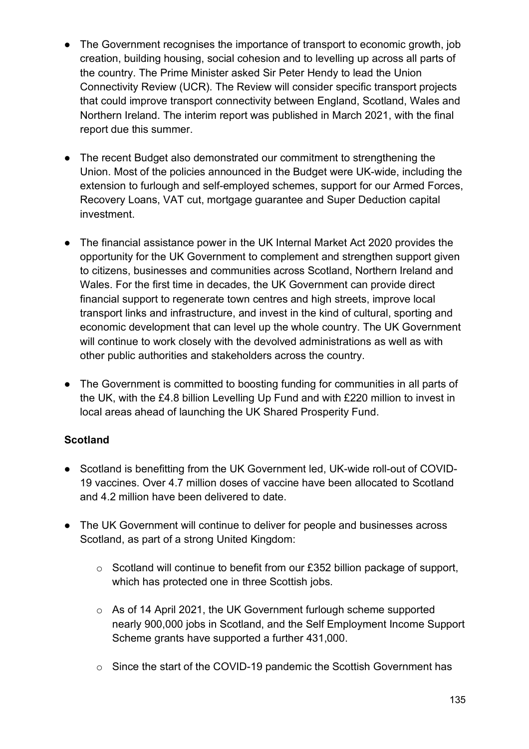- The Government recognises the importance of transport to economic growth, job creation, building housing, social cohesion and to levelling up across all parts of the country. The Prime Minister asked Sir Peter Hendy to lead the Union Connectivity Review (UCR). The Review will consider specific transport projects that could improve transport connectivity between England, Scotland, Wales and Northern Ireland. The interim report was published in March 2021, with the final report due this summer.
- The recent Budget also demonstrated our commitment to strengthening the Union. Most of the policies announced in the Budget were UK-wide, including the extension to furlough and self-employed schemes, support for our Armed Forces, Recovery Loans, VAT cut, mortgage guarantee and Super Deduction capital investment.
- The financial assistance power in the UK Internal Market Act 2020 provides the opportunity for the UK Government to complement and strengthen support given to citizens, businesses and communities across Scotland, Northern Ireland and Wales. For the first time in decades, the UK Government can provide direct financial support to regenerate town centres and high streets, improve local transport links and infrastructure, and invest in the kind of cultural, sporting and economic development that can level up the whole country. The UK Government will continue to work closely with the devolved administrations as well as with other public authorities and stakeholders across the country.
- The Government is committed to boosting funding for communities in all parts of the UK, with the £4.8 billion Levelling Up Fund and with £220 million to invest in local areas ahead of launching the UK Shared Prosperity Fund.

# **Scotland**

- Scotland is benefitting from the UK Government led, UK-wide roll-out of COVID-19 vaccines. Over 4.7 million doses of vaccine have been allocated to Scotland and 4.2 million have been delivered to date.
- The UK Government will continue to deliver for people and businesses across Scotland, as part of a strong United Kingdom:
	- o Scotland will continue to benefit from our £352 billion package of support, which has protected one in three Scottish jobs.
	- o As of 14 April 2021, the UK Government furlough scheme supported nearly 900,000 jobs in Scotland, and the Self Employment Income Support Scheme grants have supported a further 431,000.
	- o Since the start of the COVID-19 pandemic the Scottish Government has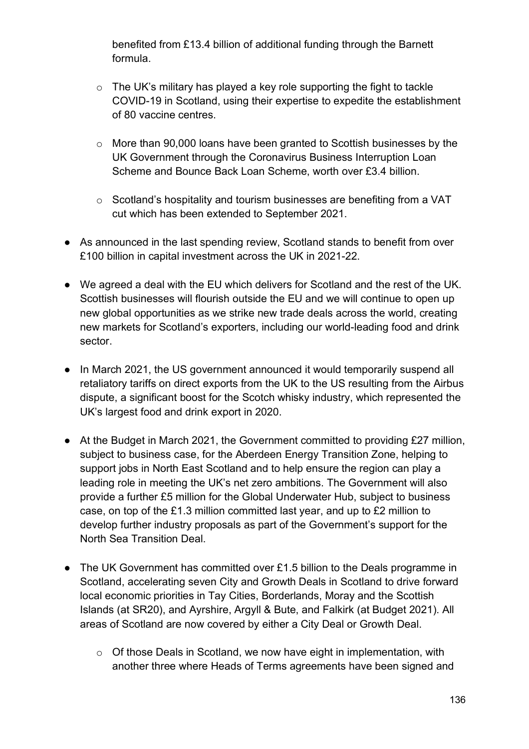benefited from £13.4 billion of additional funding through the Barnett formula.

- $\circ$  The UK's military has played a key role supporting the fight to tackle COVID-19 in Scotland, using their expertise to expedite the establishment of 80 vaccine centres.
- o More than 90,000 loans have been granted to Scottish businesses by the UK Government through the Coronavirus Business Interruption Loan Scheme and Bounce Back Loan Scheme, worth over £3.4 billion.
- o Scotland's hospitality and tourism businesses are benefiting from a VAT cut which has been extended to September 2021.
- As announced in the last spending review, Scotland stands to benefit from over £100 billion in capital investment across the UK in 2021-22.
- We agreed a deal with the EU which delivers for Scotland and the rest of the UK. Scottish businesses will flourish outside the EU and we will continue to open up new global opportunities as we strike new trade deals across the world, creating new markets for Scotland's exporters, including our world-leading food and drink sector.
- In March 2021, the US government announced it would temporarily suspend all retaliatory tariffs on direct exports from the UK to the US resulting from the Airbus dispute, a significant boost for the Scotch whisky industry, which represented the UK's largest food and drink export in 2020.
- At the Budget in March 2021, the Government committed to providing £27 million, subject to business case, for the Aberdeen Energy Transition Zone, helping to support jobs in North East Scotland and to help ensure the region can play a leading role in meeting the UK's net zero ambitions. The Government will also provide a further £5 million for the Global Underwater Hub, subject to business case, on top of the £1.3 million committed last year, and up to £2 million to develop further industry proposals as part of the Government's support for the North Sea Transition Deal.
- The UK Government has committed over £1.5 billion to the Deals programme in Scotland, accelerating seven City and Growth Deals in Scotland to drive forward local economic priorities in Tay Cities, Borderlands, Moray and the Scottish Islands (at SR20), and Ayrshire, Argyll & Bute, and Falkirk (at Budget 2021). All areas of Scotland are now covered by either a City Deal or Growth Deal.
	- o Of those Deals in Scotland, we now have eight in implementation, with another three where Heads of Terms agreements have been signed and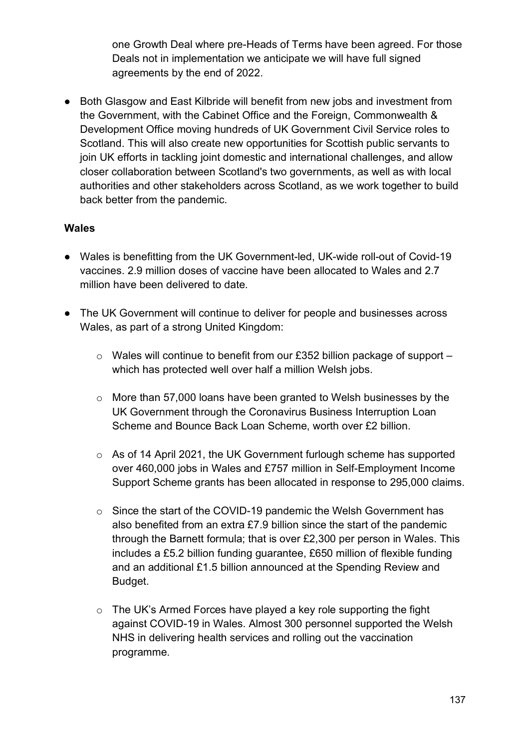one Growth Deal where pre-Heads of Terms have been agreed. For those Deals not in implementation we anticipate we will have full signed agreements by the end of 2022.

● Both Glasgow and East Kilbride will benefit from new jobs and investment from the Government, with the Cabinet Office and the Foreign, Commonwealth & Development Office moving hundreds of UK Government Civil Service roles to Scotland. This will also create new opportunities for Scottish public servants to join UK efforts in tackling joint domestic and international challenges, and allow closer collaboration between Scotland's two governments, as well as with local authorities and other stakeholders across Scotland, as we work together to build back better from the pandemic.

#### **Wales**

- Wales is benefitting from the UK Government-led, UK-wide roll-out of Covid-19 vaccines. 2.9 million doses of vaccine have been allocated to Wales and 2.7 million have been delivered to date.
- The UK Government will continue to deliver for people and businesses across Wales, as part of a strong United Kingdom:
	- o Wales will continue to benefit from our £352 billion package of support which has protected well over half a million Welsh jobs.
	- o More than 57,000 loans have been granted to Welsh businesses by the UK Government through the Coronavirus Business Interruption Loan Scheme and Bounce Back Loan Scheme, worth over £2 billion.
	- o As of 14 April 2021, the UK Government furlough scheme has supported over 460,000 jobs in Wales and £757 million in Self-Employment Income Support Scheme grants has been allocated in response to 295,000 claims.
	- o Since the start of the COVID-19 pandemic the Welsh Government has also benefited from an extra £7.9 billion since the start of the pandemic through the Barnett formula; that is over £2,300 per person in Wales. This includes a £5.2 billion funding guarantee, £650 million of flexible funding and an additional £1.5 billion announced at the Spending Review and Budget.
	- o The UK's Armed Forces have played a key role supporting the fight against COVID-19 in Wales. Almost 300 personnel supported the Welsh NHS in delivering health services and rolling out the vaccination programme.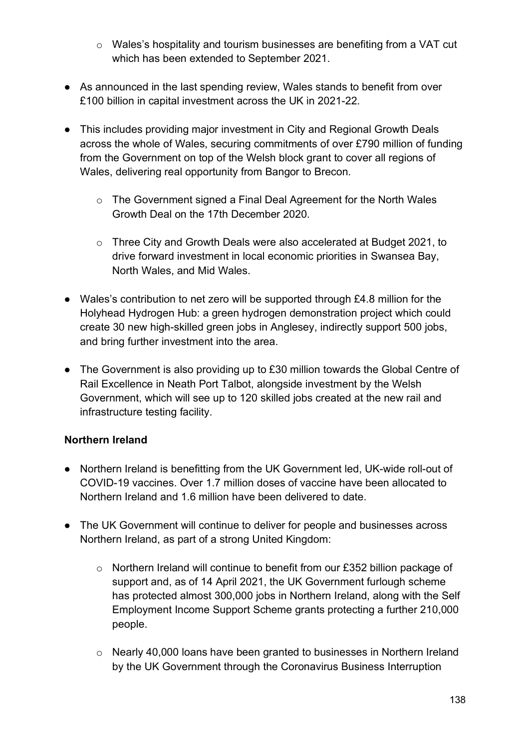- o Wales's hospitality and tourism businesses are benefiting from a VAT cut which has been extended to September 2021.
- As announced in the last spending review, Wales stands to benefit from over £100 billion in capital investment across the UK in 2021-22.
- This includes providing major investment in City and Regional Growth Deals across the whole of Wales, securing commitments of over £790 million of funding from the Government on top of the Welsh block grant to cover all regions of Wales, delivering real opportunity from Bangor to Brecon.
	- o The Government signed a Final Deal Agreement for the North Wales Growth Deal on the 17th December 2020.
	- o Three City and Growth Deals were also accelerated at Budget 2021, to drive forward investment in local economic priorities in Swansea Bay, North Wales, and Mid Wales.
- Wales's contribution to net zero will be supported through £4.8 million for the Holyhead Hydrogen Hub: a green hydrogen demonstration project which could create 30 new high-skilled green jobs in Anglesey, indirectly support 500 jobs, and bring further investment into the area.
- The Government is also providing up to £30 million towards the Global Centre of Rail Excellence in Neath Port Talbot, alongside investment by the Welsh Government, which will see up to 120 skilled jobs created at the new rail and infrastructure testing facility.

# **Northern Ireland**

- Northern Ireland is benefitting from the UK Government led, UK-wide roll-out of COVID-19 vaccines. Over 1.7 million doses of vaccine have been allocated to Northern Ireland and 1.6 million have been delivered to date.
- The UK Government will continue to deliver for people and businesses across Northern Ireland, as part of a strong United Kingdom:
	- o Northern Ireland will continue to benefit from our £352 billion package of support and, as of 14 April 2021, the UK Government furlough scheme has protected almost 300,000 jobs in Northern Ireland, along with the Self Employment Income Support Scheme grants protecting a further 210,000 people.
	- o Nearly 40,000 loans have been granted to businesses in Northern Ireland by the UK Government through the Coronavirus Business Interruption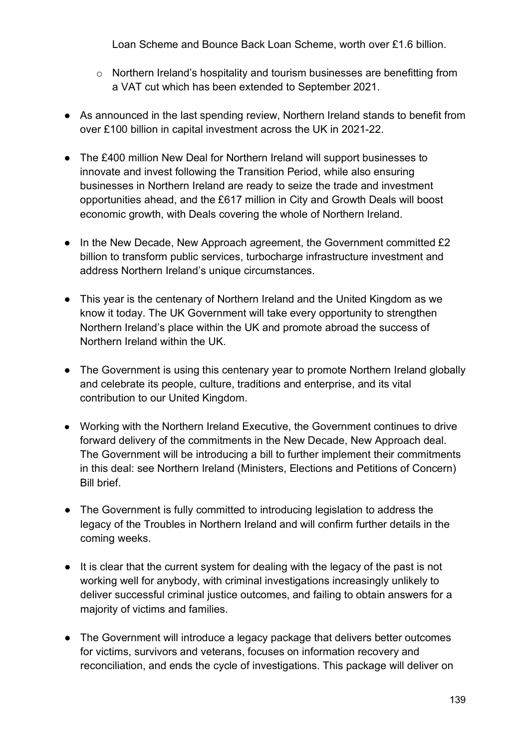Loan Scheme and Bounce Back Loan Scheme, worth over £1.6 billion.

- o Northern Ireland's hospitality and tourism businesses are benefitting from a VAT cut which has been extended to September 2021.
- As announced in the last spending review, Northern Ireland stands to benefit from over £100 billion in capital investment across the UK in 2021-22.
- The £400 million New Deal for Northern Ireland will support businesses to innovate and invest following the Transition Period, while also ensuring businesses in Northern Ireland are ready to seize the trade and investment opportunities ahead, and the £617 million in City and Growth Deals will boost economic growth, with Deals covering the whole of Northern Ireland.
- In the New Decade, New Approach agreement, the Government committed £2 billion to transform public services, turbocharge infrastructure investment and address Northern Ireland's unique circumstances.
- This year is the centenary of Northern Ireland and the United Kingdom as we know it today. The UK Government will take every opportunity to strengthen Northern Ireland's place within the UK and promote abroad the success of Northern Ireland within the UK.
- The Government is using this centenary year to promote Northern Ireland globally and celebrate its people, culture, traditions and enterprise, and its vital contribution to our United Kingdom.
- Working with the Northern Ireland Executive, the Government continues to drive forward delivery of the commitments in the New Decade, New Approach deal. The Government will be introducing a bill to further implement their commitments in this deal: see Northern Ireland (Ministers, Elections and Petitions of Concern) Bill brief.
- The Government is fully committed to introducing legislation to address the legacy of the Troubles in Northern Ireland and will confirm further details in the coming weeks.
- It is clear that the current system for dealing with the legacy of the past is not working well for anybody, with criminal investigations increasingly unlikely to deliver successful criminal justice outcomes, and failing to obtain answers for a majority of victims and families.
- The Government will introduce a legacy package that delivers better outcomes for victims, survivors and veterans, focuses on information recovery and reconciliation, and ends the cycle of investigations. This package will deliver on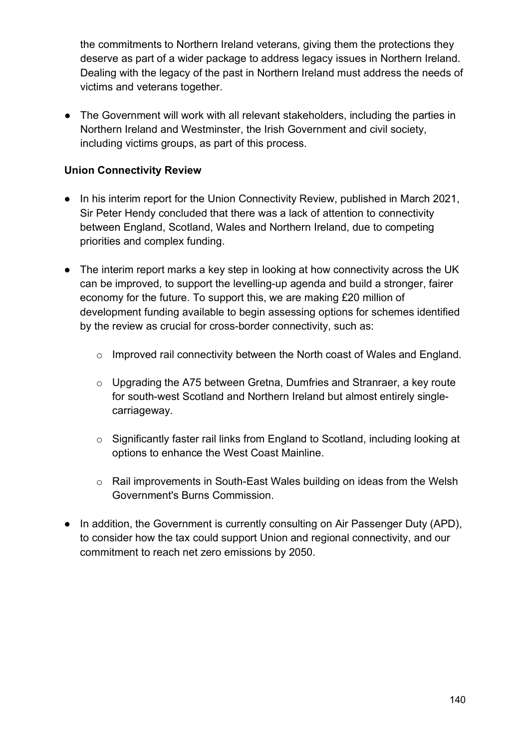the commitments to Northern Ireland veterans, giving them the protections they deserve as part of a wider package to address legacy issues in Northern Ireland. Dealing with the legacy of the past in Northern Ireland must address the needs of victims and veterans together.

● The Government will work with all relevant stakeholders, including the parties in Northern Ireland and Westminster, the Irish Government and civil society, including victims groups, as part of this process.

## **Union Connectivity Review**

- In his interim report for the Union Connectivity Review, published in March 2021, Sir Peter Hendy concluded that there was a lack of attention to connectivity between England, Scotland, Wales and Northern Ireland, due to competing priorities and complex funding.
- The interim report marks a key step in looking at how connectivity across the UK can be improved, to support the levelling-up agenda and build a stronger, fairer economy for the future. To support this, we are making £20 million of development funding available to begin assessing options for schemes identified by the review as crucial for cross-border connectivity, such as:
	- o Improved rail connectivity between the North coast of Wales and England.
	- o Upgrading the A75 between Gretna, Dumfries and Stranraer, a key route for south-west Scotland and Northern Ireland but almost entirely singlecarriageway.
	- o Significantly faster rail links from England to Scotland, including looking at options to enhance the West Coast Mainline.
	- o Rail improvements in South-East Wales building on ideas from the Welsh Government's Burns Commission.
- In addition, the Government is currently consulting on Air Passenger Duty (APD), to consider how the tax could support Union and regional connectivity, and our commitment to reach net zero emissions by 2050.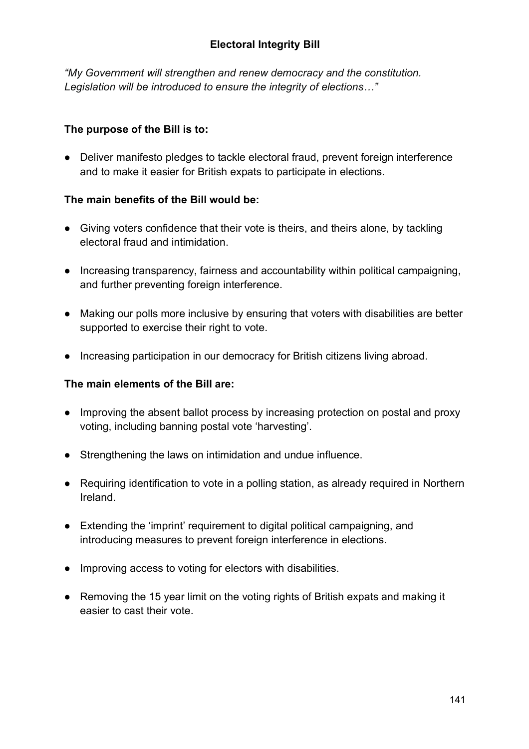*"My Government will strengthen and renew democracy and the constitution. Legislation will be introduced to ensure the integrity of elections…"*

## **The purpose of the Bill is to:**

● Deliver manifesto pledges to tackle electoral fraud, prevent foreign interference and to make it easier for British expats to participate in elections.

### **The main benefits of the Bill would be:**

- Giving voters confidence that their vote is theirs, and theirs alone, by tackling electoral fraud and intimidation.
- Increasing transparency, fairness and accountability within political campaigning, and further preventing foreign interference.
- Making our polls more inclusive by ensuring that voters with disabilities are better supported to exercise their right to vote.
- Increasing participation in our democracy for British citizens living abroad.

### **The main elements of the Bill are:**

- Improving the absent ballot process by increasing protection on postal and proxy voting, including banning postal vote 'harvesting'.
- Strengthening the laws on intimidation and undue influence.
- Requiring identification to vote in a polling station, as already required in Northern Ireland.
- Extending the 'imprint' requirement to digital political campaigning, and introducing measures to prevent foreign interference in elections.
- Improving access to voting for electors with disabilities.
- Removing the 15 year limit on the voting rights of British expats and making it easier to cast their vote.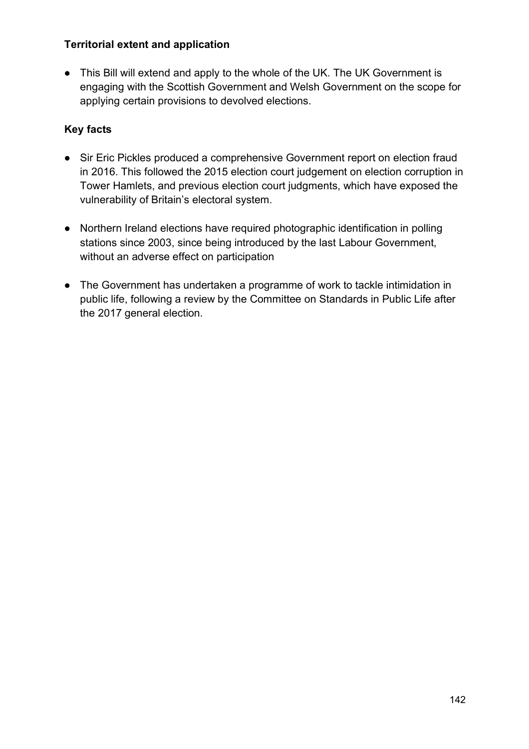### **Territorial extent and application**

● This Bill will extend and apply to the whole of the UK. The UK Government is engaging with the Scottish Government and Welsh Government on the scope for applying certain provisions to devolved elections.

- Sir Eric Pickles produced a comprehensive Government report on election fraud in 2016. This followed the 2015 election court judgement on election corruption in Tower Hamlets, and previous election court judgments, which have exposed the vulnerability of Britain's electoral system.
- Northern Ireland elections have required photographic identification in polling stations since 2003, since being introduced by the last Labour Government, without an adverse effect on participation
- The Government has undertaken a programme of work to tackle intimidation in public life, following a review by the Committee on Standards in Public Life after the 2017 general election.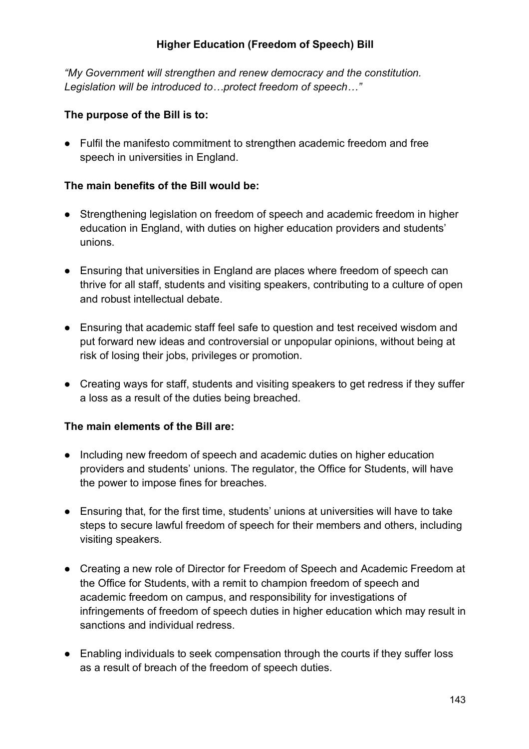### **Higher Education (Freedom of Speech) Bill**

*"My Government will strengthen and renew democracy and the constitution. Legislation will be introduced to…protect freedom of speech…"*

#### **The purpose of the Bill is to:**

● Fulfil the manifesto commitment to strengthen academic freedom and free speech in universities in England.

#### **The main benefits of the Bill would be:**

- Strengthening legislation on freedom of speech and academic freedom in higher education in England, with duties on higher education providers and students' unions.
- Ensuring that universities in England are places where freedom of speech can thrive for all staff, students and visiting speakers, contributing to a culture of open and robust intellectual debate.
- Ensuring that academic staff feel safe to question and test received wisdom and put forward new ideas and controversial or unpopular opinions, without being at risk of losing their jobs, privileges or promotion.
- Creating ways for staff, students and visiting speakers to get redress if they suffer a loss as a result of the duties being breached.

#### **The main elements of the Bill are:**

- Including new freedom of speech and academic duties on higher education providers and students' unions. The regulator, the Office for Students, will have the power to impose fines for breaches.
- Ensuring that, for the first time, students' unions at universities will have to take steps to secure lawful freedom of speech for their members and others, including visiting speakers.
- Creating a new role of Director for Freedom of Speech and Academic Freedom at the Office for Students, with a remit to champion freedom of speech and academic freedom on campus, and responsibility for investigations of infringements of freedom of speech duties in higher education which may result in sanctions and individual redress.
- Enabling individuals to seek compensation through the courts if they suffer loss as a result of breach of the freedom of speech duties.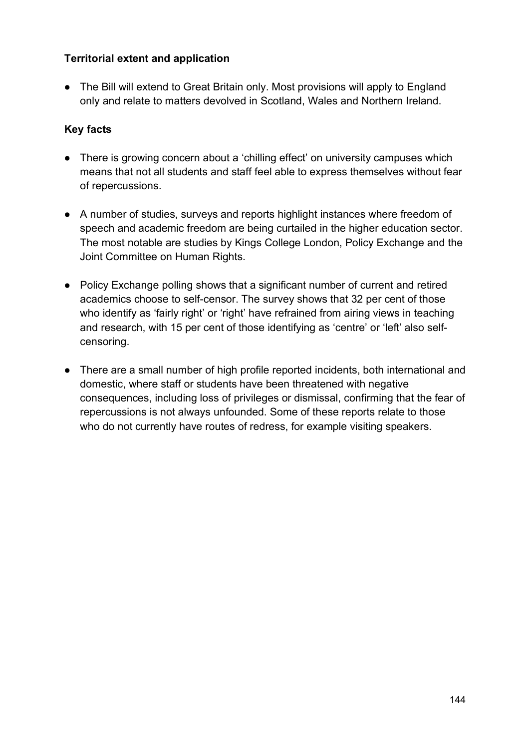### **Territorial extent and application**

● The Bill will extend to Great Britain only. Most provisions will apply to England only and relate to matters devolved in Scotland, Wales and Northern Ireland.

- There is growing concern about a 'chilling effect' on university campuses which means that not all students and staff feel able to express themselves without fear of repercussions.
- A number of studies, surveys and reports highlight instances where freedom of speech and academic freedom are being curtailed in the higher education sector. The most notable are studies by Kings College London, Policy Exchange and the Joint Committee on Human Rights.
- Policy Exchange polling shows that a significant number of current and retired academics choose to self-censor. The survey shows that 32 per cent of those who identify as 'fairly right' or 'right' have refrained from airing views in teaching and research, with 15 per cent of those identifying as 'centre' or 'left' also selfcensoring.
- There are a small number of high profile reported incidents, both international and domestic, where staff or students have been threatened with negative consequences, including loss of privileges or dismissal, confirming that the fear of repercussions is not always unfounded. Some of these reports relate to those who do not currently have routes of redress, for example visiting speakers.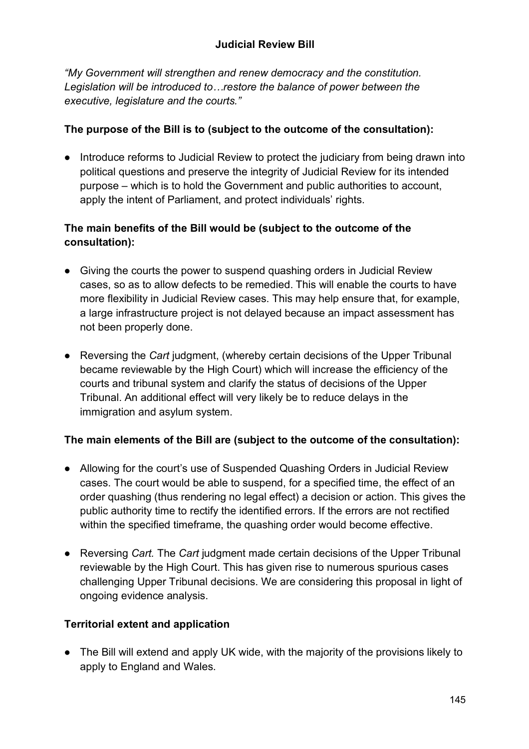*"My Government will strengthen and renew democracy and the constitution. Legislation will be introduced to…restore the balance of power between the executive, legislature and the courts."*

## **The purpose of the Bill is to (subject to the outcome of the consultation):**

● Introduce reforms to Judicial Review to protect the judiciary from being drawn into political questions and preserve the integrity of Judicial Review for its intended purpose – which is to hold the Government and public authorities to account, apply the intent of Parliament, and protect individuals' rights.

## **The main benefits of the Bill would be (subject to the outcome of the consultation):**

- Giving the courts the power to suspend quashing orders in Judicial Review cases, so as to allow defects to be remedied. This will enable the courts to have more flexibility in Judicial Review cases. This may help ensure that, for example, a large infrastructure project is not delayed because an impact assessment has not been properly done.
- Reversing the *Cart* judgment, (whereby certain decisions of the Upper Tribunal became reviewable by the High Court) which will increase the efficiency of the courts and tribunal system and clarify the status of decisions of the Upper Tribunal. An additional effect will very likely be to reduce delays in the immigration and asylum system.

# **The main elements of the Bill are (subject to the outcome of the consultation):**

- Allowing for the court's use of Suspended Quashing Orders in Judicial Review cases. The court would be able to suspend, for a specified time, the effect of an order quashing (thus rendering no legal effect) a decision or action. This gives the public authority time to rectify the identified errors. If the errors are not rectified within the specified timeframe, the quashing order would become effective.
- Reversing *Cart.* The *Cart* judgment made certain decisions of the Upper Tribunal reviewable by the High Court. This has given rise to numerous spurious cases challenging Upper Tribunal decisions. We are considering this proposal in light of ongoing evidence analysis.

# **Territorial extent and application**

● The Bill will extend and apply UK wide, with the majority of the provisions likely to apply to England and Wales.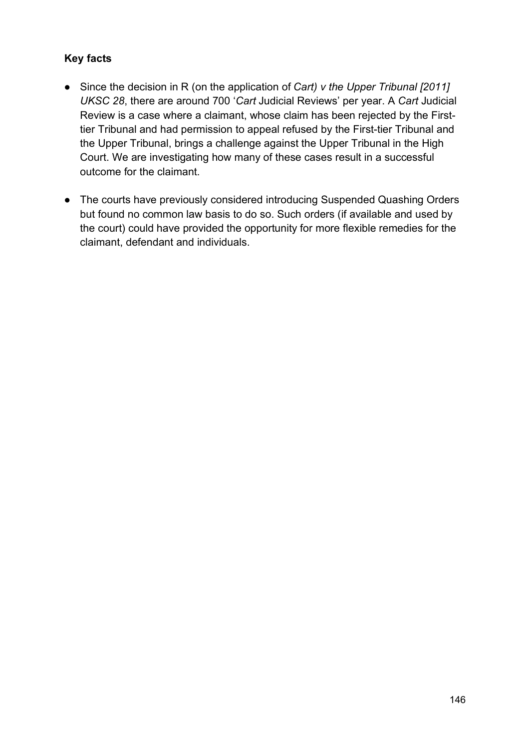- Since the decision in R (on the application of *Cart) v the Upper Tribunal [2011] UKSC 28*, there are around 700 '*Cart* Judicial Reviews' per year. A *Cart* Judicial Review is a case where a claimant, whose claim has been rejected by the Firsttier Tribunal and had permission to appeal refused by the First-tier Tribunal and the Upper Tribunal, brings a challenge against the Upper Tribunal in the High Court. We are investigating how many of these cases result in a successful outcome for the claimant.
- The courts have previously considered introducing Suspended Quashing Orders but found no common law basis to do so. Such orders (if available and used by the court) could have provided the opportunity for more flexible remedies for the claimant, defendant and individuals.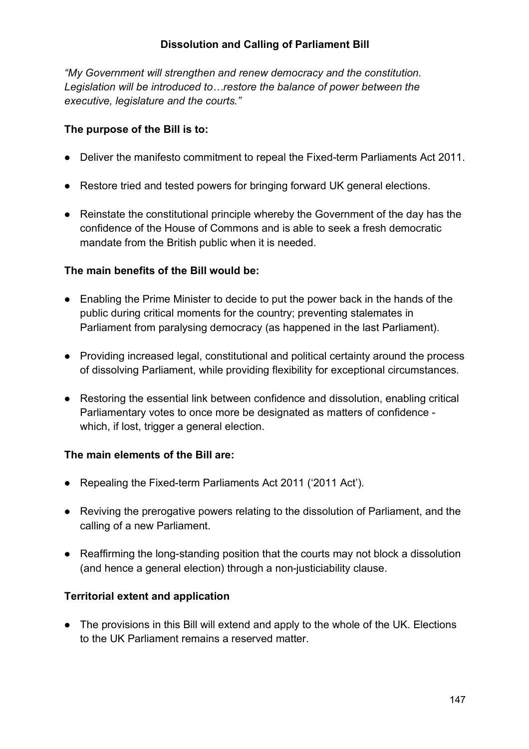### **Dissolution and Calling of Parliament Bill**

*"My Government will strengthen and renew democracy and the constitution. Legislation will be introduced to…restore the balance of power between the executive, legislature and the courts."*

#### **The purpose of the Bill is to:**

- Deliver the manifesto commitment to repeal the Fixed-term Parliaments Act 2011.
- Restore tried and tested powers for bringing forward UK general elections.
- Reinstate the constitutional principle whereby the Government of the day has the confidence of the House of Commons and is able to seek a fresh democratic mandate from the British public when it is needed.

#### **The main benefits of the Bill would be:**

- Enabling the Prime Minister to decide to put the power back in the hands of the public during critical moments for the country; preventing stalemates in Parliament from paralysing democracy (as happened in the last Parliament).
- Providing increased legal, constitutional and political certainty around the process of dissolving Parliament, while providing flexibility for exceptional circumstances.
- Restoring the essential link between confidence and dissolution, enabling critical Parliamentary votes to once more be designated as matters of confidence which, if lost, trigger a general election.

#### **The main elements of the Bill are:**

- Repealing the Fixed-term Parliaments Act 2011 ('2011 Act').
- Reviving the prerogative powers relating to the dissolution of Parliament, and the calling of a new Parliament.
- Reaffirming the long-standing position that the courts may not block a dissolution (and hence a general election) through a non-justiciability clause.

#### **Territorial extent and application**

• The provisions in this Bill will extend and apply to the whole of the UK. Elections to the UK Parliament remains a reserved matter.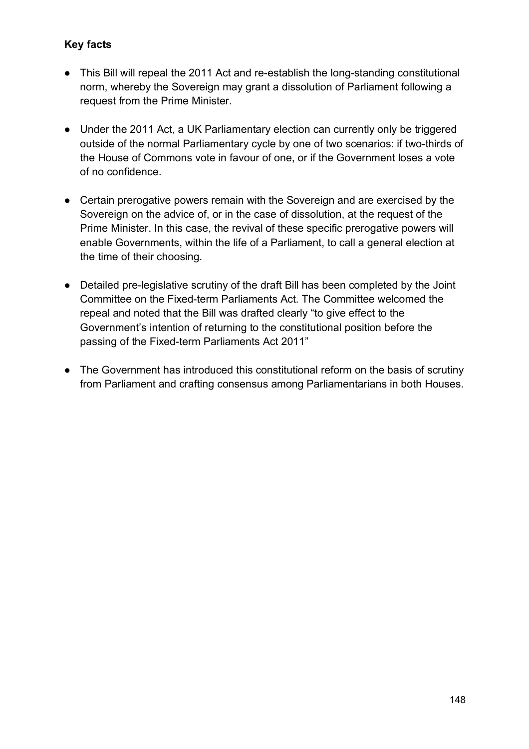- This Bill will repeal the 2011 Act and re-establish the long-standing constitutional norm, whereby the Sovereign may grant a dissolution of Parliament following a request from the Prime Minister.
- Under the 2011 Act, a UK Parliamentary election can currently only be triggered outside of the normal Parliamentary cycle by one of two scenarios: if two-thirds of the House of Commons vote in favour of one, or if the Government loses a vote of no confidence.
- Certain prerogative powers remain with the Sovereign and are exercised by the Sovereign on the advice of, or in the case of dissolution, at the request of the Prime Minister. In this case, the revival of these specific prerogative powers will enable Governments, within the life of a Parliament, to call a general election at the time of their choosing.
- Detailed pre-legislative scrutiny of the draft Bill has been completed by the Joint Committee on the Fixed-term Parliaments Act. The Committee welcomed the repeal and noted that the Bill was drafted clearly "to give effect to the Government's intention of returning to the constitutional position before the passing of the Fixed-term Parliaments Act 2011"
- The Government has introduced this constitutional reform on the basis of scrutiny from Parliament and crafting consensus among Parliamentarians in both Houses.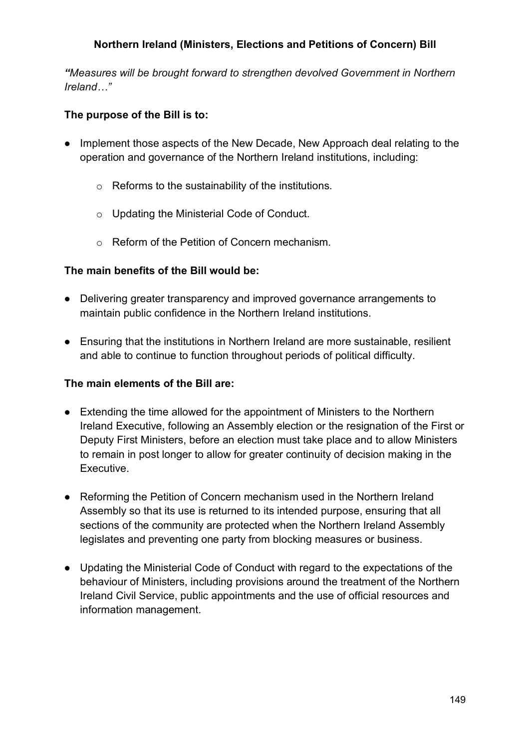### **Northern Ireland (Ministers, Elections and Petitions of Concern) Bill**

*"Measures will be brought forward to strengthen devolved Government in Northern Ireland…"*

#### **The purpose of the Bill is to:**

- Implement those aspects of the New Decade, New Approach deal relating to the operation and governance of the Northern Ireland institutions, including:
	- o Reforms to the sustainability of the institutions.
	- o Updating the Ministerial Code of Conduct.
	- o Reform of the Petition of Concern mechanism.

#### **The main benefits of the Bill would be:**

- Delivering greater transparency and improved governance arrangements to maintain public confidence in the Northern Ireland institutions.
- Ensuring that the institutions in Northern Ireland are more sustainable, resilient and able to continue to function throughout periods of political difficulty.

#### **The main elements of the Bill are:**

- Extending the time allowed for the appointment of Ministers to the Northern Ireland Executive, following an Assembly election or the resignation of the First or Deputy First Ministers, before an election must take place and to allow Ministers to remain in post longer to allow for greater continuity of decision making in the Executive.
- Reforming the Petition of Concern mechanism used in the Northern Ireland Assembly so that its use is returned to its intended purpose, ensuring that all sections of the community are protected when the Northern Ireland Assembly legislates and preventing one party from blocking measures or business.
- Updating the Ministerial Code of Conduct with regard to the expectations of the behaviour of Ministers, including provisions around the treatment of the Northern Ireland Civil Service, public appointments and the use of official resources and information management.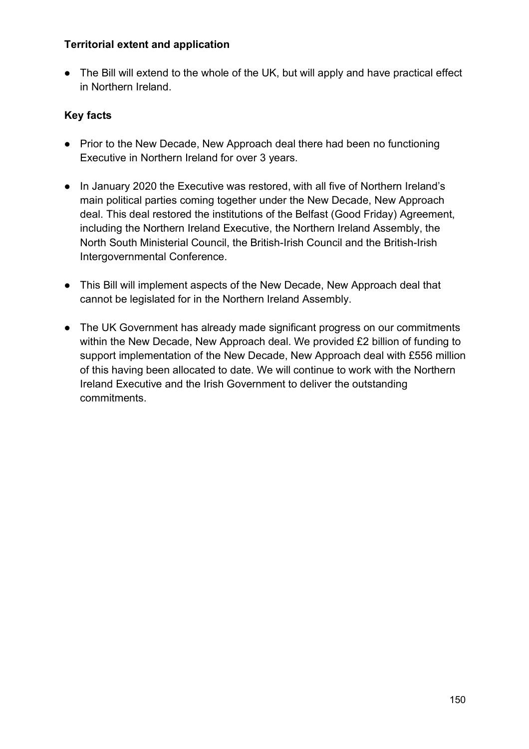#### **Territorial extent and application**

• The Bill will extend to the whole of the UK, but will apply and have practical effect in Northern Ireland.

- Prior to the New Decade, New Approach deal there had been no functioning Executive in Northern Ireland for over 3 years.
- In January 2020 the Executive was restored, with all five of Northern Ireland's main political parties coming together under the New Decade, New Approach deal. This deal restored the institutions of the Belfast (Good Friday) Agreement, including the Northern Ireland Executive, the Northern Ireland Assembly, the North South Ministerial Council, the British-Irish Council and the British-Irish Intergovernmental Conference.
- This Bill will implement aspects of the New Decade, New Approach deal that cannot be legislated for in the Northern Ireland Assembly.
- The UK Government has already made significant progress on our commitments within the New Decade, New Approach deal. We provided £2 billion of funding to support implementation of the New Decade, New Approach deal with £556 million of this having been allocated to date. We will continue to work with the Northern Ireland Executive and the Irish Government to deliver the outstanding commitments.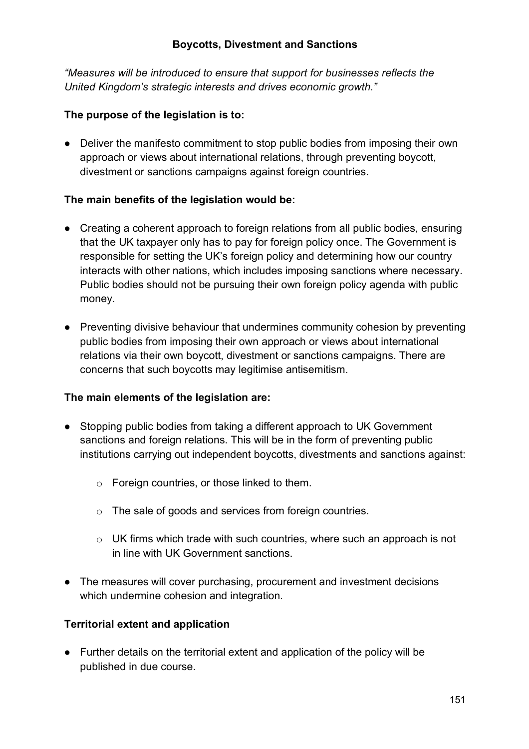*"Measures will be introduced to ensure that support for businesses reflects the United Kingdom's strategic interests and drives economic growth."*

### **The purpose of the legislation is to:**

• Deliver the manifesto commitment to stop public bodies from imposing their own approach or views about international relations, through preventing boycott, divestment or sanctions campaigns against foreign countries.

#### **The main benefits of the legislation would be:**

- Creating a coherent approach to foreign relations from all public bodies, ensuring that the UK taxpayer only has to pay for foreign policy once. The Government is responsible for setting the UK's foreign policy and determining how our country interacts with other nations, which includes imposing sanctions where necessary. Public bodies should not be pursuing their own foreign policy agenda with public money.
- Preventing divisive behaviour that undermines community cohesion by preventing public bodies from imposing their own approach or views about international relations via their own boycott, divestment or sanctions campaigns. There are concerns that such boycotts may legitimise antisemitism.

#### **The main elements of the legislation are:**

- Stopping public bodies from taking a different approach to UK Government sanctions and foreign relations. This will be in the form of preventing public institutions carrying out independent boycotts, divestments and sanctions against:
	- o Foreign countries, or those linked to them.
	- o The sale of goods and services from foreign countries.
	- o UK firms which trade with such countries, where such an approach is not in line with UK Government sanctions.
- The measures will cover purchasing, procurement and investment decisions which undermine cohesion and integration.

# **Territorial extent and application**

● Further details on the territorial extent and application of the policy will be published in due course.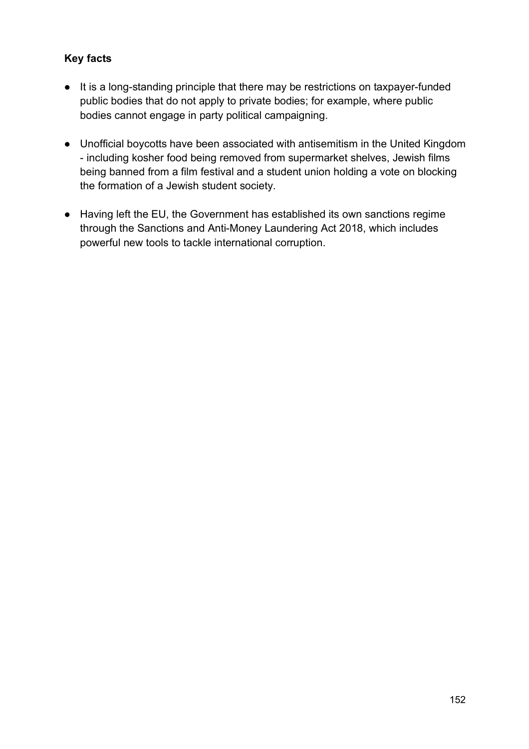- It is a long-standing principle that there may be restrictions on taxpayer-funded public bodies that do not apply to private bodies; for example, where public bodies cannot engage in party political campaigning.
- Unofficial boycotts have been associated with antisemitism in the United Kingdom - including kosher food being removed from supermarket shelves, Jewish films being banned from a film festival and a student union holding a vote on blocking the formation of a Jewish student society.
- Having left the EU, the Government has established its own sanctions regime through the Sanctions and Anti-Money Laundering Act 2018, which includes powerful new tools to tackle international corruption.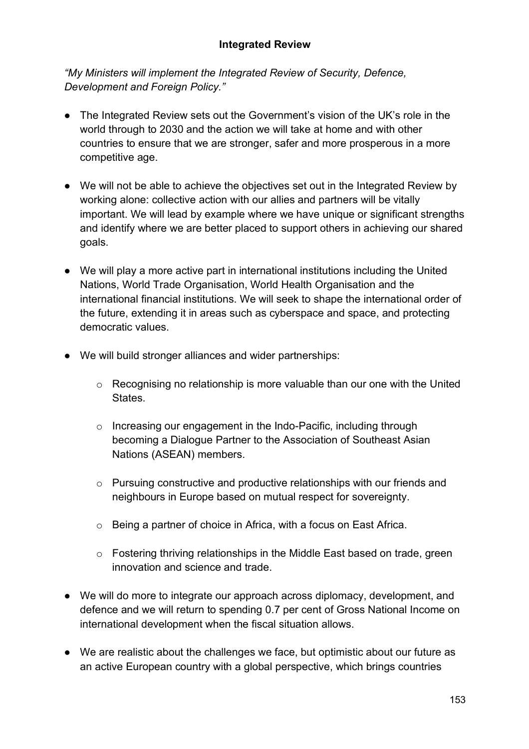#### **Integrated Review**

*"My Ministers will implement the Integrated Review of Security, Defence, Development and Foreign Policy."*

- The Integrated Review sets out the Government's vision of the UK's role in the world through to 2030 and the action we will take at home and with other countries to ensure that we are stronger, safer and more prosperous in a more competitive age.
- We will not be able to achieve the objectives set out in the Integrated Review by working alone: collective action with our allies and partners will be vitally important. We will lead by example where we have unique or significant strengths and identify where we are better placed to support others in achieving our shared goals.
- We will play a more active part in international institutions including the United Nations, World Trade Organisation, World Health Organisation and the international financial institutions. We will seek to shape the international order of the future, extending it in areas such as cyberspace and space, and protecting democratic values.
- We will build stronger alliances and wider partnerships:
	- o Recognising no relationship is more valuable than our one with the United States.
	- o Increasing our engagement in the Indo-Pacific, including through becoming a Dialogue Partner to the Association of Southeast Asian Nations (ASEAN) members.
	- o Pursuing constructive and productive relationships with our friends and neighbours in Europe based on mutual respect for sovereignty.
	- o Being a partner of choice in Africa, with a focus on East Africa.
	- o Fostering thriving relationships in the Middle East based on trade, green innovation and science and trade.
- We will do more to integrate our approach across diplomacy, development, and defence and we will return to spending 0.7 per cent of Gross National Income on international development when the fiscal situation allows.
- We are realistic about the challenges we face, but optimistic about our future as an active European country with a global perspective, which brings countries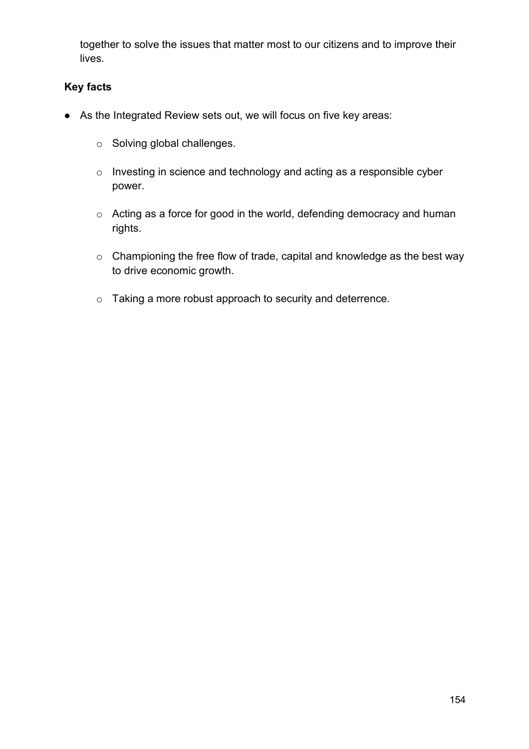together to solve the issues that matter most to our citizens and to improve their lives.

- As the Integrated Review sets out, we will focus on five key areas:
	- o Solving global challenges.
	- o Investing in science and technology and acting as a responsible cyber power.
	- o Acting as a force for good in the world, defending democracy and human rights.
	- o Championing the free flow of trade, capital and knowledge as the best way to drive economic growth.
	- o Taking a more robust approach to security and deterrence*.*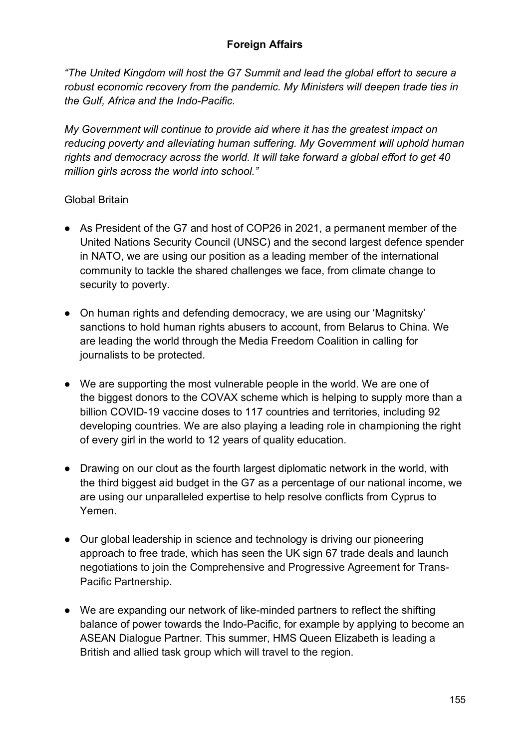#### **Foreign Affairs**

*"The United Kingdom will host the G7 Summit and lead the global effort to secure a robust economic recovery from the pandemic. My Ministers will deepen trade ties in the Gulf, Africa and the Indo-Pacific.*

*My Government will continue to provide aid where it has the greatest impact on reducing poverty and alleviating human suffering. My Government will uphold human rights and democracy across the world. It will take forward a global effort to get 40 million girls across the world into school."*

#### Global Britain

- As President of the G7 and host of COP26 in 2021, a permanent member of the United Nations Security Council (UNSC) and the second largest defence spender in NATO, we are using our position as a leading member of the international community to tackle the shared challenges we face, from climate change to security to poverty.
- On human rights and defending democracy, we are using our 'Magnitsky' sanctions to hold human rights abusers to account, from Belarus to China. We are leading the world through the Media Freedom Coalition in calling for journalists to be protected.
- We are supporting the most vulnerable people in the world. We are one of the biggest donors to the COVAX scheme which is helping to supply more than a billion COVID-19 vaccine doses to 117 countries and territories, including 92 developing countries. We are also playing a leading role in championing the right of every girl in the world to 12 years of quality education.
- Drawing on our clout as the fourth largest diplomatic network in the world, with the third biggest aid budget in the G7 as a percentage of our national income, we are using our unparalleled expertise to help resolve conflicts from Cyprus to Yemen.
- Our global leadership in science and technology is driving our pioneering approach to free trade, which has seen the UK sign 67 trade deals and launch negotiations to join the Comprehensive and Progressive Agreement for Trans-Pacific Partnership.
- We are expanding our network of like-minded partners to reflect the shifting balance of power towards the Indo-Pacific, for example by applying to become an ASEAN Dialogue Partner. This summer, HMS Queen Elizabeth is leading a British and allied task group which will travel to the region.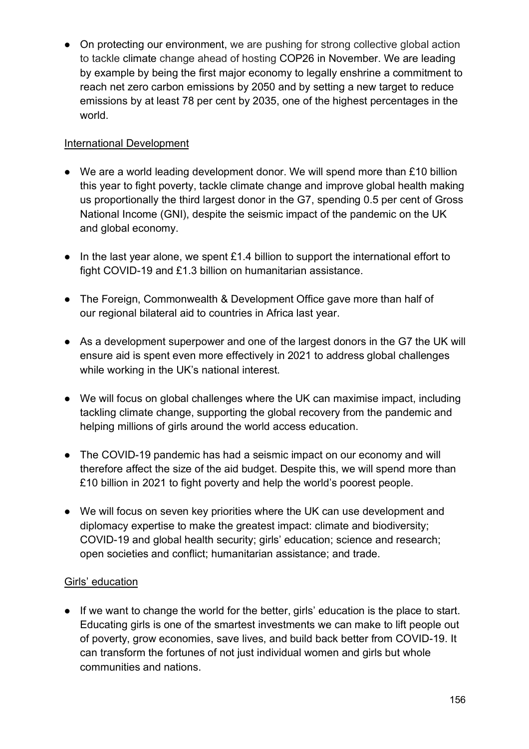● On protecting our environment, we are pushing for strong collective global action to tackle climate change ahead of hosting COP26 in November. We are leading by example by being the first major economy to legally enshrine a commitment to reach net zero carbon emissions by 2050 and by setting a new target to reduce emissions by at least 78 per cent by 2035, one of the highest percentages in the world.

## International Development

- We are a world leading development donor. We will spend more than £10 billion this year to fight poverty, tackle climate change and improve global health making us proportionally the third largest donor in the G7, spending 0.5 per cent of Gross National Income (GNI), despite the seismic impact of the pandemic on the UK and global economy.
- In the last year alone, we spent £1.4 billion to support the international effort to fight COVID-19 and £1.3 billion on humanitarian assistance.
- The Foreign, Commonwealth & Development Office gave more than half of our regional bilateral aid to countries in Africa last year.
- As a development superpower and one of the largest donors in the G7 the UK will ensure aid is spent even more effectively in 2021 to address global challenges while working in the UK's national interest.
- We will focus on global challenges where the UK can maximise impact, including tackling climate change, supporting the global recovery from the pandemic and helping millions of girls around the world access education.
- The COVID-19 pandemic has had a seismic impact on our economy and will therefore affect the size of the aid budget. Despite this, we will spend more than £10 billion in 2021 to fight poverty and help the world's poorest people.
- We will focus on seven key priorities where the UK can use development and diplomacy expertise to make the greatest impact: climate and biodiversity; COVID-19 and global health security; girls' education; science and research; open societies and conflict; humanitarian assistance; and trade.

#### Girls' education

● If we want to change the world for the better, girls' education is the place to start. Educating girls is one of the smartest investments we can make to lift people out of poverty, grow economies, save lives, and build back better from COVID-19. It can transform the fortunes of not just individual women and girls but whole communities and nations.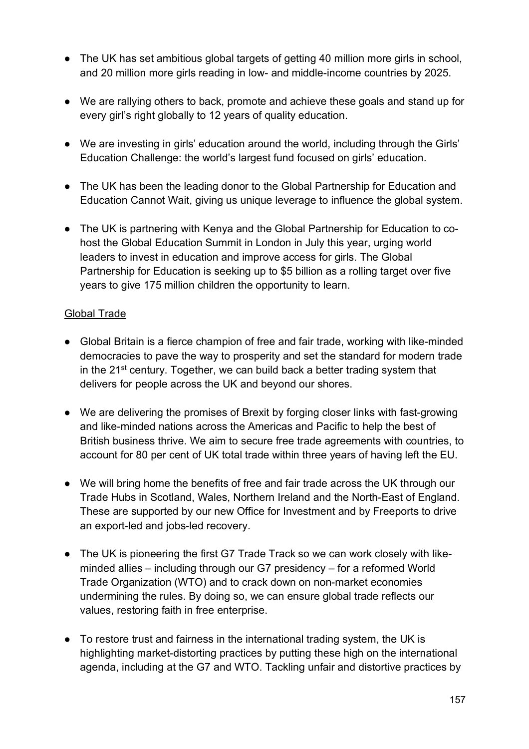- The UK has set ambitious global targets of getting 40 million more girls in school, and 20 million more girls reading in low- and middle-income countries by 2025.
- We are rallying others to back, promote and achieve these goals and stand up for every girl's right globally to 12 years of quality education.
- We are investing in girls' education around the world, including through the Girls' Education Challenge: the world's largest fund focused on girls' education.
- The UK has been the leading donor to the Global Partnership for Education and Education Cannot Wait, giving us unique leverage to influence the global system.
- The UK is partnering with Kenya and the Global Partnership for Education to cohost the Global Education Summit in London in July this year, urging world leaders to invest in education and improve access for girls. The Global Partnership for Education is seeking up to \$5 billion as a rolling target over five years to give 175 million children the opportunity to learn.

#### Global Trade

- Global Britain is a fierce champion of free and fair trade, working with like-minded democracies to pave the way to prosperity and set the standard for modern trade in the 21st century. Together, we can build back a better trading system that delivers for people across the UK and beyond our shores.
- We are delivering the promises of Brexit by forging closer links with fast-growing and like-minded nations across the Americas and Pacific to help the best of British business thrive. We aim to secure free trade agreements with countries, to account for 80 per cent of UK total trade within three years of having left the EU.
- We will bring home the benefits of free and fair trade across the UK through our Trade Hubs in Scotland, Wales, Northern Ireland and the North-East of England. These are supported by our new Office for Investment and by Freeports to drive an export-led and jobs-led recovery.
- The UK is pioneering the first G7 Trade Track so we can work closely with likeminded allies – including through our G7 presidency – for a reformed World Trade Organization (WTO) and to crack down on non-market economies undermining the rules. By doing so, we can ensure global trade reflects our values, restoring faith in free enterprise.
- To restore trust and fairness in the international trading system, the UK is highlighting market-distorting practices by putting these high on the international agenda, including at the G7 and WTO. Tackling unfair and distortive practices by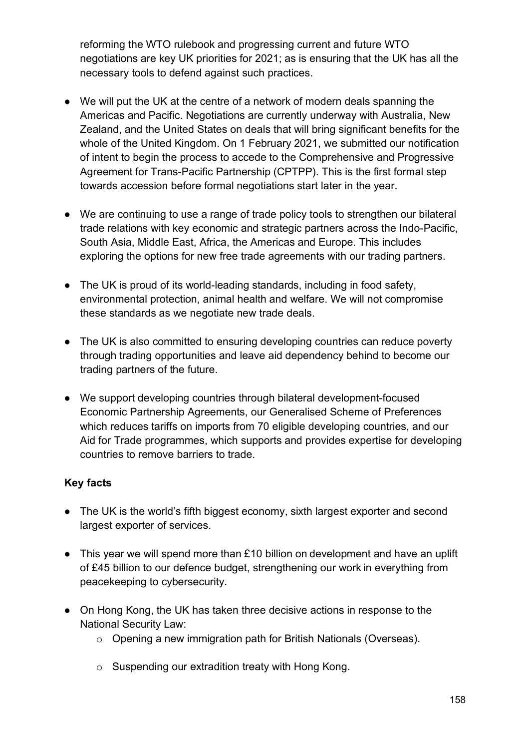reforming the WTO rulebook and progressing current and future WTO negotiations are key UK priorities for 2021; as is ensuring that the UK has all the necessary tools to defend against such practices.

- We will put the UK at the centre of a network of modern deals spanning the Americas and Pacific. Negotiations are currently underway with Australia, New Zealand, and the United States on deals that will bring significant benefits for the whole of the United Kingdom. On 1 February 2021, we submitted our notification of intent to begin the process to accede to the Comprehensive and Progressive Agreement for Trans-Pacific Partnership (CPTPP). This is the first formal step towards accession before formal negotiations start later in the year.
- We are continuing to use a range of trade policy tools to strengthen our bilateral trade relations with key economic and strategic partners across the Indo-Pacific, South Asia, Middle East, Africa, the Americas and Europe. This includes exploring the options for new free trade agreements with our trading partners.
- The UK is proud of its world-leading standards, including in food safety, environmental protection, animal health and welfare. We will not compromise these standards as we negotiate new trade deals.
- The UK is also committed to ensuring developing countries can reduce poverty through trading opportunities and leave aid dependency behind to become our trading partners of the future.
- We support developing countries through bilateral development-focused Economic Partnership Agreements, our Generalised Scheme of Preferences which reduces tariffs on imports from 70 eligible developing countries, and our Aid for Trade programmes, which supports and provides expertise for developing countries to remove barriers to trade.

- The UK is the world's fifth biggest economy, sixth largest exporter and second largest exporter of services.
- This year we will spend more than £10 billion on development and have an uplift of £45 billion to our defence budget, strengthening our work in everything from peacekeeping to cybersecurity.
- On Hong Kong, the UK has taken three decisive actions in response to the National Security Law:
	- o Opening a new immigration path for British Nationals (Overseas).
	- o Suspending our extradition treaty with Hong Kong.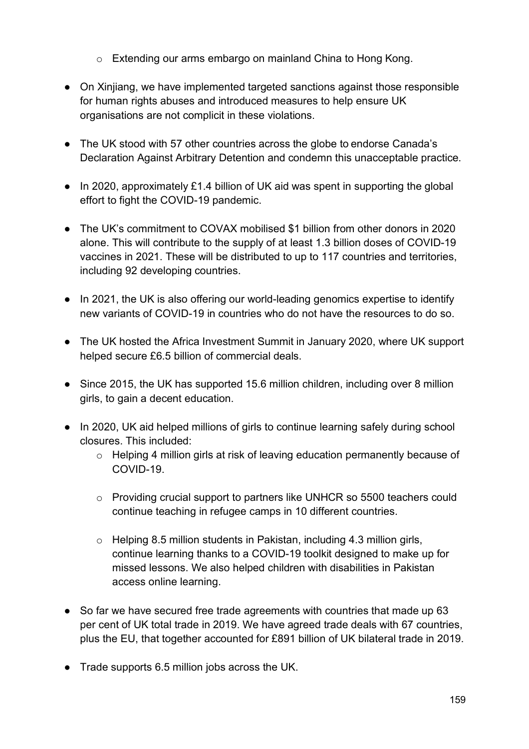- o Extending our arms embargo on mainland China to Hong Kong.
- On Xinjiang, we have implemented targeted sanctions against those responsible for human rights abuses and introduced measures to help ensure UK organisations are not complicit in these violations.
- The UK stood with 57 other countries across the globe to endorse Canada's Declaration Against Arbitrary Detention and condemn this unacceptable practice.
- In 2020, approximately £1.4 billion of UK aid was spent in supporting the global effort to fight the COVID-19 pandemic.
- The UK's commitment to COVAX mobilised \$1 billion from other donors in 2020 alone. This will contribute to the supply of at least 1.3 billion doses of COVID-19 vaccines in 2021. These will be distributed to up to 117 countries and territories, including 92 developing countries.
- In 2021, the UK is also offering our world-leading genomics expertise to identify new variants of COVID-19 in countries who do not have the resources to do so.
- The UK hosted the Africa Investment Summit in January 2020, where UK support helped secure £6.5 billion of commercial deals.
- Since 2015, the UK has supported 15.6 million children, including over 8 million girls, to gain a decent education.
- In 2020, UK aid helped millions of girls to continue learning safely during school closures. This included:
	- o Helping 4 million girls at risk of leaving education permanently because of COVID-19.
	- o Providing crucial support to partners like UNHCR so 5500 teachers could continue teaching in refugee camps in 10 different countries.
	- o Helping 8.5 million students in Pakistan, including 4.3 million girls, continue learning thanks to a COVID-19 toolkit designed to make up for missed lessons. We also helped children with disabilities in Pakistan access online learning.
- So far we have secured free trade agreements with countries that made up 63 per cent of UK total trade in 2019. We have agreed trade deals with 67 countries, plus the EU, that together accounted for £891 billion of UK bilateral trade in 2019.
- Trade supports 6.5 million jobs across the UK.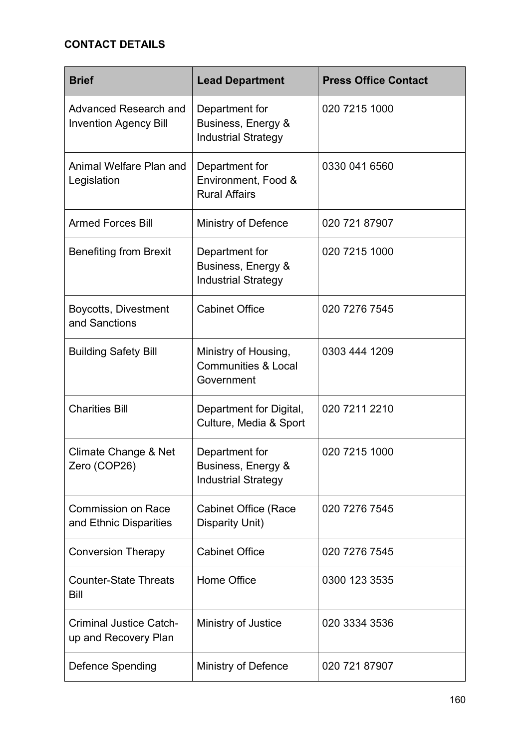# **CONTACT DETAILS**

| <b>Brief</b>                                           | <b>Lead Department</b>                                               | <b>Press Office Contact</b> |
|--------------------------------------------------------|----------------------------------------------------------------------|-----------------------------|
| Advanced Research and<br><b>Invention Agency Bill</b>  | Department for<br>Business, Energy &<br><b>Industrial Strategy</b>   | 020 7215 1000               |
| Animal Welfare Plan and<br>Legislation                 | Department for<br>Environment, Food &<br><b>Rural Affairs</b>        | 0330 041 6560               |
| <b>Armed Forces Bill</b>                               | <b>Ministry of Defence</b>                                           | 020 721 87907               |
| <b>Benefiting from Brexit</b>                          | Department for<br>Business, Energy &<br><b>Industrial Strategy</b>   | 020 7215 1000               |
| Boycotts, Divestment<br>and Sanctions                  | <b>Cabinet Office</b>                                                | 020 7276 7545               |
| <b>Building Safety Bill</b>                            | Ministry of Housing,<br><b>Communities &amp; Local</b><br>Government | 0303 444 1209               |
| <b>Charities Bill</b>                                  | Department for Digital,<br>Culture, Media & Sport                    | 020 7211 2210               |
| Climate Change & Net<br>Zero (COP26)                   | Department for<br>Business, Energy &<br><b>Industrial Strategy</b>   | 020 7215 1000               |
| <b>Commission on Race</b><br>and Ethnic Disparities    | <b>Cabinet Office (Race</b><br><b>Disparity Unit)</b>                | 020 7276 7545               |
| <b>Conversion Therapy</b>                              | <b>Cabinet Office</b>                                                | 020 7276 7545               |
| <b>Counter-State Threats</b><br>Bill                   | Home Office                                                          | 0300 123 3535               |
| <b>Criminal Justice Catch-</b><br>up and Recovery Plan | Ministry of Justice                                                  | 020 3334 3536               |
| <b>Defence Spending</b>                                | Ministry of Defence                                                  | 020 721 87907               |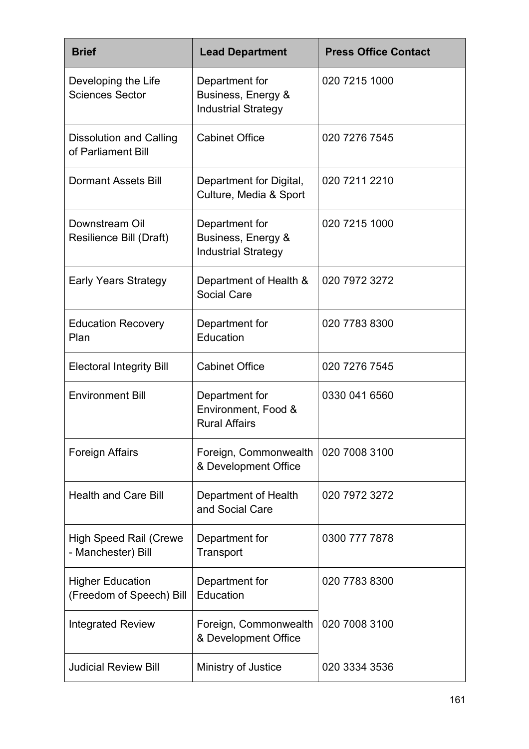| <b>Brief</b>                                        | <b>Lead Department</b>                                             | <b>Press Office Contact</b> |
|-----------------------------------------------------|--------------------------------------------------------------------|-----------------------------|
| Developing the Life<br><b>Sciences Sector</b>       | Department for<br>Business, Energy &<br><b>Industrial Strategy</b> | 020 7215 1000               |
| Dissolution and Calling<br>of Parliament Bill       | <b>Cabinet Office</b>                                              | 020 7276 7545               |
| <b>Dormant Assets Bill</b>                          | Department for Digital,<br>Culture, Media & Sport                  | 020 7211 2210               |
| Downstream Oil<br>Resilience Bill (Draft)           | Department for<br>Business, Energy &<br><b>Industrial Strategy</b> | 020 7215 1000               |
| <b>Early Years Strategy</b>                         | Department of Health &<br><b>Social Care</b>                       | 020 7972 3272               |
| <b>Education Recovery</b><br>Plan                   | Department for<br>Education                                        | 020 7783 8300               |
| <b>Electoral Integrity Bill</b>                     | <b>Cabinet Office</b>                                              | 020 7276 7545               |
| <b>Environment Bill</b>                             | Department for<br>Environment, Food &<br><b>Rural Affairs</b>      | 0330 041 6560               |
| <b>Foreign Affairs</b>                              | Foreign, Commonwealth<br>& Development Office                      | 020 7008 3100               |
| <b>Health and Care Bill</b>                         | Department of Health<br>and Social Care                            | 020 7972 3272               |
| <b>High Speed Rail (Crewe</b><br>- Manchester) Bill | Department for<br>Transport                                        | 0300 777 7878               |
| <b>Higher Education</b><br>(Freedom of Speech) Bill | Department for<br>Education                                        | 020 7783 8300               |
| <b>Integrated Review</b>                            | Foreign, Commonwealth<br>& Development Office                      | 020 7008 3100               |
| <b>Judicial Review Bill</b>                         | Ministry of Justice                                                | 020 3334 3536               |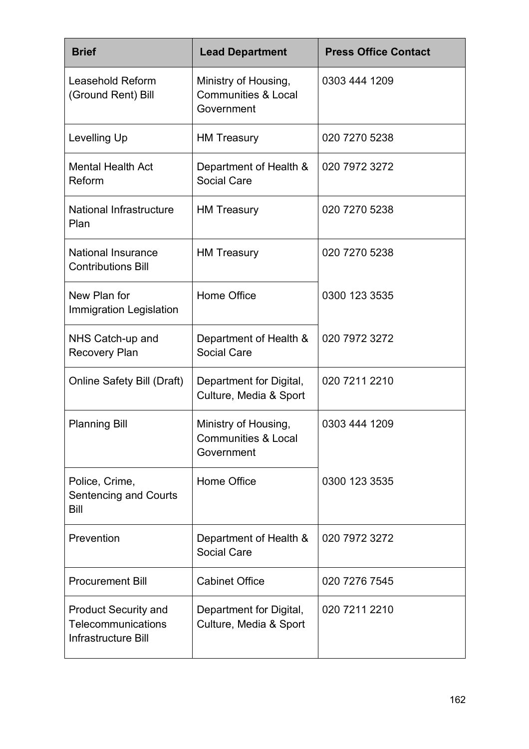| <b>Brief</b>                                                             | <b>Lead Department</b>                                               | <b>Press Office Contact</b> |
|--------------------------------------------------------------------------|----------------------------------------------------------------------|-----------------------------|
| Leasehold Reform<br>(Ground Rent) Bill                                   | Ministry of Housing,<br><b>Communities &amp; Local</b><br>Government | 0303 444 1209               |
| Levelling Up                                                             | <b>HM Treasury</b>                                                   | 020 7270 5238               |
| <b>Mental Health Act</b><br>Reform                                       | Department of Health &<br><b>Social Care</b>                         | 020 7972 3272               |
| National Infrastructure<br>Plan                                          | <b>HM Treasury</b>                                                   | 020 7270 5238               |
| <b>National Insurance</b><br><b>Contributions Bill</b>                   | <b>HM Treasury</b>                                                   | 020 7270 5238               |
| New Plan for<br>Immigration Legislation                                  | <b>Home Office</b>                                                   | 0300 123 3535               |
| NHS Catch-up and<br><b>Recovery Plan</b>                                 | Department of Health &<br><b>Social Care</b>                         | 020 7972 3272               |
| <b>Online Safety Bill (Draft)</b>                                        | Department for Digital,<br>Culture, Media & Sport                    | 020 7211 2210               |
| <b>Planning Bill</b>                                                     | Ministry of Housing,<br><b>Communities &amp; Local</b><br>Government | 0303 444 1209               |
| Police, Crime,<br><b>Sentencing and Courts</b><br>Bill                   | Home Office                                                          | 0300 123 3535               |
| Prevention                                                               | Department of Health &<br><b>Social Care</b>                         | 020 7972 3272               |
| <b>Procurement Bill</b>                                                  | <b>Cabinet Office</b>                                                | 020 7276 7545               |
| <b>Product Security and</b><br>Telecommunications<br>Infrastructure Bill | Department for Digital,<br>Culture, Media & Sport                    | 020 7211 2210               |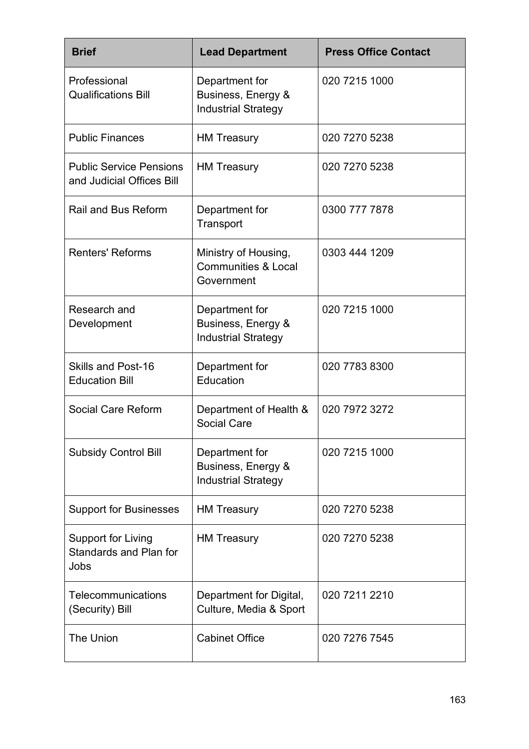| <b>Brief</b>                                                | <b>Lead Department</b>                                               | <b>Press Office Contact</b> |
|-------------------------------------------------------------|----------------------------------------------------------------------|-----------------------------|
| Professional<br><b>Qualifications Bill</b>                  | Department for<br>Business, Energy &<br><b>Industrial Strategy</b>   | 020 7215 1000               |
| <b>Public Finances</b>                                      | <b>HM Treasury</b>                                                   | 020 7270 5238               |
| <b>Public Service Pensions</b><br>and Judicial Offices Bill | <b>HM Treasury</b>                                                   | 020 7270 5238               |
| <b>Rail and Bus Reform</b>                                  | Department for<br>Transport                                          | 0300 777 7878               |
| <b>Renters' Reforms</b>                                     | Ministry of Housing,<br><b>Communities &amp; Local</b><br>Government | 0303 444 1209               |
| Research and<br>Development                                 | Department for<br>Business, Energy &<br><b>Industrial Strategy</b>   | 020 7215 1000               |
| <b>Skills and Post-16</b><br><b>Education Bill</b>          | Department for<br>Education                                          | 020 7783 8300               |
| Social Care Reform                                          | Department of Health &<br><b>Social Care</b>                         | 020 7972 3272               |
| <b>Subsidy Control Bill</b>                                 | Department for<br>Business, Energy &<br><b>Industrial Strategy</b>   | 020 7215 1000               |
| <b>Support for Businesses</b>                               | <b>HM Treasury</b>                                                   | 020 7270 5238               |
| Support for Living<br>Standards and Plan for<br>Jobs        | <b>HM Treasury</b>                                                   | 020 7270 5238               |
| Telecommunications<br>(Security) Bill                       | Department for Digital,<br>Culture, Media & Sport                    | 020 7211 2210               |
| The Union                                                   | <b>Cabinet Office</b>                                                | 020 7276 7545               |